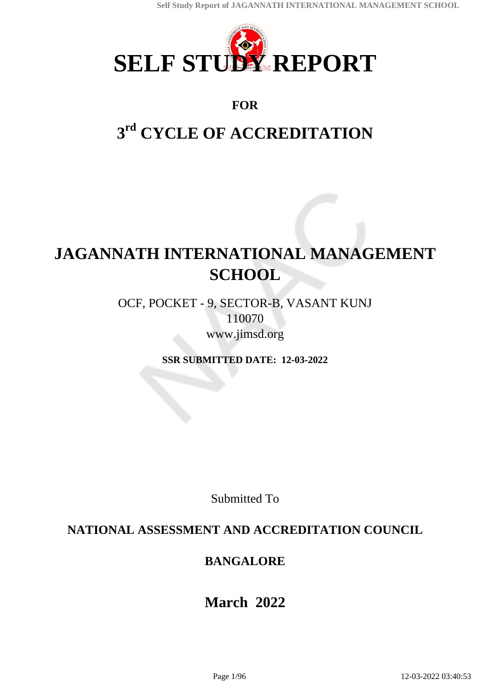

# **FOR**

# **3 rd CYCLE OF ACCREDITATION**

# **JAGANNATH INTERNATIONAL MANAGEMENT SCHOOL**

OCF, POCKET - 9, SECTOR-B, VASANT KUNJ 110070 www.jimsd.org

**SSR SUBMITTED DATE: 12-03-2022**

Submitted To

# **NATIONAL ASSESSMENT AND ACCREDITATION COUNCIL**

# **BANGALORE**

# **March 2022**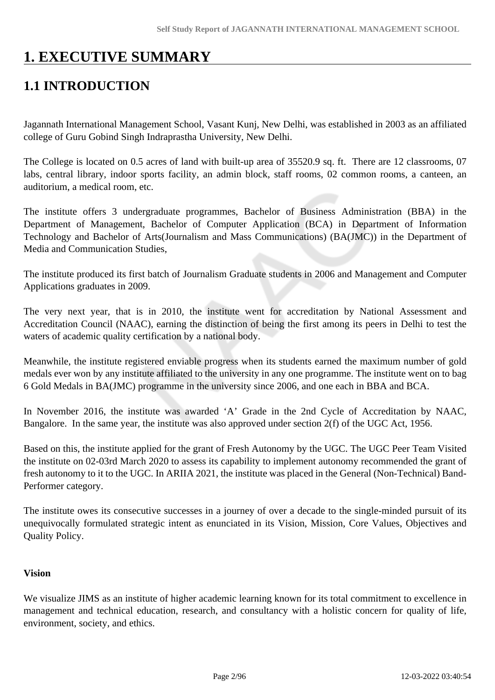# **1. EXECUTIVE SUMMARY**

# **1.1 INTRODUCTION**

Jagannath International Management School, Vasant Kunj, New Delhi, was established in 2003 as an affiliated college of Guru Gobind Singh Indraprastha University, New Delhi.

The College is located on 0.5 acres of land with built-up area of 35520.9 sq. ft. There are 12 classrooms, 07 labs, central library, indoor sports facility, an admin block, staff rooms, 02 common rooms, a canteen, an auditorium, a medical room, etc.

The institute offers 3 undergraduate programmes, Bachelor of Business Administration (BBA) in the Department of Management, Bachelor of Computer Application (BCA) in Department of Information Technology and Bachelor of Arts(Journalism and Mass Communications) (BA(JMC)) in the Department of Media and Communication Studies,

The institute produced its first batch of Journalism Graduate students in 2006 and Management and Computer Applications graduates in 2009.

The very next year, that is in 2010, the institute went for accreditation by National Assessment and Accreditation Council (NAAC), earning the distinction of being the first among its peers in Delhi to test the waters of academic quality certification by a national body.

Meanwhile, the institute registered enviable progress when its students earned the maximum number of gold medals ever won by any institute affiliated to the university in any one programme. The institute went on to bag 6 Gold Medals in BA(JMC) programme in the university since 2006, and one each in BBA and BCA.

In November 2016, the institute was awarded 'A' Grade in the 2nd Cycle of Accreditation by NAAC, Bangalore. In the same year, the institute was also approved under section 2(f) of the UGC Act, 1956.

Based on this, the institute applied for the grant of Fresh Autonomy by the UGC. The UGC Peer Team Visited the institute on 02-03rd March 2020 to assess its capability to implement autonomy recommended the grant of fresh autonomy to it to the UGC. In ARIIA 2021, the institute was placed in the General (Non-Technical) Band-Performer category.

The institute owes its consecutive successes in a journey of over a decade to the single-minded pursuit of its unequivocally formulated strategic intent as enunciated in its Vision, Mission, Core Values, Objectives and Quality Policy.

### **Vision**

We visualize JIMS as an institute of higher academic learning known for its total commitment to excellence in management and technical education, research, and consultancy with a holistic concern for quality of life, environment, society, and ethics.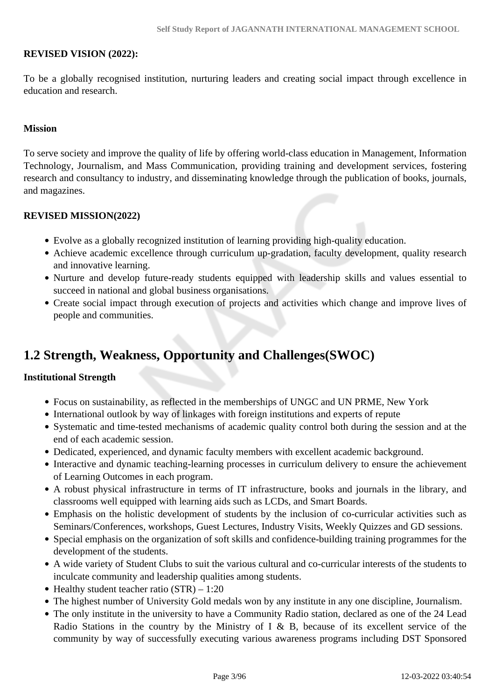### **REVISED VISION (2022):**

To be a globally recognised institution, nurturing leaders and creating social impact through excellence in education and research.

#### **Mission**

To serve society and improve the quality of life by offering world-class education in Management, Information Technology, Journalism, and Mass Communication, providing training and development services, fostering research and consultancy to industry, and disseminating knowledge through the publication of books, journals, and magazines.

#### **REVISED MISSION(2022)**

- Evolve as a globally recognized institution of learning providing high-quality education.
- Achieve academic excellence through curriculum up-gradation, faculty development, quality research and innovative learning.
- Nurture and develop future-ready students equipped with leadership skills and values essential to succeed in national and global business organisations.
- Create social impact through execution of projects and activities which change and improve lives of people and communities.

# **1.2 Strength, Weakness, Opportunity and Challenges(SWOC)**

#### **Institutional Strength**

- Focus on sustainability, as reflected in the memberships of UNGC and UN PRME, New York
- International outlook by way of linkages with foreign institutions and experts of repute
- Systematic and time-tested mechanisms of academic quality control both during the session and at the end of each academic session.
- Dedicated, experienced, and dynamic faculty members with excellent academic background.
- Interactive and dynamic teaching-learning processes in curriculum delivery to ensure the achievement of Learning Outcomes in each program.
- A robust physical infrastructure in terms of IT infrastructure, books and journals in the library, and classrooms well equipped with learning aids such as LCDs, and Smart Boards.
- Emphasis on the holistic development of students by the inclusion of co-curricular activities such as Seminars/Conferences, workshops, Guest Lectures, Industry Visits, Weekly Quizzes and GD sessions.
- Special emphasis on the organization of soft skills and confidence-building training programmes for the development of the students.
- A wide variety of Student Clubs to suit the various cultural and co-curricular interests of the students to inculcate community and leadership qualities among students.
- Healthy student teacher ratio  $(STR) 1:20$
- The highest number of University Gold medals won by any institute in any one discipline, Journalism.
- The only institute in the university to have a Community Radio station, declared as one of the 24 Lead Radio Stations in the country by the Ministry of I & B, because of its excellent service of the community by way of successfully executing various awareness programs including DST Sponsored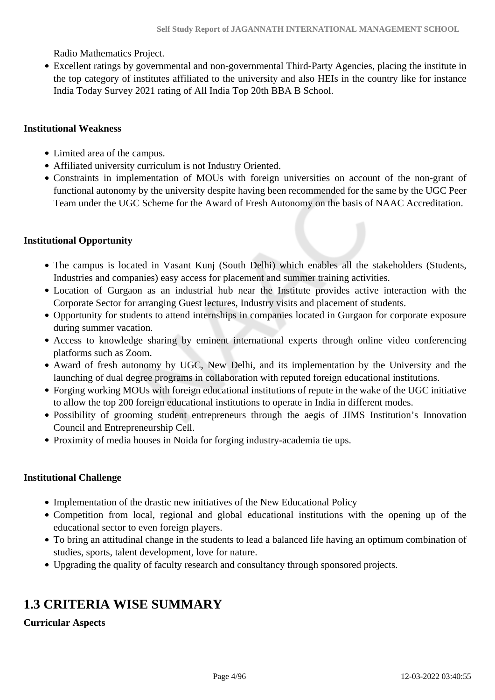Radio Mathematics Project.

Excellent ratings by governmental and non-governmental Third-Party Agencies, placing the institute in the top category of institutes affiliated to the university and also HEIs in the country like for instance India Today Survey 2021 rating of All India Top 20th BBA B School.

### **Institutional Weakness**

- Limited area of the campus.
- Affiliated university curriculum is not Industry Oriented.
- Constraints in implementation of MOUs with foreign universities on account of the non-grant of functional autonomy by the university despite having been recommended for the same by the UGC Peer Team under the UGC Scheme for the Award of Fresh Autonomy on the basis of NAAC Accreditation.

### **Institutional Opportunity**

- The campus is located in Vasant Kunj (South Delhi) which enables all the stakeholders (Students, Industries and companies) easy access for placement and summer training activities.
- Location of Gurgaon as an industrial hub near the Institute provides active interaction with the Corporate Sector for arranging Guest lectures, Industry visits and placement of students.
- Opportunity for students to attend internships in companies located in Gurgaon for corporate exposure during summer vacation.
- Access to knowledge sharing by eminent international experts through online video conferencing platforms such as Zoom.
- Award of fresh autonomy by UGC, New Delhi, and its implementation by the University and the launching of dual degree programs in collaboration with reputed foreign educational institutions.
- Forging working MOUs with foreign educational institutions of repute in the wake of the UGC initiative to allow the top 200 foreign educational institutions to operate in India in different modes.
- Possibility of grooming student entrepreneurs through the aegis of JIMS Institution's Innovation Council and Entrepreneurship Cell.
- Proximity of media houses in Noida for forging industry-academia tie ups.

### **Institutional Challenge**

- Implementation of the drastic new initiatives of the New Educational Policy
- Competition from local, regional and global educational institutions with the opening up of the educational sector to even foreign players.
- To bring an attitudinal change in the students to lead a balanced life having an optimum combination of studies, sports, talent development, love for nature.
- Upgrading the quality of faculty research and consultancy through sponsored projects.

# **1.3 CRITERIA WISE SUMMARY**

### **Curricular Aspects**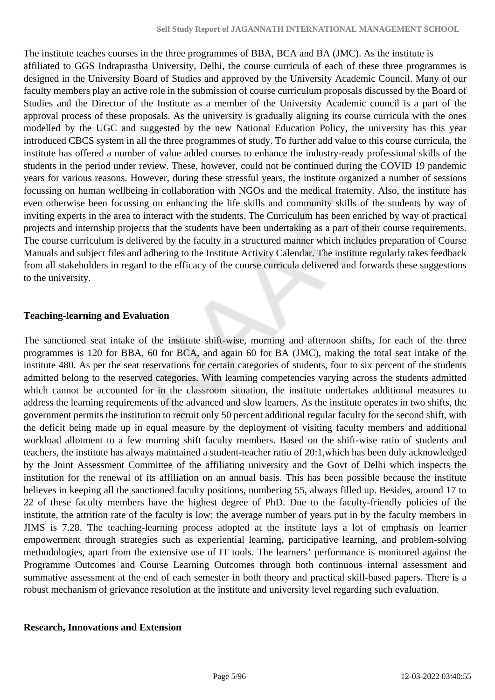The institute teaches courses in the three programmes of BBA, BCA and BA (JMC). As the institute is affiliated to GGS Indraprastha University, Delhi, the course curricula of each of these three programmes is designed in the University Board of Studies and approved by the University Academic Council. Many of our faculty members play an active role in the submission of course curriculum proposals discussed by the Board of Studies and the Director of the Institute as a member of the University Academic council is a part of the approval process of these proposals. As the university is gradually aligning its course curricula with the ones modelled by the UGC and suggested by the new National Education Policy, the university has this year introduced CBCS system in all the three programmes of study. To further add value to this course curricula, the institute has offered a number of value added courses to enhance the industry-ready professional skills of the students in the period under review. These, however, could not be continued during the COVID 19 pandemic years for various reasons. However, during these stressful years, the institute organized a number of sessions focussing on human wellbeing in collaboration with NGOs and the medical fraternity. Also, the institute has even otherwise been focussing on enhancing the life skills and community skills of the students by way of inviting experts in the area to interact with the students. The Curriculum has been enriched by way of practical projects and internship projects that the students have been undertaking as a part of their course requirements. The course curriculum is delivered by the faculty in a structured manner which includes preparation of Course Manuals and subject files and adhering to the Institute Activity Calendar. The institute regularly takes feedback from all stakeholders in regard to the efficacy of the course curricula delivered and forwards these suggestions to the university.

### **Teaching-learning and Evaluation**

The sanctioned seat intake of the institute shift-wise, morning and afternoon shifts, for each of the three programmes is 120 for BBA, 60 for BCA, and again 60 for BA (JMC), making the total seat intake of the institute 480. As per the seat reservations for certain categories of students, four to six percent of the students admitted belong to the reserved categories. With learning competencies varying across the students admitted which cannot be accounted for in the classroom situation, the institute undertakes additional measures to address the learning requirements of the advanced and slow learners. As the institute operates in two shifts, the government permits the institution to recruit only 50 percent additional regular faculty for the second shift, with the deficit being made up in equal measure by the deployment of visiting faculty members and additional workload allotment to a few morning shift faculty members. Based on the shift-wise ratio of students and teachers, the institute has always maintained a student-teacher ratio of 20:1,which has been duly acknowledged by the Joint Assessment Committee of the affiliating university and the Govt of Delhi which inspects the institution for the renewal of its affiliation on an annual basis. This has been possible because the institute believes in keeping all the sanctioned faculty positions, numbering 55, always filled up. Besides, around 17 to 22 of these faculty members have the highest degree of PhD. Due to the faculty-friendly policies of the institute, the attrition rate of the faculty is low: the average number of years put in by the faculty members in JIMS is 7.28. The teaching-learning process adopted at the institute lays a lot of emphasis on learner empowerment through strategies such as experiential learning, participative learning, and problem-solving methodologies, apart from the extensive use of IT tools. The learners' performance is monitored against the Programme Outcomes and Course Learning Outcomes through both continuous internal assessment and summative assessment at the end of each semester in both theory and practical skill-based papers. There is a robust mechanism of grievance resolution at the institute and university level regarding such evaluation.

### **Research, Innovations and Extension**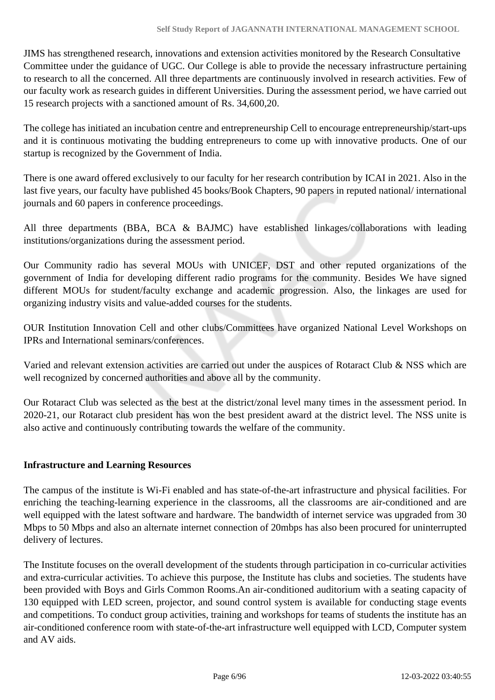JIMS has strengthened research, innovations and extension activities monitored by the Research Consultative Committee under the guidance of UGC. Our College is able to provide the necessary infrastructure pertaining to research to all the concerned. All three departments are continuously involved in research activities. Few of our faculty work as research guides in different Universities. During the assessment period, we have carried out 15 research projects with a sanctioned amount of Rs. 34,600,20.

The college has initiated an incubation centre and entrepreneurship Cell to encourage entrepreneurship/start-ups and it is continuous motivating the budding entrepreneurs to come up with innovative products. One of our startup is recognized by the Government of India.

There is one award offered exclusively to our faculty for her research contribution by ICAI in 2021. Also in the last five years, our faculty have published 45 books/Book Chapters, 90 papers in reputed national/ international journals and 60 papers in conference proceedings.

All three departments (BBA, BCA & BAJMC) have established linkages/collaborations with leading institutions/organizations during the assessment period.

Our Community radio has several MOUs with UNICEF, DST and other reputed organizations of the government of India for developing different radio programs for the community. Besides We have signed different MOUs for student/faculty exchange and academic progression. Also, the linkages are used for organizing industry visits and value-added courses for the students.

OUR Institution Innovation Cell and other clubs/Committees have organized National Level Workshops on IPRs and International seminars/conferences.

Varied and relevant extension activities are carried out under the auspices of Rotaract Club & NSS which are well recognized by concerned authorities and above all by the community.

Our Rotaract Club was selected as the best at the district/zonal level many times in the assessment period. In 2020-21, our Rotaract club president has won the best president award at the district level. The NSS unite is also active and continuously contributing towards the welfare of the community.

### **Infrastructure and Learning Resources**

The campus of the institute is Wi-Fi enabled and has state-of-the-art infrastructure and physical facilities. For enriching the teaching-learning experience in the classrooms, all the classrooms are air-conditioned and are well equipped with the latest software and hardware. The bandwidth of internet service was upgraded from 30 Mbps to 50 Mbps and also an alternate internet connection of 20mbps has also been procured for uninterrupted delivery of lectures.

The Institute focuses on the overall development of the students through participation in co-curricular activities and extra-curricular activities. To achieve this purpose, the Institute has clubs and societies. The students have been provided with Boys and Girls Common Rooms.An air-conditioned auditorium with a seating capacity of 130 equipped with LED screen, projector, and sound control system is available for conducting stage events and competitions. To conduct group activities, training and workshops for teams of students the institute has an air-conditioned conference room with state-of-the-art infrastructure well equipped with LCD, Computer system and AV aids.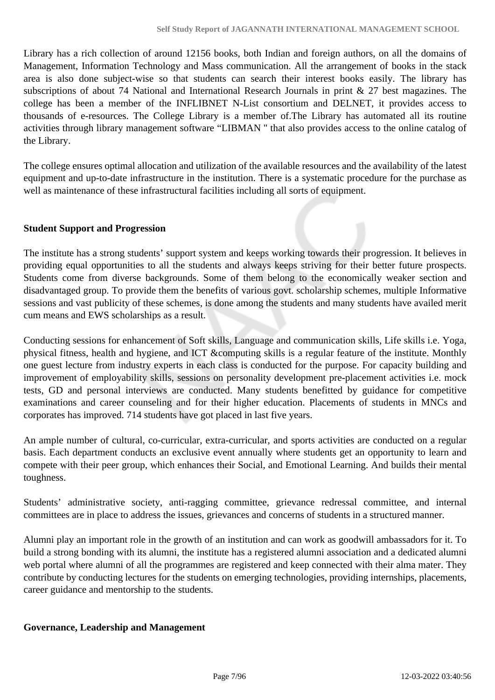Library has a rich collection of around 12156 books, both Indian and foreign authors, on all the domains of Management, Information Technology and Mass communication. All the arrangement of books in the stack area is also done subject-wise so that students can search their interest books easily. The library has subscriptions of about 74 National and International Research Journals in print & 27 best magazines. The college has been a member of the INFLIBNET N-List consortium and DELNET, it provides access to thousands of e-resources. The College Library is a member of.The Library has automated all its routine activities through library management software "LIBMAN '' that also provides access to the online catalog of the Library.

The college ensures optimal allocation and utilization of the available resources and the availability of the latest equipment and up-to-date infrastructure in the institution. There is a systematic procedure for the purchase as well as maintenance of these infrastructural facilities including all sorts of equipment.

### **Student Support and Progression**

The institute has a strong students' support system and keeps working towards their progression. It believes in providing equal opportunities to all the students and always keeps striving for their better future prospects. Students come from diverse backgrounds. Some of them belong to the economically weaker section and disadvantaged group. To provide them the benefits of various govt. scholarship schemes, multiple Informative sessions and vast publicity of these schemes, is done among the students and many students have availed merit cum means and EWS scholarships as a result.

Conducting sessions for enhancement of Soft skills, Language and communication skills, Life skills i.e. Yoga, physical fitness, health and hygiene, and ICT &computing skills is a regular feature of the institute. Monthly one guest lecture from industry experts in each class is conducted for the purpose. For capacity building and improvement of employability skills, sessions on personality development pre-placement activities i.e. mock tests, GD and personal interviews are conducted. Many students benefitted by guidance for competitive examinations and career counseling and for their higher education. Placements of students in MNCs and corporates has improved. 714 students have got placed in last five years.

An ample number of cultural, co-curricular, extra-curricular, and sports activities are conducted on a regular basis. Each department conducts an exclusive event annually where students get an opportunity to learn and compete with their peer group, which enhances their Social, and Emotional Learning. And builds their mental toughness.

Students' administrative society, anti-ragging committee, grievance redressal committee, and internal committees are in place to address the issues, grievances and concerns of students in a structured manner.

Alumni play an important role in the growth of an institution and can work as goodwill ambassadors for it. To build a strong bonding with its alumni, the institute has a registered alumni association and a dedicated alumni web portal where alumni of all the programmes are registered and keep connected with their alma mater. They contribute by conducting lectures for the students on emerging technologies, providing internships, placements, career guidance and mentorship to the students.

### **Governance, Leadership and Management**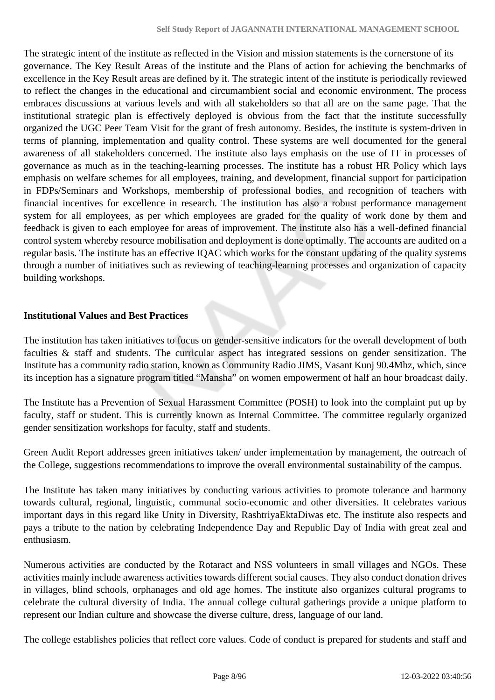The strategic intent of the institute as reflected in the Vision and mission statements is the cornerstone of its governance. The Key Result Areas of the institute and the Plans of action for achieving the benchmarks of excellence in the Key Result areas are defined by it. The strategic intent of the institute is periodically reviewed to reflect the changes in the educational and circumambient social and economic environment. The process embraces discussions at various levels and with all stakeholders so that all are on the same page. That the institutional strategic plan is effectively deployed is obvious from the fact that the institute successfully organized the UGC Peer Team Visit for the grant of fresh autonomy. Besides, the institute is system-driven in terms of planning, implementation and quality control. These systems are well documented for the general awareness of all stakeholders concerned. The institute also lays emphasis on the use of IT in processes of governance as much as in the teaching-learning processes. The institute has a robust HR Policy which lays emphasis on welfare schemes for all employees, training, and development, financial support for participation in FDPs/Seminars and Workshops, membership of professional bodies, and recognition of teachers with financial incentives for excellence in research. The institution has also a robust performance management system for all employees, as per which employees are graded for the quality of work done by them and feedback is given to each employee for areas of improvement. The institute also has a well-defined financial control system whereby resource mobilisation and deployment is done optimally. The accounts are audited on a regular basis. The institute has an effective IQAC which works for the constant updating of the quality systems through a number of initiatives such as reviewing of teaching-learning processes and organization of capacity building workshops.

### **Institutional Values and Best Practices**

The institution has taken initiatives to focus on gender-sensitive indicators for the overall development of both faculties & staff and students. The curricular aspect has integrated sessions on gender sensitization. The Institute has a community radio station, known as Community Radio JIMS, Vasant Kunj 90.4Mhz, which, since its inception has a signature program titled "Mansha" on women empowerment of half an hour broadcast daily.

The Institute has a Prevention of Sexual Harassment Committee (POSH) to look into the complaint put up by faculty, staff or student. This is currently known as Internal Committee. The committee regularly organized gender sensitization workshops for faculty, staff and students.

Green Audit Report addresses green initiatives taken/ under implementation by management, the outreach of the College, suggestions recommendations to improve the overall environmental sustainability of the campus.

The Institute has taken many initiatives by conducting various activities to promote tolerance and harmony towards cultural, regional, linguistic, communal socio-economic and other diversities. It celebrates various important days in this regard like Unity in Diversity, RashtriyaEktaDiwas etc. The institute also respects and pays a tribute to the nation by celebrating Independence Day and Republic Day of India with great zeal and enthusiasm.

Numerous activities are conducted by the Rotaract and NSS volunteers in small villages and NGOs. These activities mainly include awareness activities towards different social causes. They also conduct donation drives in villages, blind schools, orphanages and old age homes. The institute also organizes cultural programs to celebrate the cultural diversity of India. The annual college cultural gatherings provide a unique platform to represent our Indian culture and showcase the diverse culture, dress, language of our land.

The college establishes policies that reflect core values. Code of conduct is prepared for students and staff and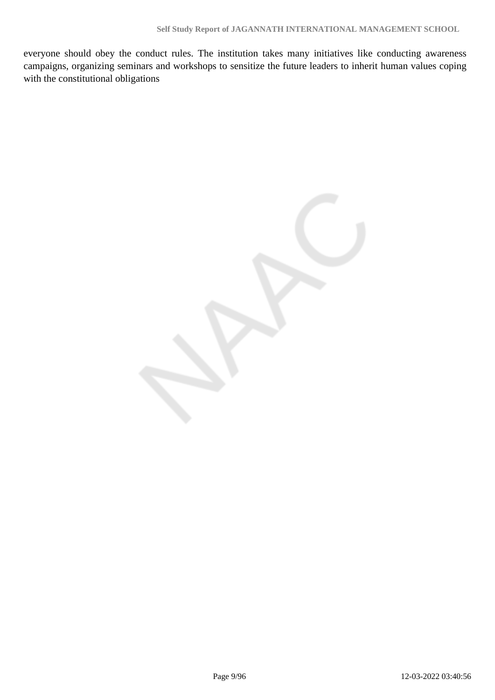everyone should obey the conduct rules. The institution takes many initiatives like conducting awareness campaigns, organizing seminars and workshops to sensitize the future leaders to inherit human values coping with the constitutional obligations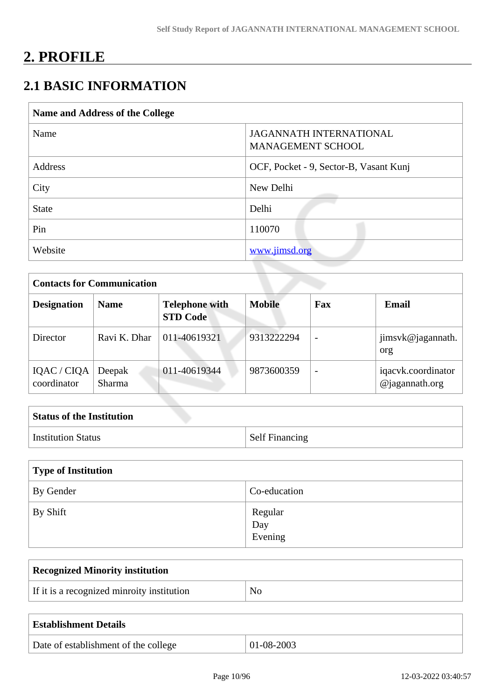# **2. PROFILE**

# **2.1 BASIC INFORMATION**

| Name and Address of the College |                                                            |  |  |  |  |  |
|---------------------------------|------------------------------------------------------------|--|--|--|--|--|
| Name                            | <b>JAGANNATH INTERNATIONAL</b><br><b>MANAGEMENT SCHOOL</b> |  |  |  |  |  |
| Address                         | OCF, Pocket - 9, Sector-B, Vasant Kunj                     |  |  |  |  |  |
| City                            | New Delhi                                                  |  |  |  |  |  |
| <b>State</b>                    | Delhi                                                      |  |  |  |  |  |
| Pin                             | 110070                                                     |  |  |  |  |  |
| Website                         | www.jimsd.org                                              |  |  |  |  |  |

| <b>Contacts for Communication</b> |                         |                                          |               |                          |                                         |  |  |
|-----------------------------------|-------------------------|------------------------------------------|---------------|--------------------------|-----------------------------------------|--|--|
| <b>Designation</b>                | <b>Name</b>             | <b>Telephone with</b><br><b>STD Code</b> | <b>Mobile</b> | Fax                      | Email                                   |  |  |
| Director                          | Ravi K. Dhar            | 011-40619321                             | 9313222294    | $\overline{\phantom{a}}$ | jimsvk@jagannath.<br>org                |  |  |
| IQAC / CIQA<br>coordinator        | Deepak<br><b>Sharma</b> | 011-40619344                             | 9873600359    | $\overline{\phantom{0}}$ | iqacvk.coordinator<br>$@$ jagannath.org |  |  |

| <b>Status of the Institution</b> |                       |
|----------------------------------|-----------------------|
| <b>Institution Status</b>        | <b>Self Financing</b> |

| Type of Institution |                           |  |  |  |  |  |
|---------------------|---------------------------|--|--|--|--|--|
| By Gender           | Co-education              |  |  |  |  |  |
| By Shift            | Regular<br>Day<br>Evening |  |  |  |  |  |

| <b>Recognized Minority institution</b>     |    |
|--------------------------------------------|----|
| If it is a recognized minroity institution | NO |

| <b>Establishment Details</b>         |              |
|--------------------------------------|--------------|
| Date of establishment of the college | $01-08-2003$ |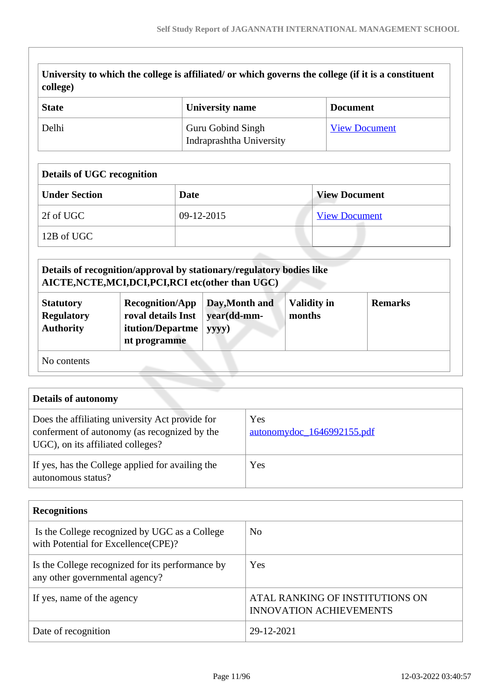| college)                                                  | University to which the college is affiliated/ or which governs the college (if it is a constituent                                                                                             |                                               |                              |                      |  |
|-----------------------------------------------------------|-------------------------------------------------------------------------------------------------------------------------------------------------------------------------------------------------|-----------------------------------------------|------------------------------|----------------------|--|
| <b>State</b>                                              |                                                                                                                                                                                                 | <b>University name</b>                        |                              | <b>Document</b>      |  |
| Delhi                                                     |                                                                                                                                                                                                 | Guru Gobind Singh<br>Indraprashtha University | <b>View Document</b>         |                      |  |
| <b>Details of UGC recognition</b>                         |                                                                                                                                                                                                 |                                               |                              |                      |  |
| <b>Under Section</b>                                      | <b>Date</b>                                                                                                                                                                                     |                                               |                              | <b>View Document</b> |  |
| 2f of UGC                                                 |                                                                                                                                                                                                 | 09-12-2015                                    |                              | <b>View Document</b> |  |
| 12B of UGC                                                |                                                                                                                                                                                                 |                                               |                              |                      |  |
| <b>Statutory</b><br><b>Regulatory</b><br><b>Authority</b> | Details of recognition/approval by stationary/regulatory bodies like<br>AICTE, NCTE, MCI, DCI, PCI, RCI etc(other than UGC)<br><b>Recognition/App</b><br>roval details Inst<br>itution/Departme | Day, Month and<br>year(dd-mm-<br>yyyy)        | <b>Validity in</b><br>months | <b>Remarks</b>       |  |

No contents

**nt programme**

| <b>Details of autonomy</b>                                                                                                           |                                   |
|--------------------------------------------------------------------------------------------------------------------------------------|-----------------------------------|
| Does the affiliating university Act provide for<br>conferment of autonomy (as recognized by the<br>UGC), on its affiliated colleges? | Yes<br>autonomydoc_1646992155.pdf |
| If yes, has the College applied for availing the<br>autonomous status?                                                               | Yes                               |

| <b>Recognitions</b>                                                                   |                                                                   |
|---------------------------------------------------------------------------------------|-------------------------------------------------------------------|
| Is the College recognized by UGC as a College<br>with Potential for Excellence (CPE)? | No                                                                |
| Is the College recognized for its performance by<br>any other governmental agency?    | <b>Yes</b>                                                        |
| If yes, name of the agency                                                            | ATAL RANKING OF INSTITUTIONS ON<br><b>INNOVATION ACHIEVEMENTS</b> |
| Date of recognition                                                                   | 29-12-2021                                                        |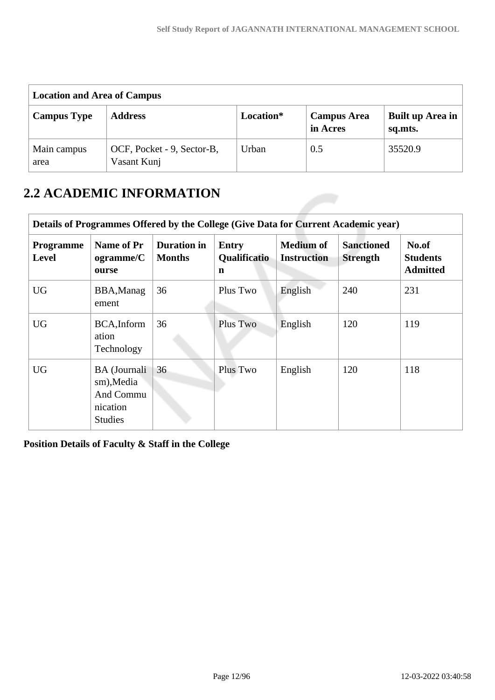| <b>Location and Area of Campus</b> |                                           |           |                                |                             |  |  |  |  |  |
|------------------------------------|-------------------------------------------|-----------|--------------------------------|-----------------------------|--|--|--|--|--|
| <b>Campus Type</b>                 | <b>Address</b>                            | Location* | <b>Campus Area</b><br>in Acres | Built up Area in<br>sq.mts. |  |  |  |  |  |
| Main campus<br>area                | OCF, Pocket - 9, Sector-B,<br>Vasant Kunj | Urban     | 0.5                            | 35520.9                     |  |  |  |  |  |

# **2.2 ACADEMIC INFORMATION**

| Details of Programmes Offered by the College (Give Data for Current Academic year) |                                                                              |                                     |                                   |                                        |                                      |                                             |  |  |  |
|------------------------------------------------------------------------------------|------------------------------------------------------------------------------|-------------------------------------|-----------------------------------|----------------------------------------|--------------------------------------|---------------------------------------------|--|--|--|
| Programme<br><b>Level</b>                                                          | Name of Pr<br>ogramme/C<br>ourse                                             | <b>Duration</b> in<br><b>Months</b> | <b>Entry</b><br>Qualificatio<br>n | <b>Medium of</b><br><b>Instruction</b> | <b>Sanctioned</b><br><b>Strength</b> | No.of<br><b>Students</b><br><b>Admitted</b> |  |  |  |
| <b>UG</b>                                                                          | BBA, Manag<br>ement                                                          | 36                                  | Plus Two                          | English                                | 240                                  | 231                                         |  |  |  |
| <b>UG</b>                                                                          | BCA, Inform<br>ation<br>Technology                                           | 36                                  | Plus Two                          | English                                | 120                                  | 119                                         |  |  |  |
| <b>UG</b>                                                                          | <b>BA</b> (Journali<br>sm), Media<br>And Commu<br>nication<br><b>Studies</b> | 36                                  | Plus Two                          | English                                | 120                                  | 118                                         |  |  |  |

**Position Details of Faculty & Staff in the College**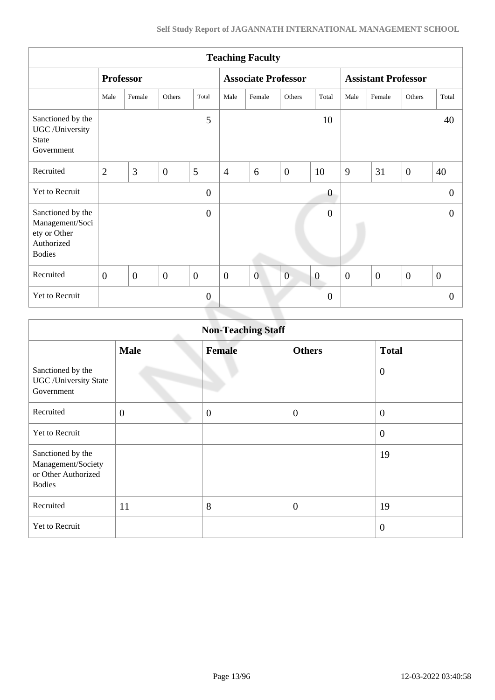| <b>Teaching Faculty</b>                                                             |                  |                |                |                  |                  |                            |                |                  |                            |                |                |                  |
|-------------------------------------------------------------------------------------|------------------|----------------|----------------|------------------|------------------|----------------------------|----------------|------------------|----------------------------|----------------|----------------|------------------|
|                                                                                     | <b>Professor</b> |                |                |                  |                  | <b>Associate Professor</b> |                |                  | <b>Assistant Professor</b> |                |                |                  |
|                                                                                     | Male             | Female         | Others         | Total            | Male             | Female                     | Others         | Total            | Male                       | Female         | Others         | Total            |
| Sanctioned by the<br>UGC /University<br><b>State</b><br>Government                  |                  |                |                | 5                |                  |                            |                | 10               |                            |                |                | 40               |
| Recruited                                                                           | $\overline{2}$   | 3              | $\overline{0}$ | 5                | $\overline{4}$   | 6                          | $\overline{0}$ | 10               | 9                          | 31             | $\overline{0}$ | 40               |
| Yet to Recruit                                                                      |                  |                |                | $\overline{0}$   |                  |                            |                | $\boldsymbol{0}$ |                            |                |                | $\Omega$         |
| Sanctioned by the<br>Management/Soci<br>ety or Other<br>Authorized<br><b>Bodies</b> |                  |                |                | $\overline{0}$   |                  |                            |                | $\boldsymbol{0}$ |                            |                |                | $\Omega$         |
| Recruited                                                                           | $\boldsymbol{0}$ | $\overline{0}$ | $\overline{0}$ | $\overline{0}$   | $\boldsymbol{0}$ | $\overline{0}$             | $\overline{0}$ | $\boldsymbol{0}$ | $\boldsymbol{0}$           | $\overline{0}$ | $\overline{0}$ | $\boldsymbol{0}$ |
| Yet to Recruit                                                                      |                  |                |                | $\boldsymbol{0}$ |                  |                            |                | $\overline{0}$   |                            |                |                | $\mathbf{0}$     |
|                                                                                     |                  |                |                |                  |                  |                            |                |                  |                            |                |                |                  |

| <b>Non-Teaching Staff</b>                                                       |                |               |                  |                  |  |  |
|---------------------------------------------------------------------------------|----------------|---------------|------------------|------------------|--|--|
|                                                                                 | <b>Male</b>    | <b>Female</b> | <b>Others</b>    | <b>Total</b>     |  |  |
| Sanctioned by the<br><b>UGC</b> / University State<br>Government                |                |               |                  | $\mathbf{0}$     |  |  |
| Recruited                                                                       | $\overline{0}$ | $\mathbf{0}$  | $\boldsymbol{0}$ | $\overline{0}$   |  |  |
| Yet to Recruit                                                                  |                |               |                  | $\boldsymbol{0}$ |  |  |
| Sanctioned by the<br>Management/Society<br>or Other Authorized<br><b>Bodies</b> |                |               |                  | 19               |  |  |
| Recruited                                                                       | 11             | 8             | $\overline{0}$   | 19               |  |  |
| Yet to Recruit                                                                  |                |               |                  | $\overline{0}$   |  |  |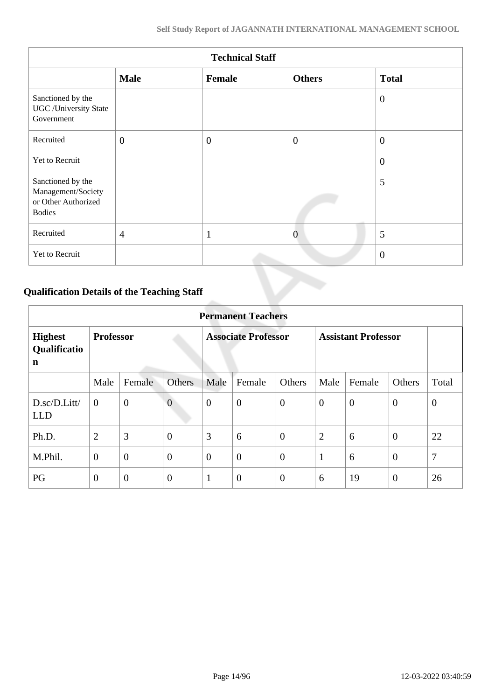| <b>Technical Staff</b>                                                          |                |              |                |                |  |  |
|---------------------------------------------------------------------------------|----------------|--------------|----------------|----------------|--|--|
|                                                                                 | <b>Male</b>    | Female       | <b>Others</b>  | <b>Total</b>   |  |  |
| Sanctioned by the<br><b>UGC</b> /University State<br>Government                 |                |              |                | $\overline{0}$ |  |  |
| Recruited                                                                       | $\mathbf{0}$   | $\mathbf{0}$ | $\overline{0}$ | $\overline{0}$ |  |  |
| Yet to Recruit                                                                  |                |              |                | $\overline{0}$ |  |  |
| Sanctioned by the<br>Management/Society<br>or Other Authorized<br><b>Bodies</b> |                |              |                | 5              |  |  |
| Recruited                                                                       | $\overline{4}$ | $\mathbf{1}$ | $\overline{0}$ | 5              |  |  |
| Yet to Recruit                                                                  |                |              |                | $\overline{0}$ |  |  |

# **Qualification Details of the Teaching Staff**

|                                     | <b>Permanent Teachers</b> |                |                            |                  |                            |                |                |                |                |              |
|-------------------------------------|---------------------------|----------------|----------------------------|------------------|----------------------------|----------------|----------------|----------------|----------------|--------------|
| <b>Highest</b><br>Qualificatio<br>n | <b>Professor</b>          |                | <b>Associate Professor</b> |                  | <b>Assistant Professor</b> |                |                |                |                |              |
|                                     | Male                      | Female         | Others                     | Male             | Female                     | Others         | Male           | Female         | Others         | Total        |
| D.sc/D.Litt/<br><b>LLD</b>          | $\overline{0}$            | $\overline{0}$ | $\overline{0}$             | $\boldsymbol{0}$ | $\boldsymbol{0}$           | $\mathbf{0}$   | $\overline{0}$ | $\overline{0}$ | $\overline{0}$ | $\mathbf{0}$ |
| Ph.D.                               | $\overline{2}$            | 3              | $\boldsymbol{0}$           | 3                | 6                          | $\overline{0}$ | $\overline{2}$ | 6              | $\overline{0}$ | 22           |
| M.Phil.                             | $\theta$                  | $\overline{0}$ | $\overline{0}$             | $\overline{0}$   | $\overline{0}$             | $\theta$       | 1              | 6              | $\theta$       | 7            |
| PG                                  | $\overline{0}$            | $\overline{0}$ | $\overline{0}$             | 1                | $\overline{0}$             | $\overline{0}$ | 6              | 19             | $\overline{0}$ | 26           |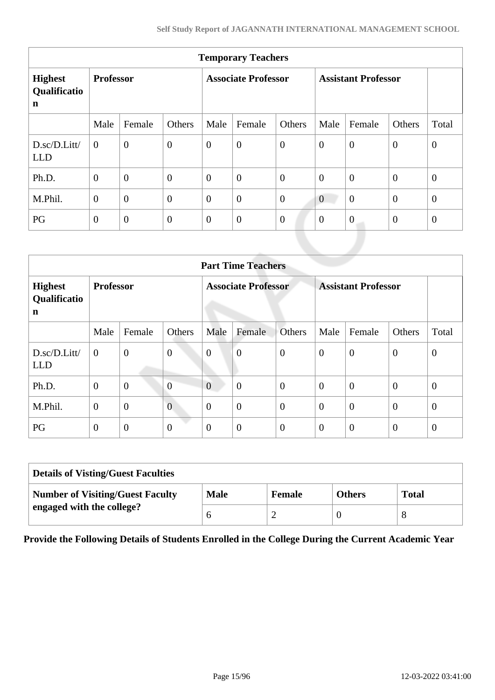|                                               | <b>Temporary Teachers</b> |                  |                            |                |                            |                  |                  |                  |                |                |
|-----------------------------------------------|---------------------------|------------------|----------------------------|----------------|----------------------------|------------------|------------------|------------------|----------------|----------------|
| <b>Highest</b><br>Qualificatio<br>$\mathbf n$ | <b>Professor</b>          |                  | <b>Associate Professor</b> |                | <b>Assistant Professor</b> |                  |                  |                  |                |                |
|                                               | Male                      | Female           | Others                     | Male           | Female                     | Others           | Male             | Female           | Others         | Total          |
| D.sc/D.Litt/<br><b>LLD</b>                    | $\theta$                  | $\overline{0}$   | $\overline{0}$             | $\overline{0}$ | $\boldsymbol{0}$           | $\overline{0}$   | $\overline{0}$   | $\overline{0}$   | $\mathbf{0}$   | $\mathbf{0}$   |
| Ph.D.                                         | $\overline{0}$            | $\overline{0}$   | $\overline{0}$             | $\overline{0}$ | $\overline{0}$             | $\boldsymbol{0}$ | $\theta$         | $\theta$         | $\mathbf{0}$   | $\overline{0}$ |
| M.Phil.                                       | $\mathbf{0}$              | $\overline{0}$   | $\overline{0}$             | $\overline{0}$ | $\overline{0}$             | $\overline{0}$   | $\overline{0}$   | $\overline{0}$   | $\mathbf{0}$   | $\mathbf{0}$   |
| PG                                            | $\boldsymbol{0}$          | $\boldsymbol{0}$ | $\boldsymbol{0}$           | $\overline{0}$ | $\boldsymbol{0}$           | $\boldsymbol{0}$ | $\boldsymbol{0}$ | $\boldsymbol{0}$ | $\overline{0}$ | $\overline{0}$ |
|                                               |                           |                  |                            |                |                            |                  |                  |                  |                |                |

|                                     | <b>Part Time Teachers</b> |                  |                            |                |                            |                |                |                |                |                  |
|-------------------------------------|---------------------------|------------------|----------------------------|----------------|----------------------------|----------------|----------------|----------------|----------------|------------------|
| <b>Highest</b><br>Qualificatio<br>n | <b>Professor</b>          |                  | <b>Associate Professor</b> |                | <b>Assistant Professor</b> |                |                |                |                |                  |
|                                     | Male                      | Female           | <b>Others</b>              | Male           | Female                     | <b>Others</b>  | Male           | Female         | Others         | Total            |
| D.sc/D.Litt/<br><b>LLD</b>          | $\mathbf{0}$              | $\boldsymbol{0}$ | $\boldsymbol{0}$           | $\mathbf{0}$   | $\boldsymbol{0}$           | $\overline{0}$ | $\overline{0}$ | $\overline{0}$ | $\theta$       | $\boldsymbol{0}$ |
| Ph.D.                               | $\boldsymbol{0}$          | $\overline{0}$   | $\overline{0}$             | $\overline{0}$ | $\boldsymbol{0}$           | $\overline{0}$ | $\overline{0}$ | $\overline{0}$ | $\overline{0}$ | $\mathbf{0}$     |
| M.Phil.                             | $\overline{0}$            | $\overline{0}$   | $\overline{0}$             | $\overline{0}$ | $\overline{0}$             | $\mathbf{0}$   | $\theta$       | $\overline{0}$ | $\overline{0}$ | $\mathbf{0}$     |
| PG                                  | $\overline{0}$            | $\overline{0}$   | $\overline{0}$             | $\overline{0}$ | $\boldsymbol{0}$           | $\mathbf{0}$   | $\theta$       | $\overline{0}$ | $\overline{0}$ | $\mathbf{0}$     |

| <b>Details of Visting/Guest Faculties</b> |             |               |               |              |  |
|-------------------------------------------|-------------|---------------|---------------|--------------|--|
| <b>Number of Visiting/Guest Faculty</b>   | <b>Male</b> | <b>Female</b> | <b>Others</b> | <b>Total</b> |  |
| engaged with the college?                 |             |               |               |              |  |

**Provide the Following Details of Students Enrolled in the College During the Current Academic Year**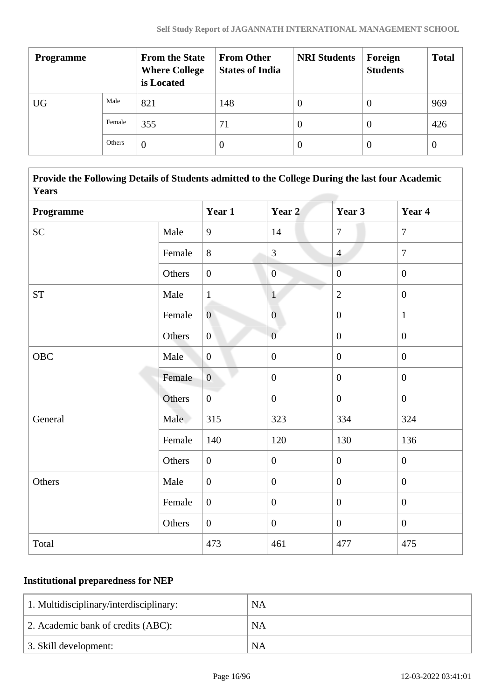| <b>Programme</b> |        | <b>From the State</b><br><b>Where College</b><br>is Located | <b>From Other</b><br><b>States of India</b> | <b>NRI Students</b> | Foreign<br><b>Students</b> | <b>Total</b> |
|------------------|--------|-------------------------------------------------------------|---------------------------------------------|---------------------|----------------------------|--------------|
| <b>UG</b>        | Male   | 821                                                         | 148                                         | $\theta$            | 0                          | 969          |
|                  | Female | 355                                                         | 71                                          | $\theta$            | 0                          | 426          |
|                  | Others | $\theta$                                                    |                                             | $\left($            | 0                          | $\theta$     |

 **Provide the Following Details of Students admitted to the College During the last four Academic Years**

| Programme |        | Year 1           | Year 2                    | Year 3           | Year 4           |
|-----------|--------|------------------|---------------------------|------------------|------------------|
| <b>SC</b> | Male   | 9                | 14                        | $\overline{7}$   | $\overline{7}$   |
|           | Female | 8                | $\overline{3}$            | $\overline{4}$   | $\overline{7}$   |
|           | Others | $\boldsymbol{0}$ | $\overline{0}$            | $\boldsymbol{0}$ | $\boldsymbol{0}$ |
| <b>ST</b> | Male   | $\mathbf{1}$     | $\overline{1}$            | $\overline{2}$   | $\mathbf{0}$     |
|           | Female | $\overline{0}$   | $\overline{\overline{0}}$ | $\boldsymbol{0}$ | $\mathbf{1}$     |
|           | Others | $\boldsymbol{0}$ | $\overline{0}$            | $\boldsymbol{0}$ | $\boldsymbol{0}$ |
| OBC       | Male   | $\mathbf{0}$     | $\boldsymbol{0}$          | $\boldsymbol{0}$ | $\boldsymbol{0}$ |
|           | Female | $\overline{0}$   | $\overline{0}$            | $\overline{0}$   | $\mathbf{0}$     |
|           | Others | $\boldsymbol{0}$ | $\boldsymbol{0}$          | $\overline{0}$   | $\mathbf{0}$     |
| General   | Male   | 315              | 323                       | 334              | 324              |
|           | Female | 140              | 120                       | 130              | 136              |
|           | Others | $\boldsymbol{0}$ | $\boldsymbol{0}$          | $\boldsymbol{0}$ | $\boldsymbol{0}$ |
| Others    | Male   | $\boldsymbol{0}$ | $\boldsymbol{0}$          | $\overline{0}$   | $\overline{0}$   |
|           | Female | $\boldsymbol{0}$ | $\boldsymbol{0}$          | $\overline{0}$   | $\boldsymbol{0}$ |
|           | Others | $\boldsymbol{0}$ | $\boldsymbol{0}$          | $\boldsymbol{0}$ | $\boldsymbol{0}$ |
| Total     |        | 473              | 461                       | 477              | 475              |

## **Institutional preparedness for NEP**

| 1. Multidisciplinary/interdisciplinary: | NA        |
|-----------------------------------------|-----------|
| 2. Academic bank of credits (ABC):      | <b>NA</b> |
| 3. Skill development:                   | <b>NA</b> |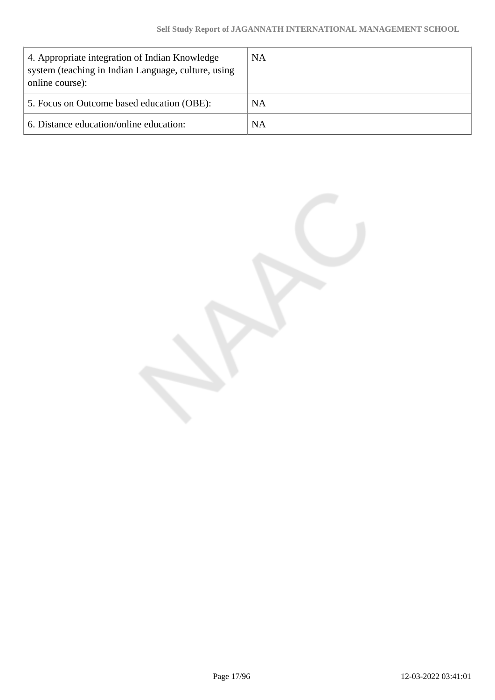| 4. Appropriate integration of Indian Knowledge<br>system (teaching in Indian Language, culture, using<br>online course): | <b>NA</b> |
|--------------------------------------------------------------------------------------------------------------------------|-----------|
| 5. Focus on Outcome based education (OBE):                                                                               | NA        |
| 6. Distance education/online education:                                                                                  | NA        |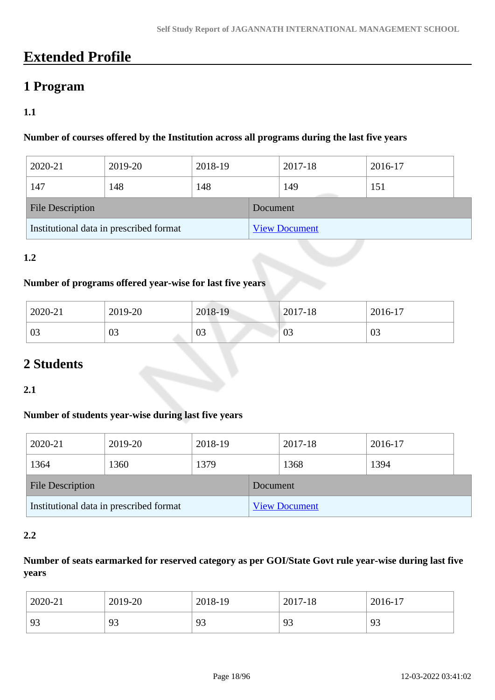# **Extended Profile**

# **1 Program**

### **1.1**

### **Number of courses offered by the Institution across all programs during the last five years**

| 2020-21                                 | 2019-20 | 2018-19 |          | 2017-18              | 2016-17 |  |
|-----------------------------------------|---------|---------|----------|----------------------|---------|--|
| 147                                     | 148     | 148     |          | 149                  | 151     |  |
| <b>File Description</b>                 |         |         | Document |                      |         |  |
| Institutional data in prescribed format |         |         |          | <b>View Document</b> |         |  |

### **1.2**

### **Number of programs offered year-wise for last five years**

| 2020-21 | 2019-20 | 2018-19 | $2017 - 18$ | 2016-17 |
|---------|---------|---------|-------------|---------|
| 03      | 03      | 03      | 03          | 03      |

# **2 Students**

### **2.1**

### **Number of students year-wise during last five years**

| 2020-21                 | 2019-20                                 | 2018-19 |          | 2017-18              | 2016-17 |  |
|-------------------------|-----------------------------------------|---------|----------|----------------------|---------|--|
| 1364                    | 1360                                    | 1379    |          | 1368                 | 1394    |  |
| <b>File Description</b> |                                         |         | Document |                      |         |  |
|                         | Institutional data in prescribed format |         |          | <b>View Document</b> |         |  |

### **2.2**

## **Number of seats earmarked for reserved category as per GOI/State Govt rule year-wise during last five years**

| 2020-21 | 2019-20               | 2018-19 | 2017-18 | 2016-17 |
|---------|-----------------------|---------|---------|---------|
| 93      | Q <sub>2</sub><br>ر ر | 93      | 93      | 93      |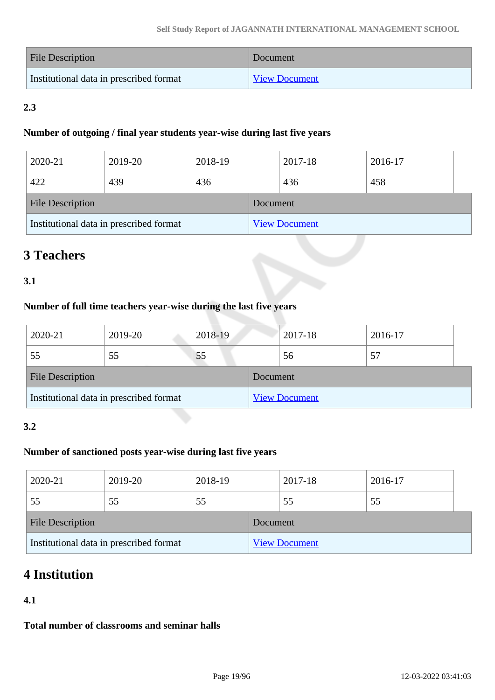| <b>File Description</b>                 | Document             |
|-----------------------------------------|----------------------|
| Institutional data in prescribed format | <b>View Document</b> |

## **2.3**

### **Number of outgoing / final year students year-wise during last five years**

| 2020-21                 | 2019-20                                 | 2018-19 |          | 2017-18              | 2016-17 |  |
|-------------------------|-----------------------------------------|---------|----------|----------------------|---------|--|
| 422                     | 439                                     | 436     |          | 436                  | 458     |  |
| <b>File Description</b> |                                         |         | Document |                      |         |  |
|                         | Institutional data in prescribed format |         |          | <b>View Document</b> |         |  |

# **3 Teachers**

## **3.1**

### **Number of full time teachers year-wise during the last five years**

| 2020-21                 | 2019-20                                 | 2018-19 |          | 2017-18              | 2016-17 |  |
|-------------------------|-----------------------------------------|---------|----------|----------------------|---------|--|
| 55                      | 55                                      | 55      |          | 56                   | 57      |  |
| <b>File Description</b> |                                         |         | Document |                      |         |  |
|                         | Institutional data in prescribed format |         |          | <b>View Document</b> |         |  |

### **3.2**

## **Number of sanctioned posts year-wise during last five years**

| 2020-21                 | 2019-20                                 | 2018-19 |          | 2017-18              | 2016-17 |  |
|-------------------------|-----------------------------------------|---------|----------|----------------------|---------|--|
| 55                      | 55                                      | 55      |          | 55                   | 55      |  |
| <b>File Description</b> |                                         |         | Document |                      |         |  |
|                         | Institutional data in prescribed format |         |          | <b>View Document</b> |         |  |

# **4 Institution**

### **4.1**

**Total number of classrooms and seminar halls**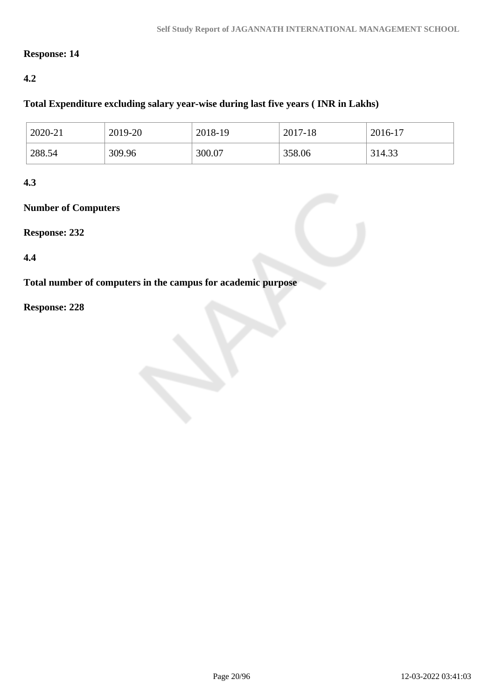### **Response: 14**

### **4.2**

### **Total Expenditure excluding salary year-wise during last five years ( INR in Lakhs)**

| 2020-21 | 2019-20 | 2018-19 | 2017-18 | 2016-17 |
|---------|---------|---------|---------|---------|
| 288.54  | 309.96  | 300.07  | 358.06  | 314.33  |

### **4.3**

### **Number of Computers**

**Response: 232**

**4.4**

**Total number of computers in the campus for academic purpose**

**Response: 228**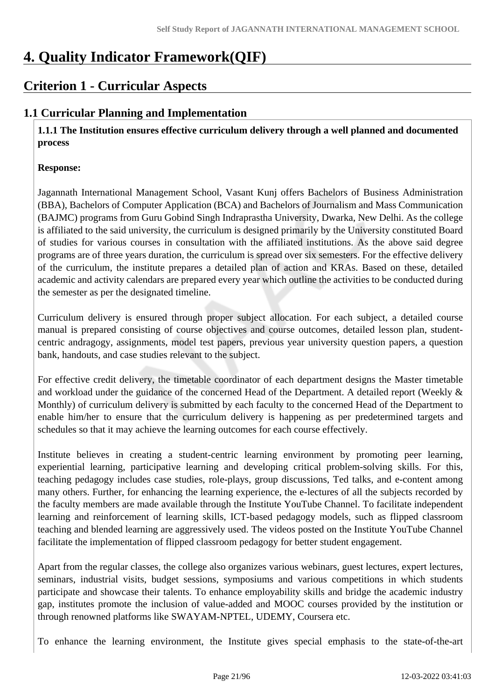# **4. Quality Indicator Framework(QIF)**

# **Criterion 1 - Curricular Aspects**

# **1.1 Curricular Planning and Implementation**

 **1.1.1 The Institution ensures effective curriculum delivery through a well planned and documented process**

### **Response:**

Jagannath International Management School, Vasant Kunj offers Bachelors of Business Administration (BBA), Bachelors of Computer Application (BCA) and Bachelors of Journalism and Mass Communication (BAJMC) programs from Guru Gobind Singh Indraprastha University, Dwarka, New Delhi. As the college is affiliated to the said university, the curriculum is designed primarily by the University constituted Board of studies for various courses in consultation with the affiliated institutions. As the above said degree programs are of three years duration, the curriculum is spread over six semesters. For the effective delivery of the curriculum, the institute prepares a detailed plan of action and KRAs. Based on these, detailed academic and activity calendars are prepared every year which outline the activities to be conducted during the semester as per the designated timeline.

Curriculum delivery is ensured through proper subject allocation. For each subject, a detailed course manual is prepared consisting of course objectives and course outcomes, detailed lesson plan, studentcentric andragogy, assignments, model test papers, previous year university question papers, a question bank, handouts, and case studies relevant to the subject.

For effective credit delivery, the timetable coordinator of each department designs the Master timetable and workload under the guidance of the concerned Head of the Department. A detailed report (Weekly & Monthly) of curriculum delivery is submitted by each faculty to the concerned Head of the Department to enable him/her to ensure that the curriculum delivery is happening as per predetermined targets and schedules so that it may achieve the learning outcomes for each course effectively.

Institute believes in creating a student-centric learning environment by promoting peer learning, experiential learning, participative learning and developing critical problem-solving skills. For this, teaching pedagogy includes case studies, role-plays, group discussions, Ted talks, and e-content among many others. Further, for enhancing the learning experience, the e-lectures of all the subjects recorded by the faculty members are made available through the Institute YouTube Channel. To facilitate independent learning and reinforcement of learning skills, ICT-based pedagogy models, such as flipped classroom teaching and blended learning are aggressively used. The videos posted on the Institute YouTube Channel facilitate the implementation of flipped classroom pedagogy for better student engagement.

Apart from the regular classes, the college also organizes various webinars, guest lectures, expert lectures, seminars, industrial visits, budget sessions, symposiums and various competitions in which students participate and showcase their talents. To enhance employability skills and bridge the academic industry gap, institutes promote the inclusion of value-added and MOOC courses provided by the institution or through renowned platforms like SWAYAM-NPTEL, UDEMY, Coursera etc.

To enhance the learning environment, the Institute gives special emphasis to the state-of-the-art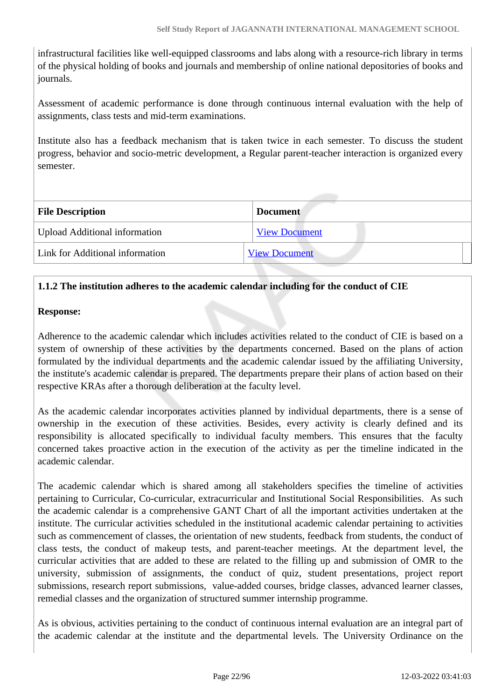infrastructural facilities like well-equipped classrooms and labs along with a resource-rich library in terms of the physical holding of books and journals and membership of online national depositories of books and journals.

Assessment of academic performance is done through continuous internal evaluation with the help of assignments, class tests and mid-term examinations.

Institute also has a feedback mechanism that is taken twice in each semester. To discuss the student progress, behavior and socio-metric development, a Regular parent-teacher interaction is organized every semester.

| <b>File Description</b>              | <b>Document</b>      |
|--------------------------------------|----------------------|
| <b>Upload Additional information</b> | <b>View Document</b> |
| Link for Additional information      | <b>View Document</b> |
|                                      |                      |

## **1.1.2 The institution adheres to the academic calendar including for the conduct of CIE**

### **Response:**

Adherence to the academic calendar which includes activities related to the conduct of CIE is based on a system of ownership of these activities by the departments concerned. Based on the plans of action formulated by the individual departments and the academic calendar issued by the affiliating University, the institute's academic calendar is prepared. The departments prepare their plans of action based on their respective KRAs after a thorough deliberation at the faculty level.

As the academic calendar incorporates activities planned by individual departments, there is a sense of ownership in the execution of these activities. Besides, every activity is clearly defined and its responsibility is allocated specifically to individual faculty members. This ensures that the faculty concerned takes proactive action in the execution of the activity as per the timeline indicated in the academic calendar.

The academic calendar which is shared among all stakeholders specifies the timeline of activities pertaining to Curricular, Co-curricular, extracurricular and Institutional Social Responsibilities. As such the academic calendar is a comprehensive GANT Chart of all the important activities undertaken at the institute. The curricular activities scheduled in the institutional academic calendar pertaining to activities such as commencement of classes, the orientation of new students, feedback from students, the conduct of class tests, the conduct of makeup tests, and parent-teacher meetings. At the department level, the curricular activities that are added to these are related to the filling up and submission of OMR to the university, submission of assignments, the conduct of quiz, student presentations, project report submissions, research report submissions, value-added courses, bridge classes, advanced learner classes, remedial classes and the organization of structured summer internship programme.

As is obvious, activities pertaining to the conduct of continuous internal evaluation are an integral part of the academic calendar at the institute and the departmental levels. The University Ordinance on the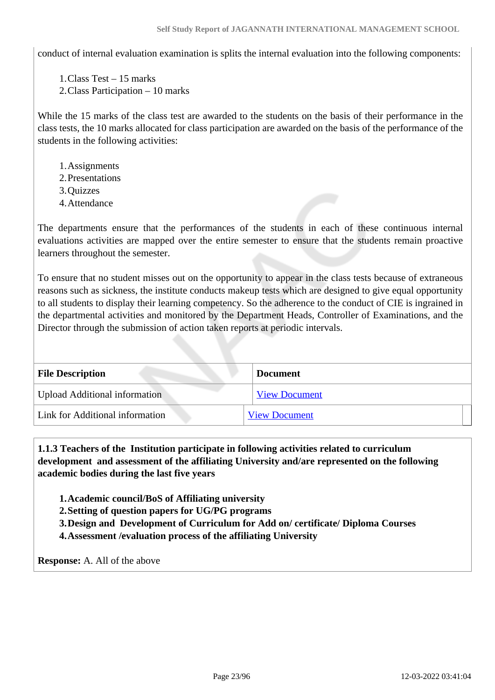conduct of internal evaluation examination is splits the internal evaluation into the following components:

1.Class Test – 15 marks

2.Class Participation – 10 marks

While the 15 marks of the class test are awarded to the students on the basis of their performance in the class tests, the 10 marks allocated for class participation are awarded on the basis of the performance of the students in the following activities:

- 1.Assignments
- 2.Presentations
- 3.Quizzes
- 4.Attendance

The departments ensure that the performances of the students in each of these continuous internal evaluations activities are mapped over the entire semester to ensure that the students remain proactive learners throughout the semester.

To ensure that no student misses out on the opportunity to appear in the class tests because of extraneous reasons such as sickness, the institute conducts makeup tests which are designed to give equal opportunity to all students to display their learning competency. So the adherence to the conduct of CIE is ingrained in the departmental activities and monitored by the Department Heads, Controller of Examinations, and the Director through the submission of action taken reports at periodic intervals.

| <b>File Description</b>              | <b>Document</b>      |
|--------------------------------------|----------------------|
| <b>Upload Additional information</b> | <b>View Document</b> |
| Link for Additional information      | <b>View Document</b> |

 **1.1.3 Teachers of the Institution participate in following activities related to curriculum development and assessment of the affiliating University and/are represented on the following academic bodies during the last five years** 

**1.Academic council/BoS of Affiliating university**

**2.Setting of question papers for UG/PG programs** 

**3.Design and Development of Curriculum for Add on/ certificate/ Diploma Courses** 

**4.Assessment /evaluation process of the affiliating University**

**Response:** A. All of the above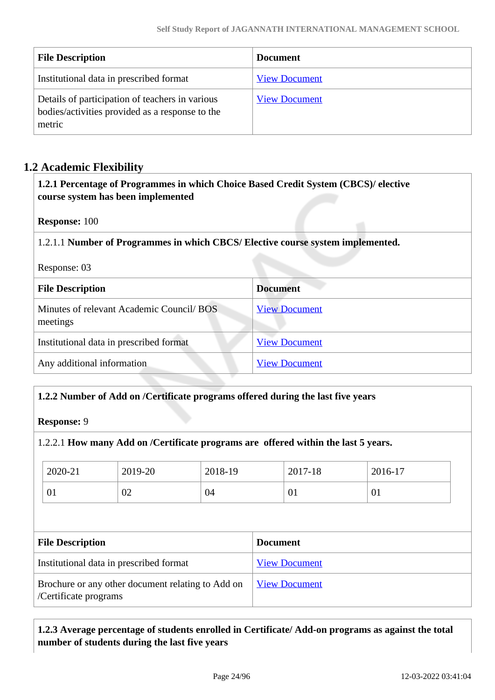| <b>File Description</b>                                                                                      | <b>Document</b>      |
|--------------------------------------------------------------------------------------------------------------|----------------------|
| Institutional data in prescribed format                                                                      | <b>View Document</b> |
| Details of participation of teachers in various<br>bodies/activities provided as a response to the<br>metric | <b>View Document</b> |

## **1.2 Academic Flexibility**

 **1.2.1 Percentage of Programmes in which Choice Based Credit System (CBCS)/ elective course system has been implemented** 

**Response:** 100

1.2.1.1 **Number of Programmes in which CBCS/ Elective course system implemented.**

Response: 03

| <b>File Description</b>                               | <b>Document</b>      |
|-------------------------------------------------------|----------------------|
| Minutes of relevant Academic Council/ BOS<br>meetings | <b>View Document</b> |
| Institutional data in prescribed format               | <b>View Document</b> |
| Any additional information                            | <b>View Document</b> |

### **1.2.2 Number of Add on /Certificate programs offered during the last five years**

**Response:** 9

### 1.2.2.1 **How many Add on /Certificate programs are offered within the last 5 years.**

| 2020-21                                                            | 2019-20 | 2018-19 |                 | 2017-18              | 2016-17 |  |
|--------------------------------------------------------------------|---------|---------|-----------------|----------------------|---------|--|
| 01                                                                 | 02      | 04      |                 | 01                   | 01      |  |
|                                                                    |         |         |                 |                      |         |  |
|                                                                    |         |         |                 |                      |         |  |
|                                                                    |         |         | <b>Document</b> |                      |         |  |
| <b>File Description</b><br>Institutional data in prescribed format |         |         |                 | <b>View Document</b> |         |  |

### **1.2.3 Average percentage of students enrolled in Certificate/ Add-on programs as against the total number of students during the last five years**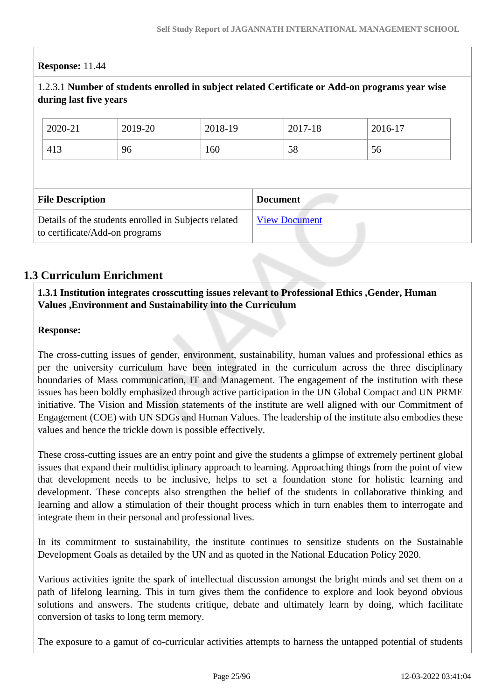### **Response:** 11.44

| 1.2.3.1 Number of students enrolled in subject related Certificate or Add-on programs year wise<br>during last five years |         |         |         |                      |                 |         |  |
|---------------------------------------------------------------------------------------------------------------------------|---------|---------|---------|----------------------|-----------------|---------|--|
|                                                                                                                           | 2020-21 | 2019-20 | 2018-19 |                      | 2017-18         | 2016-17 |  |
|                                                                                                                           | 413     | 96      | 160     |                      | 58              | 56      |  |
|                                                                                                                           |         |         |         |                      |                 |         |  |
| <b>File Description</b>                                                                                                   |         |         |         |                      | <b>Document</b> |         |  |
| Details of the students enrolled in Subjects related<br>to certificate/Add-on programs                                    |         |         |         | <b>View Document</b> |                 |         |  |

## **1.3 Curriculum Enrichment**

### **1.3.1 Institution integrates crosscutting issues relevant to Professional Ethics ,Gender, Human Values ,Environment and Sustainability into the Curriculum**

### **Response:**

The cross-cutting issues of gender, environment, sustainability, human values and professional ethics as per the university curriculum have been integrated in the curriculum across the three disciplinary boundaries of Mass communication, IT and Management. The engagement of the institution with these issues has been boldly emphasized through active participation in the UN Global Compact and UN PRME initiative. The Vision and Mission statements of the institute are well aligned with our Commitment of Engagement (COE) with UN SDGs and Human Values. The leadership of the institute also embodies these values and hence the trickle down is possible effectively.

These cross-cutting issues are an entry point and give the students a glimpse of extremely pertinent global issues that expand their multidisciplinary approach to learning. Approaching things from the point of view that development needs to be inclusive, helps to set a foundation stone for holistic learning and development. These concepts also strengthen the belief of the students in collaborative thinking and learning and allow a stimulation of their thought process which in turn enables them to interrogate and integrate them in their personal and professional lives.

In its commitment to sustainability, the institute continues to sensitize students on the Sustainable Development Goals as detailed by the UN and as quoted in the National Education Policy 2020.

Various activities ignite the spark of intellectual discussion amongst the bright minds and set them on a path of lifelong learning. This in turn gives them the confidence to explore and look beyond obvious solutions and answers. The students critique, debate and ultimately learn by doing, which facilitate conversion of tasks to long term memory.

The exposure to a gamut of co-curricular activities attempts to harness the untapped potential of students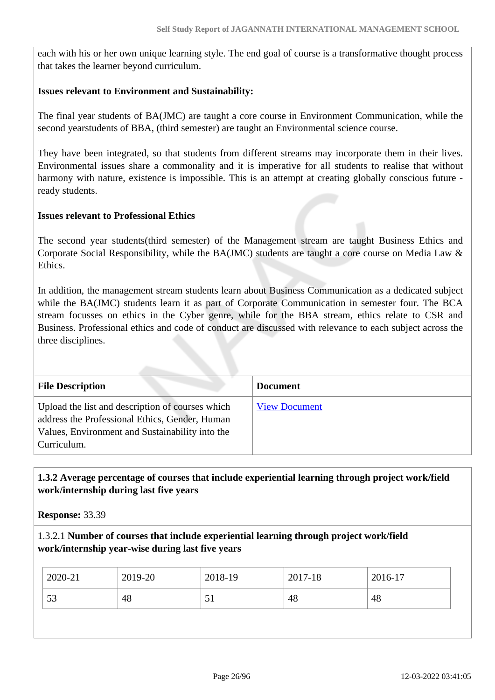each with his or her own unique learning style. The end goal of course is a transformative thought process that takes the learner beyond curriculum.

### **Issues relevant to Environment and Sustainability:**

The final year students of BA(JMC) are taught a core course in Environment Communication, while the second yearstudents of BBA, (third semester) are taught an Environmental science course.

They have been integrated, so that students from different streams may incorporate them in their lives. Environmental issues share a commonality and it is imperative for all students to realise that without harmony with nature, existence is impossible. This is an attempt at creating globally conscious future ready students.

### **Issues relevant to Professional Ethics**

The second year students(third semester) of the Management stream are taught Business Ethics and Corporate Social Responsibility, while the BA(JMC) students are taught a core course on Media Law & Ethics.

In addition, the management stream students learn about Business Communication as a dedicated subject while the BA(JMC) students learn it as part of Corporate Communication in semester four. The BCA stream focusses on ethics in the Cyber genre, while for the BBA stream, ethics relate to CSR and Business. Professional ethics and code of conduct are discussed with relevance to each subject across the three disciplines.

| <b>File Description</b>                                                                                                                                              | <b>Document</b>      |
|----------------------------------------------------------------------------------------------------------------------------------------------------------------------|----------------------|
| Upload the list and description of courses which<br>address the Professional Ethics, Gender, Human<br>Values, Environment and Sustainability into the<br>Curriculum. | <b>View Document</b> |

### **1.3.2 Average percentage of courses that include experiential learning through project work/field work/internship during last five years**

**Response:** 33.39

### 1.3.2.1 **Number of courses that include experiential learning through project work/field work/internship year-wise during last five years**

| 2020-21<br>2019-20<br>2018-19<br>2017-18         | 2016-17 |
|--------------------------------------------------|---------|
| 48<br>53<br>48<br>48<br>$\overline{\mathcal{L}}$ |         |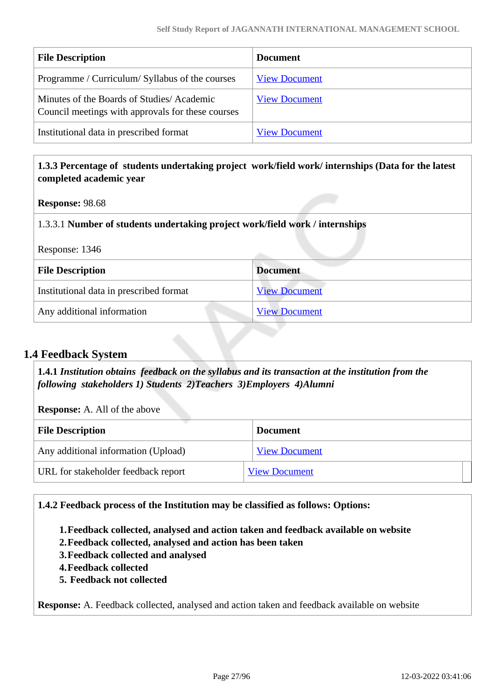| <b>File Description</b>                                                                        | <b>Document</b>      |
|------------------------------------------------------------------------------------------------|----------------------|
| Programme / Curriculum/ Syllabus of the courses                                                | <b>View Document</b> |
| Minutes of the Boards of Studies/Academic<br>Council meetings with approvals for these courses | <b>View Document</b> |
| Institutional data in prescribed format                                                        | <b>View Document</b> |

### **1.3.3 Percentage of students undertaking project work/field work/ internships (Data for the latest completed academic year**

### **Response:** 98.68

### 1.3.3.1 **Number of students undertaking project work/field work / internships**

| Response: 1346 |  |
|----------------|--|
|----------------|--|

| <b>File Description</b>                 | <b>Document</b>      |
|-----------------------------------------|----------------------|
| Institutional data in prescribed format | <b>View Document</b> |
| Any additional information              | <b>View Document</b> |

### **1.4 Feedback System**

 **1.4.1** *Institution obtains feedback on the syllabus and its transaction at the institution from the following stakeholders 1) Students 2)Teachers 3)Employers 4)Alumni* 

**Response:** A. All of the above

| <b>File Description</b>             | <b>Document</b>      |
|-------------------------------------|----------------------|
| Any additional information (Upload) | <b>View Document</b> |
| URL for stakeholder feedback report | <b>View Document</b> |

### **1.4.2 Feedback process of the Institution may be classified as follows: Options:**

**1.Feedback collected, analysed and action taken and feedback available on website**

- **2.Feedback collected, analysed and action has been taken**
- **3.Feedback collected and analysed**
- **4.Feedback collected**
- **5. Feedback not collected**

**Response:** A. Feedback collected, analysed and action taken and feedback available on website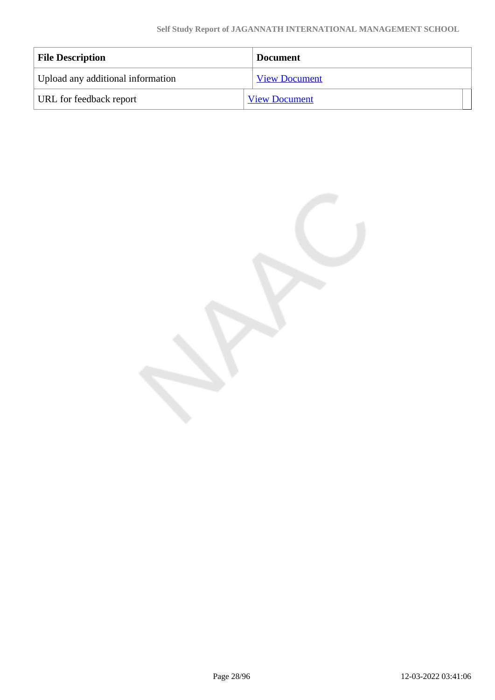| <b>File Description</b>           | <b>Document</b>      |
|-----------------------------------|----------------------|
| Upload any additional information | <b>View Document</b> |
| URL for feedback report           | <b>View Document</b> |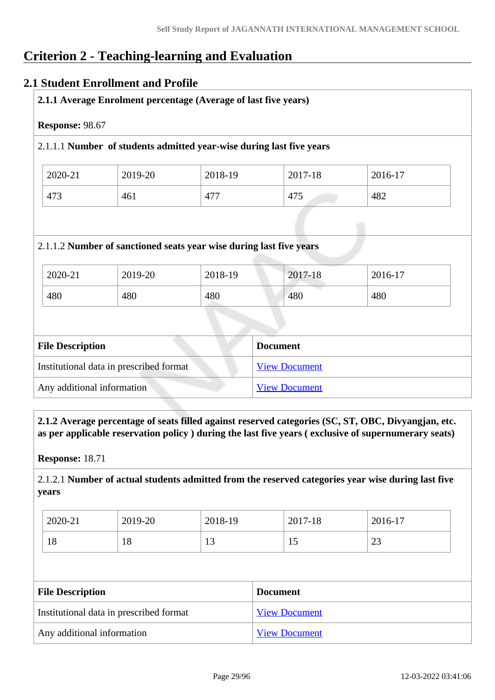# **Criterion 2 - Teaching-learning and Evaluation**

### **2.1 Student Enrollment and Profile**

| 2.1.1 Average Enrolment percentage (Average of last five years)      |                                         |                                                                     |                      |         |  |
|----------------------------------------------------------------------|-----------------------------------------|---------------------------------------------------------------------|----------------------|---------|--|
| Response: 98.67                                                      |                                         |                                                                     |                      |         |  |
| 2.1.1.1 Number of students admitted year-wise during last five years |                                         |                                                                     |                      |         |  |
| 2020-21                                                              | 2019-20                                 | 2018-19                                                             | 2017-18              | 2016-17 |  |
| 473                                                                  | 461                                     | 477                                                                 | 475                  | 482     |  |
|                                                                      |                                         | 2.1.1.2 Number of sanctioned seats year wise during last five years |                      |         |  |
| 2020-21                                                              | 2019-20                                 | 2018-19                                                             | 2017-18              | 2016-17 |  |
| 480                                                                  | 480                                     | 480                                                                 | 480                  | 480     |  |
|                                                                      |                                         |                                                                     |                      |         |  |
| <b>File Description</b>                                              |                                         |                                                                     | <b>Document</b>      |         |  |
|                                                                      | Institutional data in prescribed format |                                                                     | <b>View Document</b> |         |  |

 **2.1.2 Average percentage of seats filled against reserved categories (SC, ST, OBC, Divyangjan, etc. as per applicable reservation policy ) during the last five years ( exclusive of supernumerary seats)**

**Response:** 18.71

2.1.2.1 **Number of actual students admitted from the reserved categories year wise during last five years**

| 2020-21   | 2019-20 | 2018-19      | 2017-18 | 2016-17      |
|-----------|---------|--------------|---------|--------------|
| 1 O<br>18 | 18      | $\sim$<br>⊥⊃ | 1.      | $\cap$<br>رے |

| <b>File Description</b>                 | <b>Document</b>      |  |
|-----------------------------------------|----------------------|--|
| Institutional data in prescribed format | <b>View Document</b> |  |
| Any additional information              | <b>View Document</b> |  |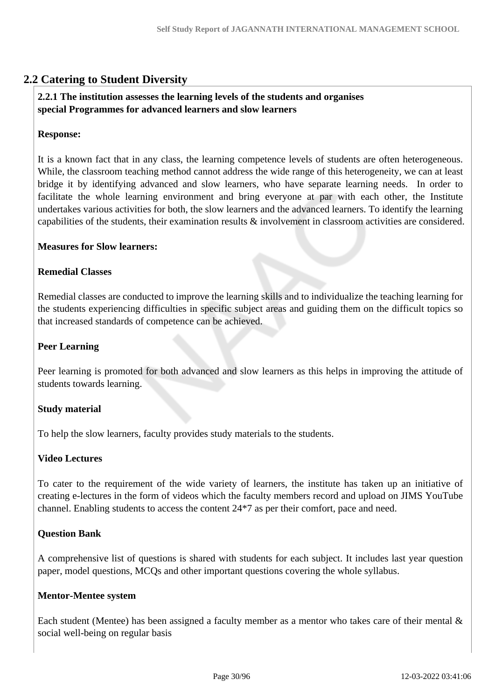## **2.2 Catering to Student Diversity**

### **2.2.1 The institution assesses the learning levels of the students and organises special Programmes for advanced learners and slow learners**

#### **Response:**

It is a known fact that in any class, the learning competence levels of students are often heterogeneous. While, the classroom teaching method cannot address the wide range of this heterogeneity, we can at least bridge it by identifying advanced and slow learners, who have separate learning needs. In order to facilitate the whole learning environment and bring everyone at par with each other, the Institute undertakes various activities for both, the slow learners and the advanced learners. To identify the learning capabilities of the students, their examination results & involvement in classroom activities are considered.

#### **Measures for Slow learners:**

### **Remedial Classes**

Remedial classes are conducted to improve the learning skills and to individualize the teaching learning for the students experiencing difficulties in specific subject areas and guiding them on the difficult topics so that increased standards of competence can be achieved.

### **Peer Learning**

Peer learning is promoted for both advanced and slow learners as this helps in improving the attitude of students towards learning.

#### **Study material**

To help the slow learners, faculty provides study materials to the students.

### **Video Lectures**

To cater to the requirement of the wide variety of learners, the institute has taken up an initiative of creating e-lectures in the form of videos which the faculty members record and upload on JIMS YouTube channel. Enabling students to access the content 24\*7 as per their comfort, pace and need.

### **Question Bank**

A comprehensive list of questions is shared with students for each subject. It includes last year question paper, model questions, MCQs and other important questions covering the whole syllabus.

#### **Mentor-Mentee system**

Each student (Mentee) has been assigned a faculty member as a mentor who takes care of their mental & social well-being on regular basis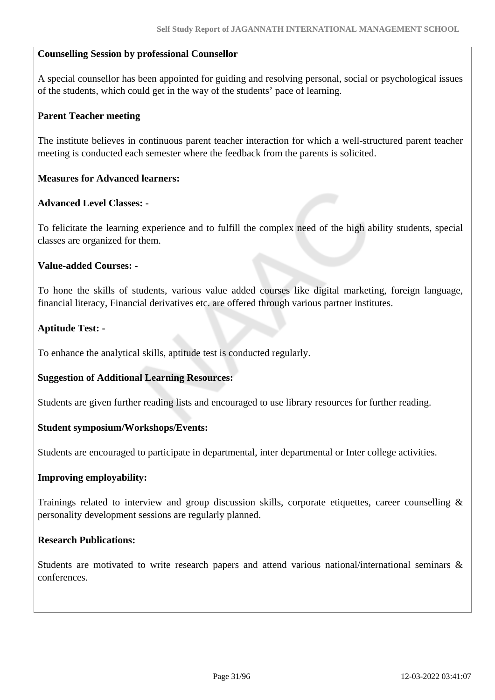### **Counselling Session by professional Counsellor**

A special counsellor has been appointed for guiding and resolving personal, social or psychological issues of the students, which could get in the way of the students' pace of learning.

### **Parent Teacher meeting**

The institute believes in continuous parent teacher interaction for which a well-structured parent teacher meeting is conducted each semester where the feedback from the parents is solicited.

### **Measures for Advanced learners:**

### **Advanced Level Classes: -**

To felicitate the learning experience and to fulfill the complex need of the high ability students, special classes are organized for them.

#### **Value-added Courses: -**

To hone the skills of students, various value added courses like digital marketing, foreign language, financial literacy, Financial derivatives etc. are offered through various partner institutes.

### **Aptitude Test: -**

To enhance the analytical skills, aptitude test is conducted regularly.

#### **Suggestion of Additional Learning Resources:**

Students are given further reading lists and encouraged to use library resources for further reading.

#### **Student symposium/Workshops/Events:**

Students are encouraged to participate in departmental, inter departmental or Inter college activities.

#### **Improving employability:**

Trainings related to interview and group discussion skills, corporate etiquettes, career counselling & personality development sessions are regularly planned.

#### **Research Publications:**

Students are motivated to write research papers and attend various national/international seminars & conferences.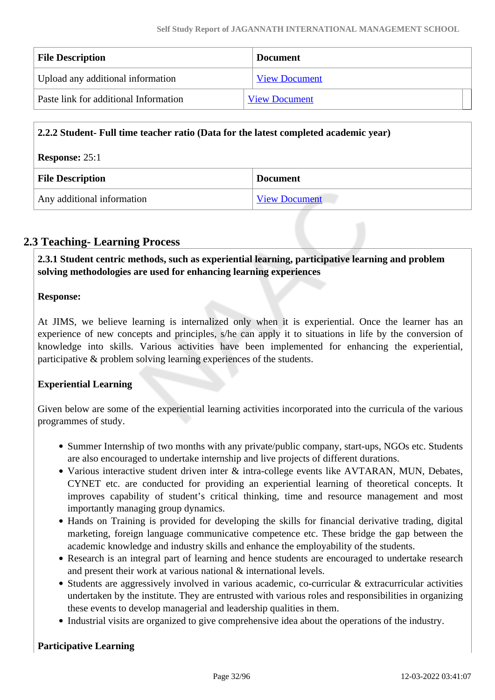| <b>File Description</b>               | <b>Document</b>      |
|---------------------------------------|----------------------|
| Upload any additional information     | <b>View Document</b> |
| Paste link for additional Information | <b>View Document</b> |

| 2.2.2 Student- Full time teacher ratio (Data for the latest completed academic year) |                      |  |
|--------------------------------------------------------------------------------------|----------------------|--|
| <b>Response: 25:1</b>                                                                |                      |  |
| <b>File Description</b>                                                              | <b>Document</b>      |  |
| Any additional information                                                           | <b>View Document</b> |  |

## **2.3 Teaching- Learning Process**

 **2.3.1 Student centric methods, such as experiential learning, participative learning and problem solving methodologies are used for enhancing learning experiences**

### **Response:**

At JIMS, we believe learning is internalized only when it is experiential. Once the learner has an experience of new concepts and principles, s/he can apply it to situations in life by the conversion of knowledge into skills. Various activities have been implemented for enhancing the experiential, participative & problem solving learning experiences of the students.

### **Experiential Learning**

Given below are some of the experiential learning activities incorporated into the curricula of the various programmes of study.

- Summer Internship of two months with any private/public company, start-ups, NGOs etc. Students are also encouraged to undertake internship and live projects of different durations.
- Various interactive student driven inter & intra-college events like AVTARAN, MUN, Debates, CYNET etc. are conducted for providing an experiential learning of theoretical concepts. It improves capability of student's critical thinking, time and resource management and most importantly managing group dynamics.
- Hands on Training is provided for developing the skills for financial derivative trading, digital marketing, foreign language communicative competence etc. These bridge the gap between the academic knowledge and industry skills and enhance the employability of the students.
- Research is an integral part of learning and hence students are encouraged to undertake research and present their work at various national & international levels.
- Students are aggressively involved in various academic, co-curricular & extracurricular activities undertaken by the institute. They are entrusted with various roles and responsibilities in organizing these events to develop managerial and leadership qualities in them.
- Industrial visits are organized to give comprehensive idea about the operations of the industry.

### **Participative Learning**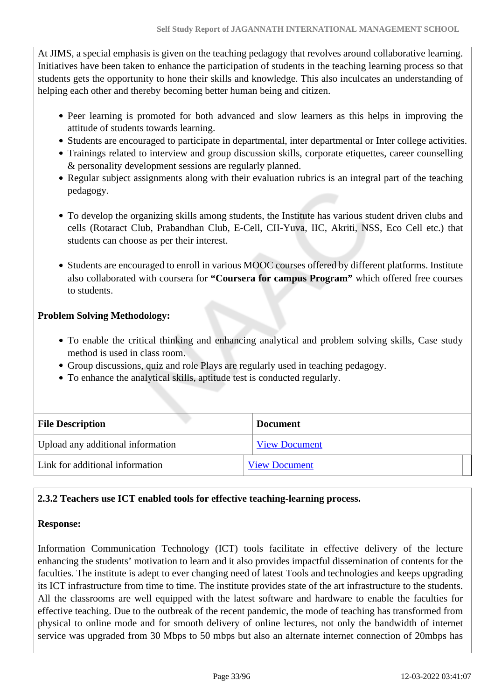At JIMS, a special emphasis is given on the teaching pedagogy that revolves around collaborative learning. Initiatives have been taken to enhance the participation of students in the teaching learning process so that students gets the opportunity to hone their skills and knowledge. This also inculcates an understanding of helping each other and thereby becoming better human being and citizen.

- Peer learning is promoted for both advanced and slow learners as this helps in improving the attitude of students towards learning.
- Students are encouraged to participate in departmental, inter departmental or Inter college activities.
- Trainings related to interview and group discussion skills, corporate etiquettes, career counselling & personality development sessions are regularly planned.
- Regular subject assignments along with their evaluation rubrics is an integral part of the teaching pedagogy.
- To develop the organizing skills among students, the Institute has various student driven clubs and cells (Rotaract Club, Prabandhan Club, E-Cell, CII-Yuva, IIC, Akriti, NSS, Eco Cell etc.) that students can choose as per their interest.
- Students are encouraged to enroll in various MOOC courses offered by different platforms. Institute also collaborated with coursera for **"Coursera for campus Program"** which offered free courses to students.

### **Problem Solving Methodology:**

- To enable the critical thinking and enhancing analytical and problem solving skills, Case study method is used in class room.
- Group discussions, quiz and role Plays are regularly used in teaching pedagogy.
- To enhance the analytical skills, aptitude test is conducted regularly.

| <b>File Description</b>           | <b>Document</b>      |
|-----------------------------------|----------------------|
| Upload any additional information | <b>View Document</b> |
| Link for additional information   | <b>View Document</b> |

### **2.3.2 Teachers use ICT enabled tools for effective teaching-learning process.**

### **Response:**

Information Communication Technology (ICT) tools facilitate in effective delivery of the lecture enhancing the students' motivation to learn and it also provides impactful dissemination of contents for the faculties. The institute is adept to ever changing need of latest Tools and technologies and keeps upgrading its ICT infrastructure from time to time. The institute provides state of the art infrastructure to the students. All the classrooms are well equipped with the latest software and hardware to enable the faculties for effective teaching. Due to the outbreak of the recent pandemic, the mode of teaching has transformed from physical to online mode and for smooth delivery of online lectures, not only the bandwidth of internet service was upgraded from 30 Mbps to 50 mbps but also an alternate internet connection of 20mbps has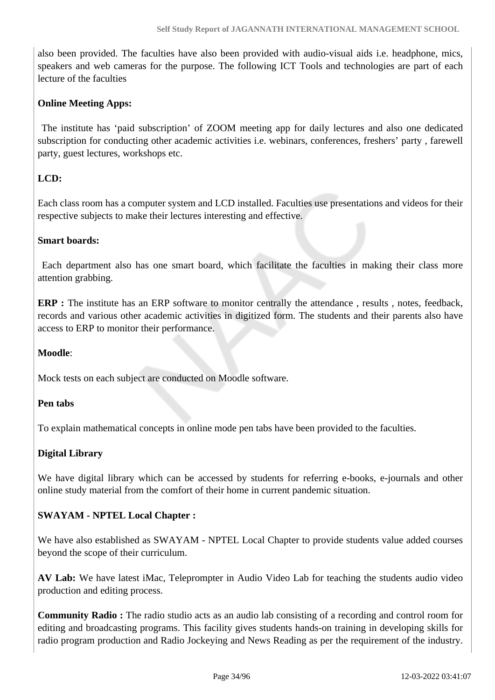also been provided. The faculties have also been provided with audio-visual aids i.e. headphone, mics, speakers and web cameras for the purpose. The following ICT Tools and technologies are part of each lecture of the faculties

### **Online Meeting Apps:**

 The institute has 'paid subscription' of ZOOM meeting app for daily lectures and also one dedicated subscription for conducting other academic activities i.e. webinars, conferences, freshers' party , farewell party, guest lectures, workshops etc.

### **LCD:**

Each class room has a computer system and LCD installed. Faculties use presentations and videos for their respective subjects to make their lectures interesting and effective.

### **Smart boards:**

 Each department also has one smart board, which facilitate the faculties in making their class more attention grabbing.

**ERP** : The institute has an ERP software to monitor centrally the attendance, results, notes, feedback, records and various other academic activities in digitized form. The students and their parents also have access to ERP to monitor their performance.

### **Moodle**:

Mock tests on each subject are conducted on Moodle software.

### **Pen tabs**

To explain mathematical concepts in online mode pen tabs have been provided to the faculties.

### **Digital Library**

We have digital library which can be accessed by students for referring e-books, e-journals and other online study material from the comfort of their home in current pandemic situation.

### **SWAYAM - NPTEL Local Chapter :**

We have also established as SWAYAM - NPTEL Local Chapter to provide students value added courses beyond the scope of their curriculum.

**AV Lab:** We have latest iMac, Teleprompter in Audio Video Lab for teaching the students audio video production and editing process.

**Community Radio :** The radio studio acts as an audio lab consisting of a recording and control room for editing and broadcasting programs. This facility gives students hands-on training in developing skills for radio program production and Radio Jockeying and News Reading as per the requirement of the industry.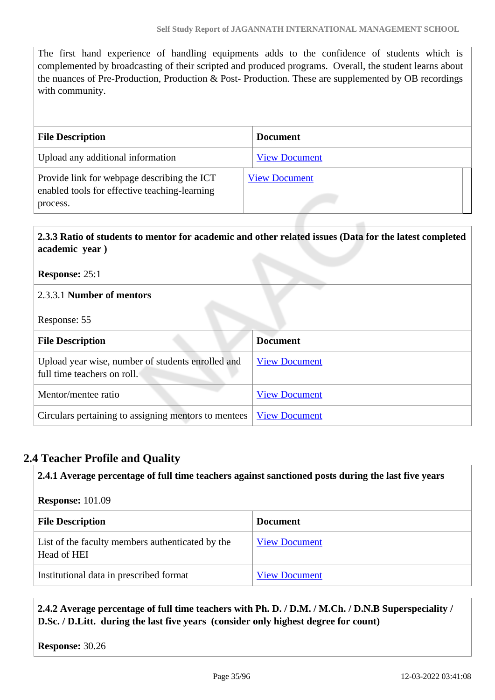The first hand experience of handling equipments adds to the confidence of students which is complemented by broadcasting of their scripted and produced programs. Overall, the student learns about the nuances of Pre-Production, Production & Post- Production. These are supplemented by OB recordings with community.

| <b>File Description</b>                                                                                  | <b>Document</b>      |
|----------------------------------------------------------------------------------------------------------|----------------------|
| Upload any additional information                                                                        | <b>View Document</b> |
| Provide link for webpage describing the ICT<br>enabled tools for effective teaching-learning<br>process. | <b>View Document</b> |

## **2.3.3 Ratio of students to mentor for academic and other related issues (Data for the latest completed academic year )**

**Response:** 25:1

### 2.3.3.1 **Number of mentors**

Response: 55

| <b>File Description</b>                                                          | <b>Document</b>      |  |
|----------------------------------------------------------------------------------|----------------------|--|
| Upload year wise, number of students enrolled and<br>full time teachers on roll. | <b>View Document</b> |  |
| Mentor/mentee ratio                                                              | <b>View Document</b> |  |
| Circulars pertaining to assigning mentors to mentees                             | <b>View Document</b> |  |

### **2.4 Teacher Profile and Quality**

**2.4.1 Average percentage of full time teachers against sanctioned posts during the last five years**

| <b>Response: 101.09</b>                                         |                      |  |
|-----------------------------------------------------------------|----------------------|--|
| <b>File Description</b>                                         | <b>Document</b>      |  |
| List of the faculty members authenticated by the<br>Head of HEI | <b>View Document</b> |  |
| Institutional data in prescribed format                         | <b>View Document</b> |  |

 **2.4.2 Average percentage of full time teachers with Ph. D. / D.M. / M.Ch. / D.N.B Superspeciality / D.Sc. / D.Litt. during the last five years (consider only highest degree for count)**

**Response:** 30.26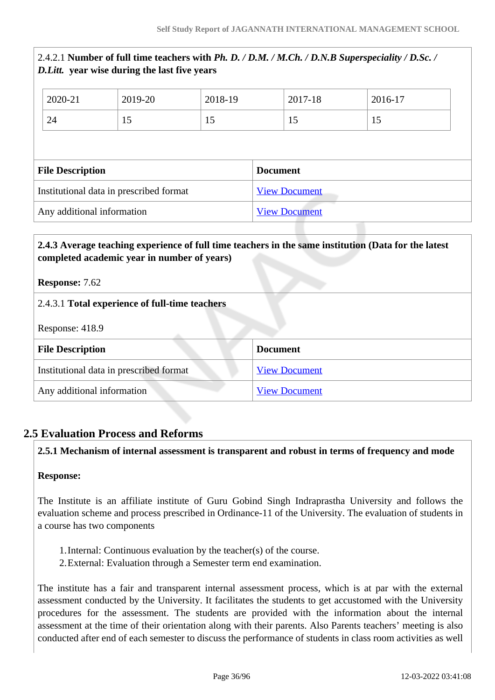|                                         | <i>D. Litt.</i> year wise during the last five years |                      |                 | 2.4.2.1 Number of full time teachers with Ph. D. / D.M. / M.Ch. / D.N.B Superspeciality / D.Sc. / |  |
|-----------------------------------------|------------------------------------------------------|----------------------|-----------------|---------------------------------------------------------------------------------------------------|--|
| 2020-21                                 | 2019-20                                              | 2018-19              | 2017-18         | 2016-17                                                                                           |  |
| 24                                      | 15                                                   | 15                   | 15              | 15                                                                                                |  |
|                                         |                                                      |                      |                 |                                                                                                   |  |
| <b>File Description</b>                 |                                                      |                      | <b>Document</b> |                                                                                                   |  |
| Institutional data in prescribed format |                                                      | <b>View Document</b> |                 |                                                                                                   |  |
| Any additional information              |                                                      | <b>View Document</b> |                 |                                                                                                   |  |

### **2.4.3 Average teaching experience of full time teachers in the same institution (Data for the latest completed academic year in number of years)**

**Response:** 7.62

## 2.4.3.1 **Total experience of full-time teachers**

Response: 418.9

| <b>File Description</b>                 | <b>Document</b>      |
|-----------------------------------------|----------------------|
| Institutional data in prescribed format | <b>View Document</b> |
| Any additional information              | <b>View Document</b> |

# **2.5 Evaluation Process and Reforms**

### **2.5.1 Mechanism of internal assessment is transparent and robust in terms of frequency and mode**

### **Response:**

The Institute is an affiliate institute of Guru Gobind Singh Indraprastha University and follows the evaluation scheme and process prescribed in Ordinance-11 of the University. The evaluation of students in a course has two components

- 1.Internal: Continuous evaluation by the teacher(s) of the course.
- 2.External: Evaluation through a Semester term end examination.

The institute has a fair and transparent internal assessment process, which is at par with the external assessment conducted by the University. It facilitates the students to get accustomed with the University procedures for the assessment. The students are provided with the information about the internal assessment at the time of their orientation along with their parents. Also Parents teachers' meeting is also conducted after end of each semester to discuss the performance of students in class room activities as well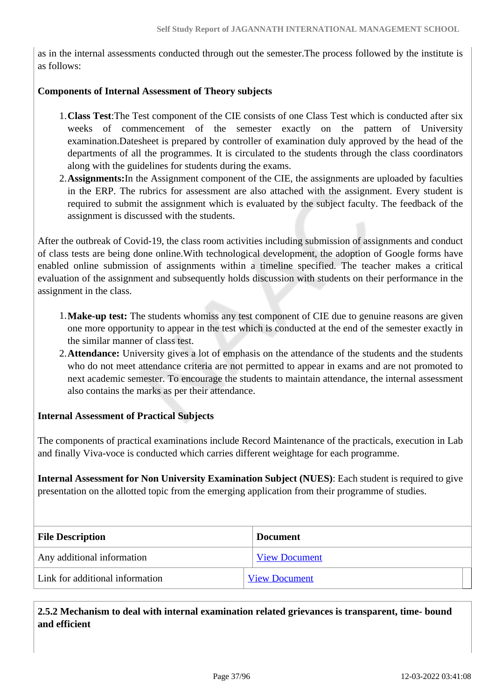as in the internal assessments conducted through out the semester.The process followed by the institute is as follows:

### **Components of Internal Assessment of Theory subjects**

- 1.**Class Test**:The Test component of the CIE consists of one Class Test which is conducted after six weeks of commencement of the semester exactly on the pattern of University examination.Datesheet is prepared by controller of examination duly approved by the head of the departments of all the programmes. It is circulated to the students through the class coordinators along with the guidelines for students during the exams.
- 2.**Assignments:**In the Assignment component of the CIE, the assignments are uploaded by faculties in the ERP. The rubrics for assessment are also attached with the assignment. Every student is required to submit the assignment which is evaluated by the subject faculty. The feedback of the assignment is discussed with the students.

After the outbreak of Covid-19, the class room activities including submission of assignments and conduct of class tests are being done online.With technological development, the adoption of Google forms have enabled online submission of assignments within a timeline specified. The teacher makes a critical evaluation of the assignment and subsequently holds discussion with students on their performance in the assignment in the class.

- 1.**Make-up test:** The students whomiss any test component of CIE due to genuine reasons are given one more opportunity to appear in the test which is conducted at the end of the semester exactly in the similar manner of class test.
- 2.**Attendance:** University gives a lot of emphasis on the attendance of the students and the students who do not meet attendance criteria are not permitted to appear in exams and are not promoted to next academic semester. To encourage the students to maintain attendance, the internal assessment also contains the marks as per their attendance.

### **Internal Assessment of Practical Subjects**

The components of practical examinations include Record Maintenance of the practicals, execution in Lab and finally Viva-voce is conducted which carries different weightage for each programme.

**Internal Assessment for Non University Examination Subject (NUES)**: Each student is required to give presentation on the allotted topic from the emerging application from their programme of studies.

| <b>File Description</b>         | <b>Document</b>      |
|---------------------------------|----------------------|
| Any additional information      | <b>View Document</b> |
| Link for additional information | <b>View Document</b> |

 **2.5.2 Mechanism to deal with internal examination related grievances is transparent, time- bound and efficient**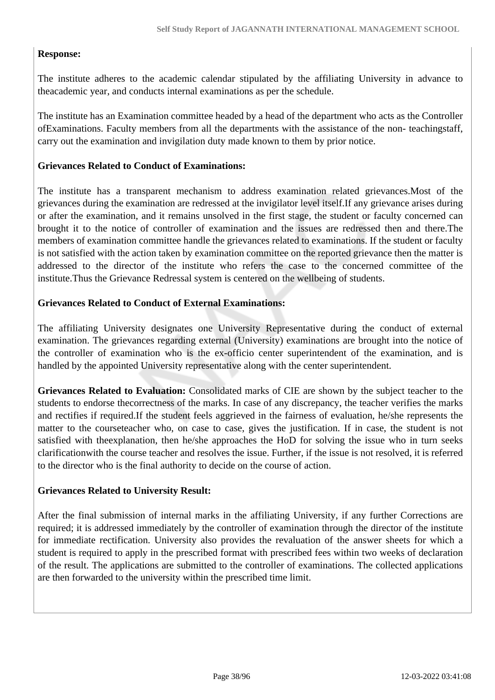### **Response:**

The institute adheres to the academic calendar stipulated by the affiliating University in advance to theacademic year, and conducts internal examinations as per the schedule.

The institute has an Examination committee headed by a head of the department who acts as the Controller ofExaminations. Faculty members from all the departments with the assistance of the non- teachingstaff, carry out the examination and invigilation duty made known to them by prior notice.

#### **Grievances Related to Conduct of Examinations:**

The institute has a transparent mechanism to address examination related grievances.Most of the grievances during the examination are redressed at the invigilator level itself.If any grievance arises during or after the examination, and it remains unsolved in the first stage, the student or faculty concerned can brought it to the notice of controller of examination and the issues are redressed then and there.The members of examination committee handle the grievances related to examinations. If the student or faculty is not satisfied with the action taken by examination committee on the reported grievance then the matter is addressed to the director of the institute who refers the case to the concerned committee of the institute.Thus the Grievance Redressal system is centered on the wellbeing of students.

### **Grievances Related to Conduct of External Examinations:**

The affiliating University designates one University Representative during the conduct of external examination. The grievances regarding external (University) examinations are brought into the notice of the controller of examination who is the ex-officio center superintendent of the examination, and is handled by the appointed University representative along with the center superintendent.

**Grievances Related to Evaluation:** Consolidated marks of CIE are shown by the subject teacher to the students to endorse thecorrectness of the marks. In case of any discrepancy, the teacher verifies the marks and rectifies if required.If the student feels aggrieved in the fairness of evaluation, he/she represents the matter to the courseteacher who, on case to case, gives the justification. If in case, the student is not satisfied with theexplanation, then he/she approaches the HoD for solving the issue who in turn seeks clarificationwith the course teacher and resolves the issue. Further, if the issue is not resolved, it is referred to the director who is the final authority to decide on the course of action.

#### **Grievances Related to University Result:**

After the final submission of internal marks in the affiliating University, if any further Corrections are required; it is addressed immediately by the controller of examination through the director of the institute for immediate rectification. University also provides the revaluation of the answer sheets for which a student is required to apply in the prescribed format with prescribed fees within two weeks of declaration of the result. The applications are submitted to the controller of examinations. The collected applications are then forwarded to the university within the prescribed time limit.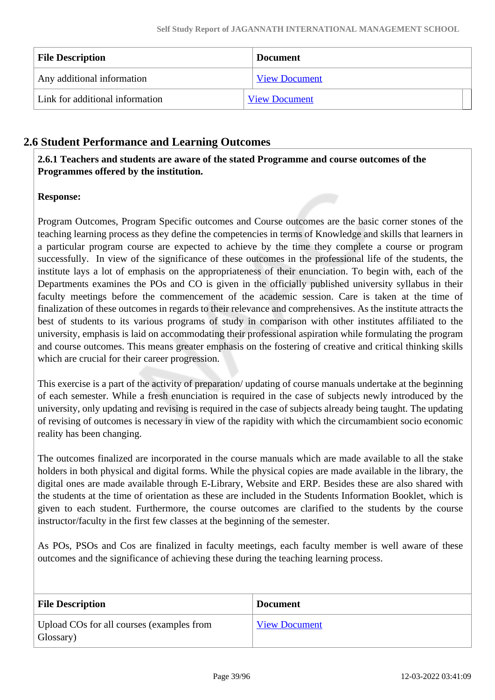| <b>File Description</b>         | <b>Document</b>      |
|---------------------------------|----------------------|
| Any additional information      | <b>View Document</b> |
| Link for additional information | <b>View Document</b> |

# **2.6 Student Performance and Learning Outcomes**

 **2.6.1 Teachers and students are aware of the stated Programme and course outcomes of the Programmes offered by the institution.**

# **Response:**

Program Outcomes, Program Specific outcomes and Course outcomes are the basic corner stones of the teaching learning process as they define the competencies in terms of Knowledge and skills that learners in a particular program course are expected to achieve by the time they complete a course or program successfully. In view of the significance of these outcomes in the professional life of the students, the institute lays a lot of emphasis on the appropriateness of their enunciation. To begin with, each of the Departments examines the POs and CO is given in the officially published university syllabus in their faculty meetings before the commencement of the academic session. Care is taken at the time of finalization of these outcomes in regards to their relevance and comprehensives. As the institute attracts the best of students to its various programs of study in comparison with other institutes affiliated to the university, emphasis is laid on accommodating their professional aspiration while formulating the program and course outcomes. This means greater emphasis on the fostering of creative and critical thinking skills which are crucial for their career progression.

This exercise is a part of the activity of preparation/ updating of course manuals undertake at the beginning of each semester. While a fresh enunciation is required in the case of subjects newly introduced by the university, only updating and revising is required in the case of subjects already being taught. The updating of revising of outcomes is necessary in view of the rapidity with which the circumambient socio economic reality has been changing.

The outcomes finalized are incorporated in the course manuals which are made available to all the stake holders in both physical and digital forms. While the physical copies are made available in the library, the digital ones are made available through E-Library, Website and ERP. Besides these are also shared with the students at the time of orientation as these are included in the Students Information Booklet, which is given to each student. Furthermore, the course outcomes are clarified to the students by the course instructor/faculty in the first few classes at the beginning of the semester.

As POs, PSOs and Cos are finalized in faculty meetings, each faculty member is well aware of these outcomes and the significance of achieving these during the teaching learning process.

| <b>File Description</b>                                | <b>Document</b>      |
|--------------------------------------------------------|----------------------|
| Upload COs for all courses (examples from<br>Glossary) | <b>View Document</b> |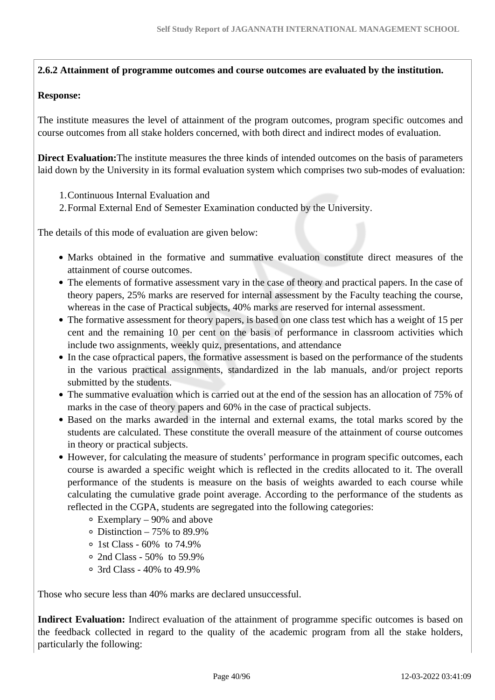**2.6.2 Attainment of programme outcomes and course outcomes are evaluated by the institution.**

### **Response:**

The institute measures the level of attainment of the program outcomes, program specific outcomes and course outcomes from all stake holders concerned, with both direct and indirect modes of evaluation.

**Direct Evaluation:**The institute measures the three kinds of intended outcomes on the basis of parameters laid down by the University in its formal evaluation system which comprises two sub-modes of evaluation:

- 1.Continuous Internal Evaluation and
- 2.Formal External End of Semester Examination conducted by the University.

The details of this mode of evaluation are given below:

- Marks obtained in the formative and summative evaluation constitute direct measures of the attainment of course outcomes.
- The elements of formative assessment vary in the case of theory and practical papers. In the case of theory papers, 25% marks are reserved for internal assessment by the Faculty teaching the course, whereas in the case of Practical subjects, 40% marks are reserved for internal assessment.
- The formative assessment for theory papers, is based on one class test which has a weight of 15 per cent and the remaining 10 per cent on the basis of performance in classroom activities which include two assignments, weekly quiz, presentations, and attendance
- In the case of practical papers, the formative assessment is based on the performance of the students in the various practical assignments, standardized in the lab manuals, and/or project reports submitted by the students.
- The summative evaluation which is carried out at the end of the session has an allocation of 75% of marks in the case of theory papers and 60% in the case of practical subjects.
- Based on the marks awarded in the internal and external exams, the total marks scored by the students are calculated. These constitute the overall measure of the attainment of course outcomes in theory or practical subjects.
- However, for calculating the measure of students' performance in program specific outcomes, each course is awarded a specific weight which is reflected in the credits allocated to it. The overall performance of the students is measure on the basis of weights awarded to each course while calculating the cumulative grade point average. According to the performance of the students as reflected in the CGPA, students are segregated into the following categories:
	- Exemplary 90% and above
	- $\circ$  Distinction 75% to 89.9%
	- $\circ$  1st Class 60% to 74.9%
	- 2nd Class 50% to 59.9%
	- 3rd Class 40% to 49.9%

Those who secure less than 40% marks are declared unsuccessful.

**Indirect Evaluation:** Indirect evaluation of the attainment of programme specific outcomes is based on the feedback collected in regard to the quality of the academic program from all the stake holders, particularly the following: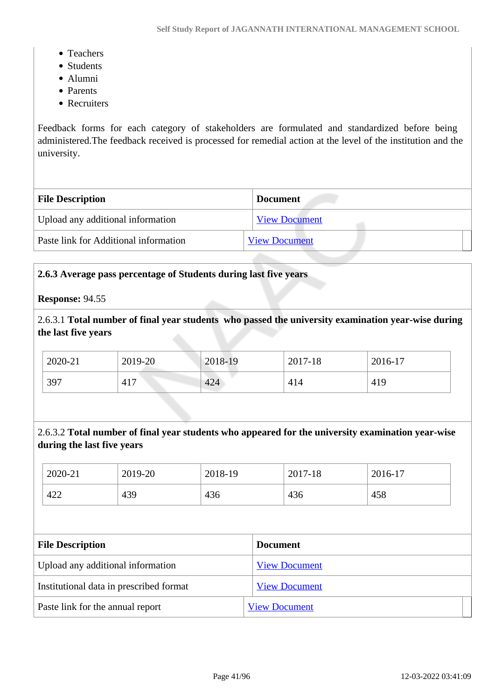- Teachers
- Students
- Alumni
- Parents
- Recruiters

Feedback forms for each category of stakeholders are formulated and standardized before being administered.The feedback received is processed for remedial action at the level of the institution and the university.

| <b>File Description</b>               | <b>Document</b>      |
|---------------------------------------|----------------------|
| Upload any additional information     | <b>View Document</b> |
| Paste link for Additional information | <b>View Document</b> |

### **2.6.3 Average pass percentage of Students during last five years**

#### **Response:** 94.55

2.6.3.1 **Total number of final year students who passed the university examination year-wise during the last five years**

| 2020-21 | 2019-20 | 2018-19 | 2017-18 | 2016-17 |
|---------|---------|---------|---------|---------|
| 397     | 417     | 424     | 414     | 419     |

# 2.6.3.2 **Total number of final year students who appeared for the university examination year-wise during the last five years**

| 2020-21 | 2019-20 | 2018-19 | 2017-18 | 2016-17 |
|---------|---------|---------|---------|---------|
| 422     | 439     | 436     | 436     | 458     |

| <b>File Description</b>                 | <b>Document</b>      |
|-----------------------------------------|----------------------|
| Upload any additional information       | <b>View Document</b> |
| Institutional data in prescribed format | <b>View Document</b> |
| Paste link for the annual report        | <b>View Document</b> |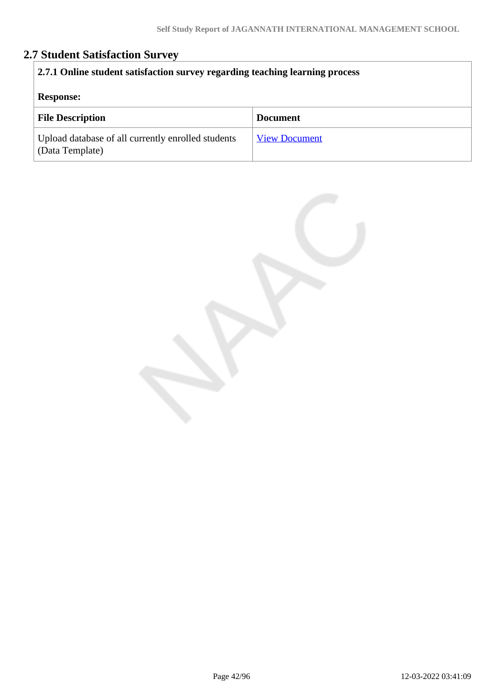# **2.7 Student Satisfaction Survey**

| 2.7.1 Online student satisfaction survey regarding teaching learning process<br><b>Response:</b> |                      |  |
|--------------------------------------------------------------------------------------------------|----------------------|--|
| <b>File Description</b>                                                                          | <b>Document</b>      |  |
| Upload database of all currently enrolled students<br>(Data Template)                            | <b>View Document</b> |  |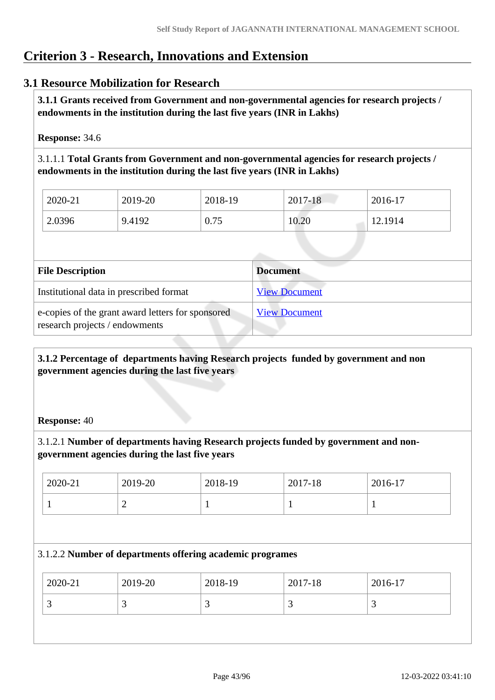# **Criterion 3 - Research, Innovations and Extension**

# **3.1 Resource Mobilization for Research**

 **3.1.1 Grants received from Government and non-governmental agencies for research projects / endowments in the institution during the last five years (INR in Lakhs)** 

**Response:** 34.6

3.1.1.1 **Total Grants from Government and non-governmental agencies for research projects / endowments in the institution during the last five years (INR in Lakhs)**

| 2020-21 | 2019-20 | 2018-19 | 2017-18 | 2016-17 |
|---------|---------|---------|---------|---------|
| 2.0396  | 9.4192  | 0.75    | 10.20   | 12.1914 |

| <b>File Description</b>                                                             | <b>Document</b>      |
|-------------------------------------------------------------------------------------|----------------------|
| Institutional data in prescribed format                                             | <b>View Document</b> |
| e-copies of the grant award letters for sponsored<br>research projects / endowments | <b>View Document</b> |

 **3.1.2 Percentage of departments having Research projects funded by government and non government agencies during the last five years**

### **Response:** 40

3.1.2.1 **Number of departments having Research projects funded by government and nongovernment agencies during the last five years**

| 2020-21 | 2019-20 | 2018-19 | 2017-18 | 2016-17 |
|---------|---------|---------|---------|---------|
|         | -       | ÷       |         | л.      |

### 3.1.2.2 **Number of departments offering academic programes**

| 2020-21  | 2019-20 | 2018-19 | 2017-18  | 2016-17 |
|----------|---------|---------|----------|---------|
| <u>ب</u> | ت       |         | <u>ب</u> | ້       |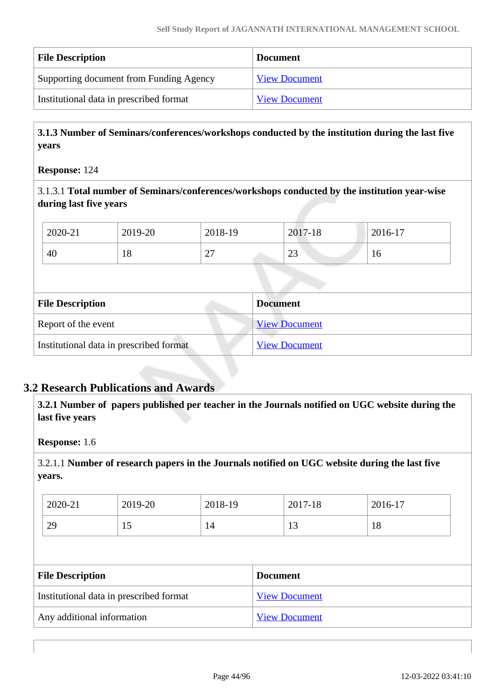| <b>File Description</b>                 | <b>Document</b>      |
|-----------------------------------------|----------------------|
| Supporting document from Funding Agency | <b>View Document</b> |
| Institutional data in prescribed format | <b>View Document</b> |

 **3.1.3 Number of Seminars/conferences/workshops conducted by the institution during the last five years**

**Response:** 124

3.1.3.1 **Total number of Seminars/conferences/workshops conducted by the institution year-wise during last five years** 

| 2020-21 | 2019-20 | 2018-19                            | 2017-18       | 2016-17 |
|---------|---------|------------------------------------|---------------|---------|
| 40      | 10      | $\sim$<br>$\overline{\phantom{0}}$ | $\cap$<br>ر∠∠ | 10      |

| <b>File Description</b>                 | <b>Document</b>      |
|-----------------------------------------|----------------------|
| Report of the event                     | <b>View Document</b> |
| Institutional data in prescribed format | <b>View Document</b> |

# **3.2 Research Publications and Awards**

 **3.2.1 Number of papers published per teacher in the Journals notified on UGC website during the last five years** 

**Response:** 1.6

3.2.1.1 **Number of research papers in the Journals notified on UGC website during the last five years.**

| 2020-21<br>2019-20<br>2018-19<br>2017-18<br>2016-17 |  |
|-----------------------------------------------------|--|
| 29<br>18<br>1 <sub>2</sub><br>14<br>19<br>15        |  |

| <b>File Description</b>                 | <b>Document</b>      |
|-----------------------------------------|----------------------|
| Institutional data in prescribed format | <b>View Document</b> |
| Any additional information              | <b>View Document</b> |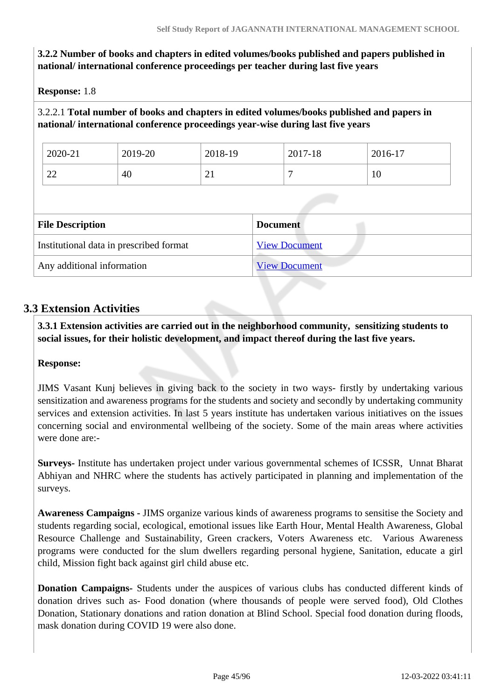# **3.2.2 Number of books and chapters in edited volumes/books published and papers published in national/ international conference proceedings per teacher during last five years**

**Response:** 1.8

# 3.2.2.1 **Total number of books and chapters in edited volumes/books published and papers in national/ international conference proceedings year-wise during last five years**

| 22                      | 40 | 21 |                 | 10 |  |
|-------------------------|----|----|-----------------|----|--|
| <b>File Description</b> |    |    | <b>Document</b> |    |  |

| montanonal adda in presenced format |                      |
|-------------------------------------|----------------------|
| Any additional information          | <b>View Document</b> |

# **3.3 Extension Activities**

 **3.3.1 Extension activities are carried out in the neighborhood community, sensitizing students to social issues, for their holistic development, and impact thereof during the last five years.**

### **Response:**

JIMS Vasant Kunj believes in giving back to the society in two ways- firstly by undertaking various sensitization and awareness programs for the students and society and secondly by undertaking community services and extension activities. In last 5 years institute has undertaken various initiatives on the issues concerning social and environmental wellbeing of the society. Some of the main areas where activities were done are:-

**Surveys-** Institute has undertaken project under various governmental schemes of ICSSR, Unnat Bharat Abhiyan and NHRC where the students has actively participated in planning and implementation of the surveys.

**Awareness Campaigns -** JIMS organize various kinds of awareness programs to sensitise the Society and students regarding social, ecological, emotional issues like Earth Hour, Mental Health Awareness, Global Resource Challenge and Sustainability, Green crackers, Voters Awareness etc. Various Awareness programs were conducted for the slum dwellers regarding personal hygiene, Sanitation, educate a girl child, Mission fight back against girl child abuse etc.

**Donation Campaigns-** Students under the auspices of various clubs has conducted different kinds of donation drives such as- Food donation (where thousands of people were served food), Old Clothes Donation, Stationary donations and ration donation at Blind School. Special food donation during floods, mask donation during COVID 19 were also done.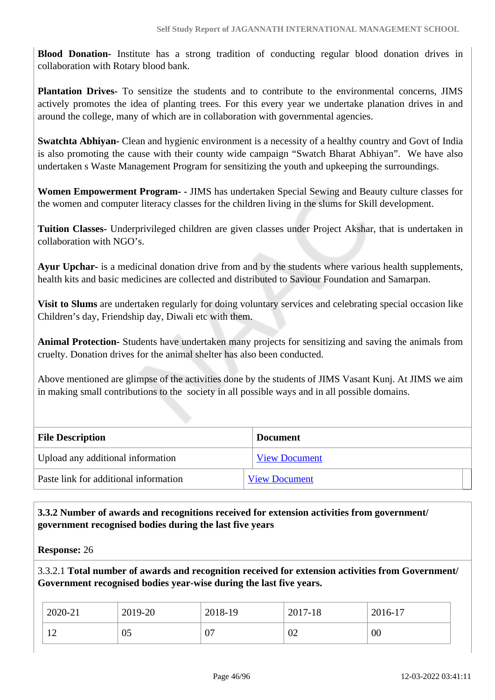**Blood Donation-** Institute has a strong tradition of conducting regular blood donation drives in collaboration with Rotary blood bank.

**Plantation Drives-** To sensitize the students and to contribute to the environmental concerns, JIMS actively promotes the idea of planting trees. For this every year we undertake planation drives in and around the college, many of which are in collaboration with governmental agencies.

**Swatchta Abhiyan-** Clean and hygienic environment is a necessity of a healthy country and Govt of India is also promoting the cause with their county wide campaign "Swatch Bharat Abhiyan". We have also undertaken s Waste Management Program for sensitizing the youth and upkeeping the surroundings.

**Women Empowerment Program- -** JIMS has undertaken Special Sewing and Beauty culture classes for the women and computer literacy classes for the children living in the slums for Skill development.

**Tuition Classes-** Underprivileged children are given classes under Project Akshar, that is undertaken in collaboration with NGO's.

**Ayur Upchar-** is a medicinal donation drive from and by the students where various health supplements, health kits and basic medicines are collected and distributed to Saviour Foundation and Samarpan.

**Visit to Slums** are undertaken regularly for doing voluntary services and celebrating special occasion like Children's day, Friendship day, Diwali etc with them.

**Animal Protection-** Students have undertaken many projects for sensitizing and saving the animals from cruelty. Donation drives for the animal shelter has also been conducted.

Above mentioned are glimpse of the activities done by the students of JIMS Vasant Kunj. At JIMS we aim in making small contributions to the society in all possible ways and in all possible domains.

| <b>File Description</b>               | <b>Document</b>      |
|---------------------------------------|----------------------|
| Upload any additional information     | <b>View Document</b> |
| Paste link for additional information | <b>View Document</b> |

### **3.3.2 Number of awards and recognitions received for extension activities from government/ government recognised bodies during the last five years**

**Response:** 26

3.3.2.1 **Total number of awards and recognition received for extension activities from Government/ Government recognised bodies year-wise during the last five years.**

| 2020-21                         | 2019-20 | 2018-19 | 2017-18 | 2016-17 |
|---------------------------------|---------|---------|---------|---------|
| 1 <sub>2</sub><br>┸ <del></del> | 05      | 07      | 02      | 00      |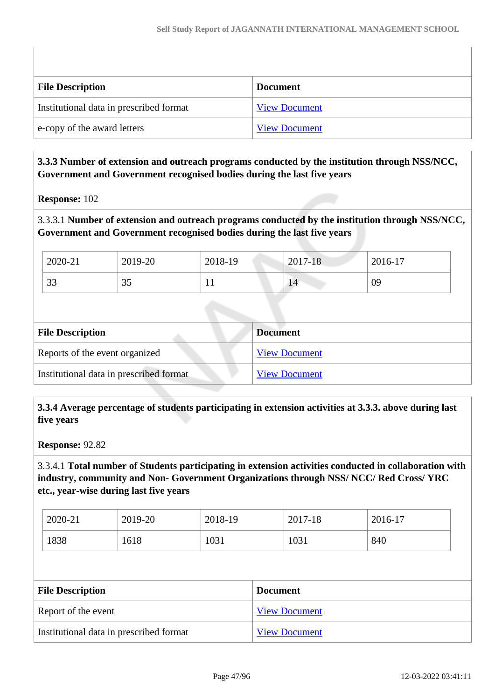| <b>File Description</b>                 | <b>Document</b>      |
|-----------------------------------------|----------------------|
| Institutional data in prescribed format | <b>View Document</b> |
| e-copy of the award letters             | <b>View Document</b> |

### **3.3.3 Number of extension and outreach programs conducted by the institution through NSS/NCC, Government and Government recognised bodies during the last five years**

**Response:** 102

3.3.3.1 **Number of extension and outreach programs conducted by the institution through NSS/NCC, Government and Government recognised bodies during the last five years**

| 2020-21      | 2019-20 | 2018-19 | $2017 - 18$ | 2016-17 |
|--------------|---------|---------|-------------|---------|
| $\cap$<br>33 | JJ      |         | 14          | 09      |

| <b>File Description</b>                 | <b>Document</b>      |
|-----------------------------------------|----------------------|
| Reports of the event organized          | <b>View Document</b> |
| Institutional data in prescribed format | <b>View Document</b> |

 **3.3.4 Average percentage of students participating in extension activities at 3.3.3. above during last five years**

**Response:** 92.82

3.3.4.1 **Total number of Students participating in extension activities conducted in collaboration with industry, community and Non- Government Organizations through NSS/ NCC/ Red Cross/ YRC etc., year-wise during last five years**

| 2020-21 | 2019-20 | 2018-19 | 2017-18 | $2016 - 17$ |
|---------|---------|---------|---------|-------------|
| 1838    | 1618    | 1031    | 1031    | 840         |

| <b>File Description</b>                 | <b>Document</b>      |
|-----------------------------------------|----------------------|
| Report of the event                     | <b>View Document</b> |
| Institutional data in prescribed format | <b>View Document</b> |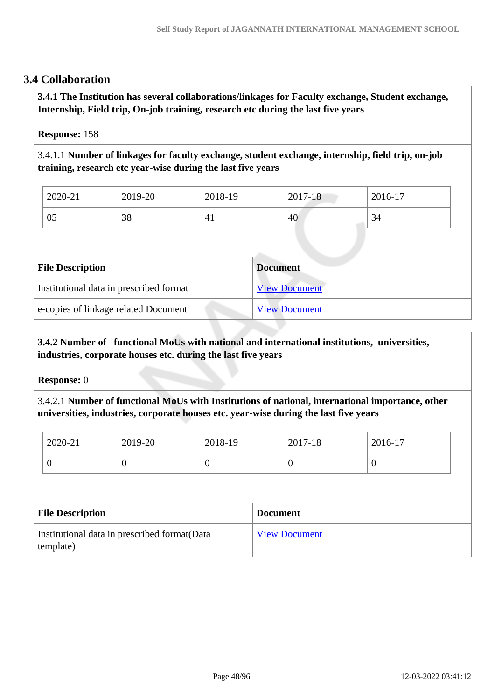# **3.4 Collaboration**

 **3.4.1 The Institution has several collaborations/linkages for Faculty exchange, Student exchange, Internship, Field trip, On-job training, research etc during the last five years** 

### **Response:** 158

3.4.1.1 **Number of linkages for faculty exchange, student exchange, internship, field trip, on-job training, research etc year-wise during the last five years**

| 2020-21 | 2019-20          | 2018-19        | 2017-18 | 2016-17 |
|---------|------------------|----------------|---------|---------|
| 05      | $\gamma$ o<br>90 | 4 <sub>1</sub> | 40      | 34      |

| <b>File Description</b>                 | <b>Document</b>      |
|-----------------------------------------|----------------------|
| Institutional data in prescribed format | <b>View Document</b> |
| e-copies of linkage related Document    | <b>View Document</b> |

# **3.4.2 Number of functional MoUs with national and international institutions, universities, industries, corporate houses etc. during the last five years**

**Response:** 0

3.4.2.1 **Number of functional MoUs with Institutions of national, international importance, other universities, industries, corporate houses etc. year-wise during the last five years**

| 2020-21 | 2019-20 | 2018-19 | 2017-18 | 2016-17 |
|---------|---------|---------|---------|---------|
| ິ       | U       | v       | v       |         |

| <b>File Description</b>                                    | <b>Document</b>      |
|------------------------------------------------------------|----------------------|
| Institutional data in prescribed format (Data<br>template) | <b>View Document</b> |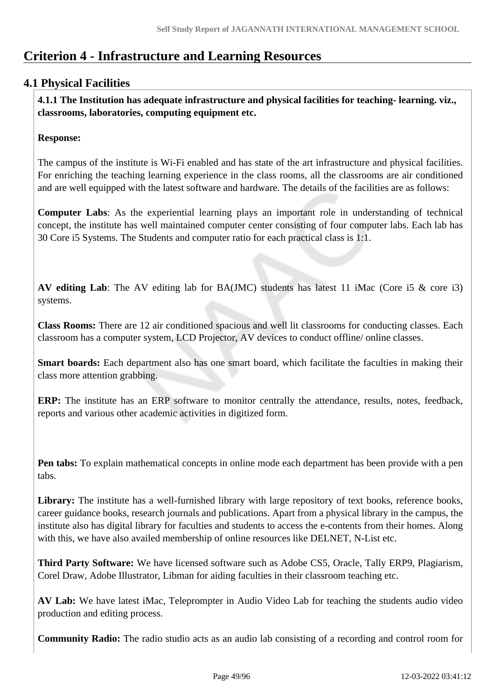# **Criterion 4 - Infrastructure and Learning Resources**

# **4.1 Physical Facilities**

 **4.1.1 The Institution has adequate infrastructure and physical facilities for teaching- learning. viz., classrooms, laboratories, computing equipment etc.** 

### **Response:**

The campus of the institute is Wi-Fi enabled and has state of the art infrastructure and physical facilities. For enriching the teaching learning experience in the class rooms, all the classrooms are air conditioned and are well equipped with the latest software and hardware. The details of the facilities are as follows:

**Computer Labs**: As the experiential learning plays an important role in understanding of technical concept, the institute has well maintained computer center consisting of four computer labs. Each lab has 30 Core i5 Systems. The Students and computer ratio for each practical class is 1:1.

**AV editing Lab**: The AV editing lab for BA(JMC) students has latest 11 iMac (Core i5 & core i3) systems.

**Class Rooms:** There are 12 air conditioned spacious and well lit classrooms for conducting classes. Each classroom has a computer system, LCD Projector, AV devices to conduct offline/ online classes.

**Smart boards:** Each department also has one smart board, which facilitate the faculties in making their class more attention grabbing.

**ERP:** The institute has an ERP software to monitor centrally the attendance, results, notes, feedback, reports and various other academic activities in digitized form.

**Pen tabs:** To explain mathematical concepts in online mode each department has been provide with a pen tabs.

Library: The institute has a well-furnished library with large repository of text books, reference books, career guidance books, research journals and publications. Apart from a physical library in the campus, the institute also has digital library for faculties and students to access the e-contents from their homes. Along with this, we have also availed membership of online resources like DELNET, N-List etc.

**Third Party Software:** We have licensed software such as Adobe CS5, Oracle, Tally ERP9, Plagiarism, Corel Draw, Adobe Illustrator, Libman for aiding faculties in their classroom teaching etc.

**AV Lab:** We have latest iMac, Teleprompter in Audio Video Lab for teaching the students audio video production and editing process.

**Community Radio:** The radio studio acts as an audio lab consisting of a recording and control room for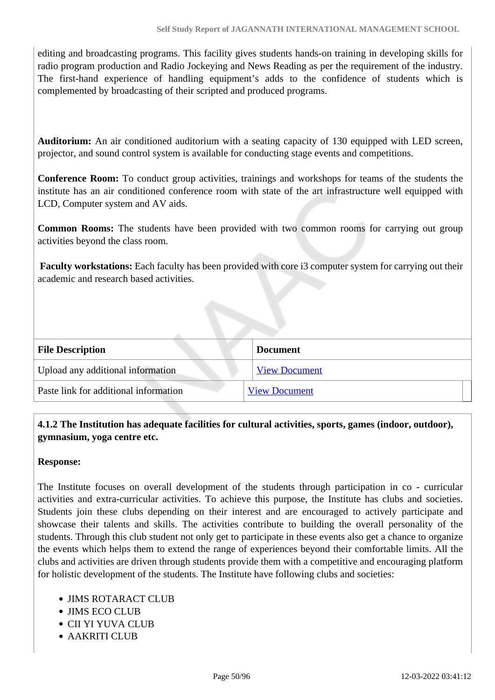editing and broadcasting programs. This facility gives students hands-on training in developing skills for radio program production and Radio Jockeying and News Reading as per the requirement of the industry. The first-hand experience of handling equipment's adds to the confidence of students which is complemented by broadcasting of their scripted and produced programs.

**Auditorium:** An air conditioned auditorium with a seating capacity of 130 equipped with LED screen, projector, and sound control system is available for conducting stage events and competitions.

**Conference Room:** To conduct group activities, trainings and workshops for teams of the students the institute has an air conditioned conference room with state of the art infrastructure well equipped with LCD, Computer system and AV aids.

**Common Rooms:** The students have been provided with two common rooms for carrying out group activities beyond the class room.

 **Faculty workstations:** Each faculty has been provided with core i3 computer system for carrying out their academic and research based activities.

| <b>File Description</b>               | <b>Document</b>      |
|---------------------------------------|----------------------|
| Upload any additional information     | <b>View Document</b> |
| Paste link for additional information | <b>View Document</b> |

 **4.1.2 The Institution has adequate facilities for cultural activities, sports, games (indoor, outdoor), gymnasium, yoga centre etc.** 

### **Response:**

The Institute focuses on overall development of the students through participation in co - curricular activities and extra-curricular activities. To achieve this purpose, the Institute has clubs and societies. Students join these clubs depending on their interest and are encouraged to actively participate and showcase their talents and skills. The activities contribute to building the overall personality of the students. Through this club student not only get to participate in these events also get a chance to organize the events which helps them to extend the range of experiences beyond their comfortable limits. All the clubs and activities are driven through students provide them with a competitive and encouraging platform for holistic development of the students. The Institute have following clubs and societies:

- JIMS ROTARACT CLUB
- JIMS ECO CLUB
- CII YI YUVA CLUB
- AAKRITI CLUB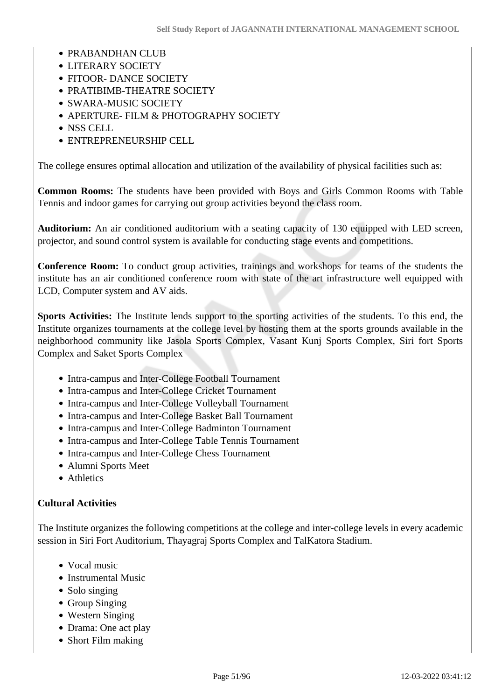- PRABANDHAN CLUB
- LITERARY SOCIETY
- FITOOR- DANCE SOCIETY
- PRATIBIMB-THEATRE SOCIETY
- SWARA-MUSIC SOCIETY
- APERTURE- FILM & PHOTOGRAPHY SOCIETY
- NSS CELL
- ENTREPRENEURSHIP CELL

The college ensures optimal allocation and utilization of the availability of physical facilities such as:

**Common Rooms:** The students have been provided with Boys and Girls Common Rooms with Table Tennis and indoor games for carrying out group activities beyond the class room.

**Auditorium:** An air conditioned auditorium with a seating capacity of 130 equipped with LED screen, projector, and sound control system is available for conducting stage events and competitions.

**Conference Room:** To conduct group activities, trainings and workshops for teams of the students the institute has an air conditioned conference room with state of the art infrastructure well equipped with LCD, Computer system and AV aids.

**Sports Activities:** The Institute lends support to the sporting activities of the students. To this end, the Institute organizes tournaments at the college level by hosting them at the sports grounds available in the neighborhood community like Jasola Sports Complex, Vasant Kunj Sports Complex, Siri fort Sports Complex and Saket Sports Complex

- Intra-campus and Inter-College Football Tournament
- Intra-campus and Inter-College Cricket Tournament
- Intra-campus and Inter-College Volleyball Tournament
- Intra-campus and Inter-College Basket Ball Tournament
- Intra-campus and Inter-College Badminton Tournament
- Intra-campus and Inter-College Table Tennis Tournament
- Intra-campus and Inter-College Chess Tournament
- Alumni Sports Meet
- Athletics

### **Cultural Activities**

The Institute organizes the following competitions at the college and inter-college levels in every academic session in Siri Fort Auditorium, Thayagraj Sports Complex and TalKatora Stadium.

- Vocal music
- Instrumental Music
- Solo singing
- Group Singing
- Western Singing
- Drama: One act play
- Short Film making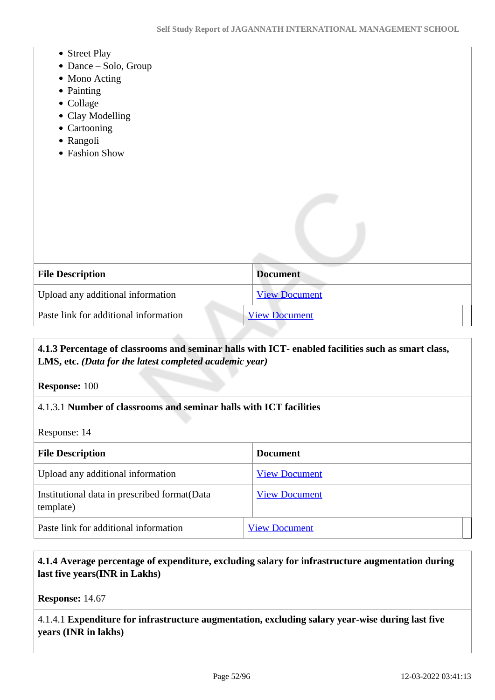- Street Play
- Dance Solo, Group
- Mono Acting
- Painting
- Collage
- Clay Modelling
- Cartooning
- Rangoli
- Fashion Show

| <b>File Description</b>               | <b>Document</b>      |
|---------------------------------------|----------------------|
| Upload any additional information     | <b>View Document</b> |
| Paste link for additional information | <b>View Document</b> |

# **4.1.3 Percentage of classrooms and seminar halls with ICT- enabled facilities such as smart class, LMS, etc.** *(Data for the latest completed academic year)*

**Response:** 100

### 4.1.3.1 **Number of classrooms and seminar halls with ICT facilities**

Response: 14

| <b>File Description</b>                                    | <b>Document</b>      |
|------------------------------------------------------------|----------------------|
| Upload any additional information                          | <b>View Document</b> |
| Institutional data in prescribed format (Data<br>template) | <b>View Document</b> |
| Paste link for additional information                      | <b>View Document</b> |

### **4.1.4 Average percentage of expenditure, excluding salary for infrastructure augmentation during last five years(INR in Lakhs)**

**Response:** 14.67

4.1.4.1 **Expenditure for infrastructure augmentation, excluding salary year-wise during last five years (INR in lakhs)**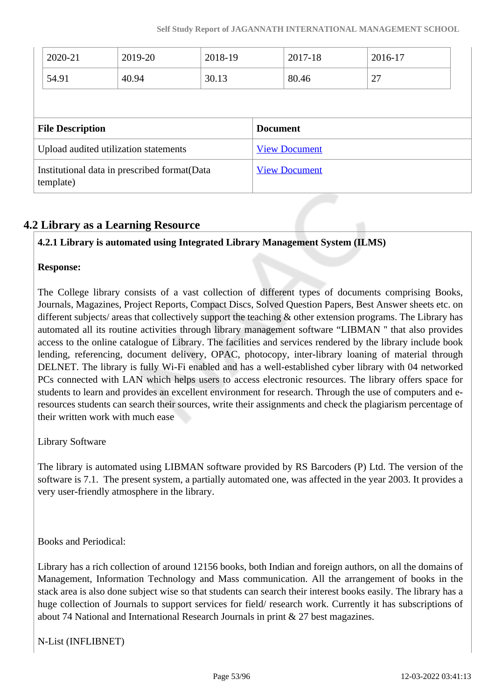| 2020-21                                                          | 2019-20 | 2018-19 |                 | 2017-18              | 2016-17 |  |
|------------------------------------------------------------------|---------|---------|-----------------|----------------------|---------|--|
| 54.91                                                            | 40.94   | 30.13   |                 | 80.46                | 27      |  |
|                                                                  |         |         |                 |                      |         |  |
|                                                                  |         |         |                 |                      |         |  |
|                                                                  |         |         | <b>Document</b> |                      |         |  |
| <b>File Description</b><br>Upload audited utilization statements |         |         |                 | <b>View Document</b> |         |  |

# **4.2 Library as a Learning Resource**

# **4.2.1 Library is automated using Integrated Library Management System (ILMS)**

### **Response:**

The College library consists of a vast collection of different types of documents comprising Books, Journals, Magazines, Project Reports, Compact Discs, Solved Question Papers, Best Answer sheets etc. on different subjects/ areas that collectively support the teaching & other extension programs. The Library has automated all its routine activities through library management software "LIBMAN '' that also provides access to the online catalogue of Library. The facilities and services rendered by the library include book lending, referencing, document delivery, OPAC, photocopy, inter-library loaning of material through DELNET. The library is fully Wi-Fi enabled and has a well-established cyber library with 04 networked PCs connected with LAN which helps users to access electronic resources. The library offers space for students to learn and provides an excellent environment for research. Through the use of computers and eresources students can search their sources, write their assignments and check the plagiarism percentage of their written work with much ease

Library Software

The library is automated using LIBMAN software provided by RS Barcoders (P) Ltd. The version of the software is 7.1. The present system, a partially automated one, was affected in the year 2003. It provides a very user-friendly atmosphere in the library.

Books and Periodical:

Library has a rich collection of around 12156 books, both Indian and foreign authors, on all the domains of Management, Information Technology and Mass communication. All the arrangement of books in the stack area is also done subject wise so that students can search their interest books easily. The library has a huge collection of Journals to support services for field/ research work. Currently it has subscriptions of about 74 National and International Research Journals in print & 27 best magazines.

N-List (INFLIBNET)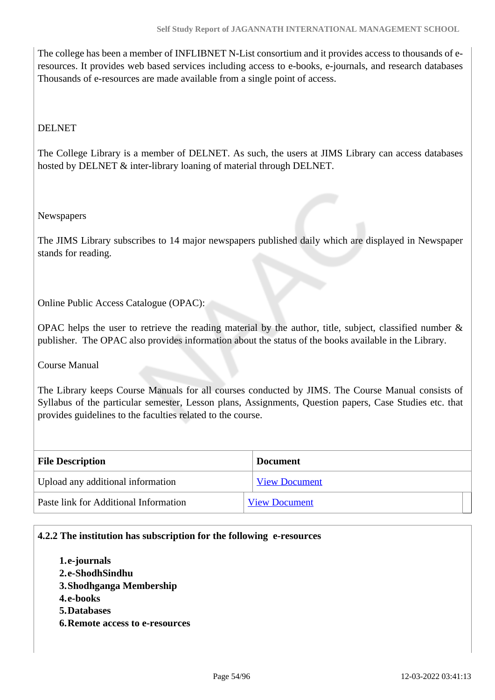The college has been a member of INFLIBNET N-List consortium and it provides access to thousands of eresources. It provides web based services including access to e-books, e-journals, and research databases Thousands of e-resources are made available from a single point of access.

### DELNET

The College Library is a member of DELNET. As such, the users at JIMS Library can access databases hosted by DELNET & inter-library loaning of material through DELNET.

### **Newspapers**

The JIMS Library subscribes to 14 major newspapers published daily which are displayed in Newspaper stands for reading.

Online Public Access Catalogue (OPAC):

OPAC helps the user to retrieve the reading material by the author, title, subject, classified number  $\&$ publisher. The OPAC also provides information about the status of the books available in the Library.

Course Manual

The Library keeps Course Manuals for all courses conducted by JIMS. The Course Manual consists of Syllabus of the particular semester, Lesson plans, Assignments, Question papers, Case Studies etc. that provides guidelines to the faculties related to the course.

| <b>File Description</b>               | <b>Document</b>      |  |  |
|---------------------------------------|----------------------|--|--|
| Upload any additional information     | <b>View Document</b> |  |  |
| Paste link for Additional Information | <b>View Document</b> |  |  |

### **4.2.2 The institution has subscription for the following e-resources**

- **1.e-journals**
- **2.e-ShodhSindhu**
- **3.Shodhganga Membership**
- **4.e-books**
- **5.Databases**
- **6.Remote access to e-resources**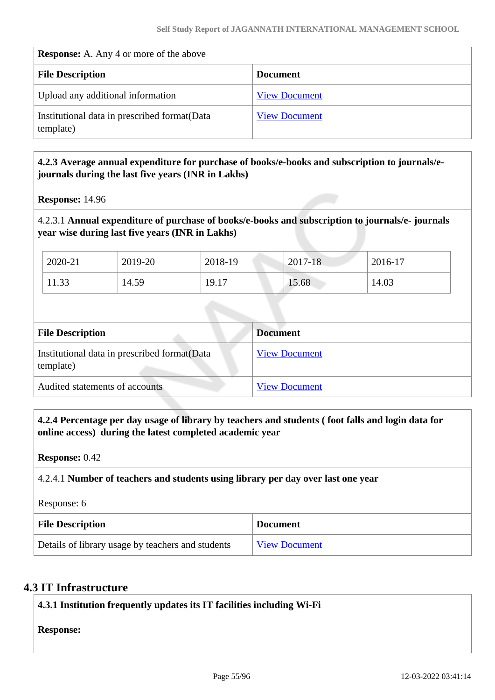#### **Response:** A. Any 4 or more of the above

| <b>File Description</b>                                    | <b>Document</b>      |
|------------------------------------------------------------|----------------------|
| Upload any additional information                          | <b>View Document</b> |
| Institutional data in prescribed format (Data<br>template) | <b>View Document</b> |

### **4.2.3 Average annual expenditure for purchase of books/e-books and subscription to journals/ejournals during the last five years (INR in Lakhs)**

**Response:** 14.96

### 4.2.3.1 **Annual expenditure of purchase of books/e-books and subscription to journals/e- journals year wise during last five years (INR in Lakhs)**

| 2020-21 | 2019-20 | 2018-19 | 2017-18 | $2016-17$ |
|---------|---------|---------|---------|-----------|
| 11.33   | 14.59   | 19.17   | 15.68   | 14.03     |

| <b>File Description</b>                                    | <b>Document</b>      |
|------------------------------------------------------------|----------------------|
| Institutional data in prescribed format (Data<br>template) | <b>View Document</b> |
| Audited statements of accounts                             | <b>View Document</b> |

 **4.2.4 Percentage per day usage of library by teachers and students ( foot falls and login data for online access) during the latest completed academic year**

**Response:** 0.42

### 4.2.4.1 **Number of teachers and students using library per day over last one year**

Response: 6

| <b>File Description</b>                           | <b>Document</b>      |
|---------------------------------------------------|----------------------|
| Details of library usage by teachers and students | <b>View Document</b> |

# **4.3 IT Infrastructure**

**4.3.1 Institution frequently updates its IT facilities including Wi-Fi**

**Response:**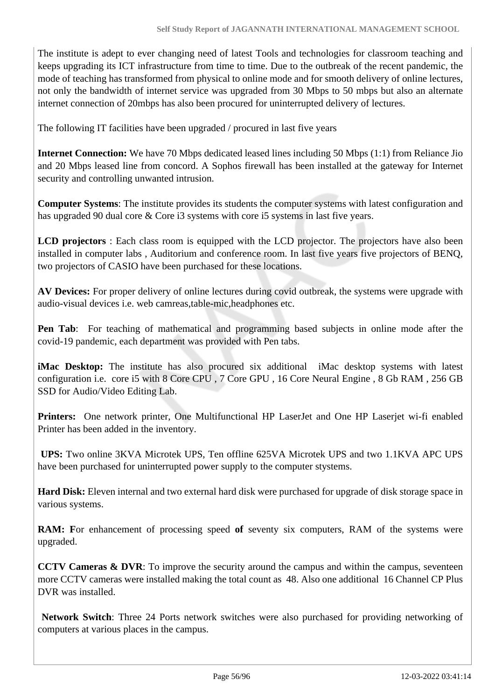The institute is adept to ever changing need of latest Tools and technologies for classroom teaching and keeps upgrading its ICT infrastructure from time to time. Due to the outbreak of the recent pandemic, the mode of teaching has transformed from physical to online mode and for smooth delivery of online lectures, not only the bandwidth of internet service was upgraded from 30 Mbps to 50 mbps but also an alternate internet connection of 20mbps has also been procured for uninterrupted delivery of lectures.

The following IT facilities have been upgraded / procured in last five years

**Internet Connection:** We have 70 Mbps dedicated leased lines including 50 Mbps (1:1) from Reliance Jio and 20 Mbps leased line from concord. A Sophos firewall has been installed at the gateway for Internet security and controlling unwanted intrusion.

**Computer Systems**: The institute provides its students the computer systems with latest configuration and has upgraded 90 dual core & Core i3 systems with core i5 systems in last five years.

**LCD projectors** : Each class room is equipped with the LCD projector. The projectors have also been installed in computer labs , Auditorium and conference room. In last five years five projectors of BENQ, two projectors of CASIO have been purchased for these locations.

**AV Devices:** For proper delivery of online lectures during covid outbreak, the systems were upgrade with audio-visual devices i.e. web camreas,table-mic,headphones etc.

**Pen Tab**: For teaching of mathematical and programming based subjects in online mode after the covid-19 pandemic, each department was provided with Pen tabs.

**iMac Desktop:** The institute has also procured six additional iMac desktop systems with latest configuration i.e. core i5 with 8 Core CPU , 7 Core GPU , 16 Core Neural Engine , 8 Gb RAM , 256 GB SSD for Audio/Video Editing Lab.

**Printers:** One network printer, One Multifunctional HP LaserJet and One HP Laserjet wi-fi enabled Printer has been added in the inventory.

 **UPS:** Two online 3KVA Microtek UPS, Ten offline 625VA Microtek UPS and two 1.1KVA APC UPS have been purchased for uninterrupted power supply to the computer stystems.

**Hard Disk:** Eleven internal and two external hard disk were purchased for upgrade of disk storage space in various systems.

**RAM:** For enhancement of processing speed of seventy six computers, RAM of the systems were upgraded.

**CCTV Cameras & DVR**: To improve the security around the campus and within the campus, seventeen more CCTV cameras were installed making the total count as 48. Also one additional 16 Channel CP Plus DVR was installed.

 **Network Switch**: Three 24 Ports network switches were also purchased for providing networking of computers at various places in the campus.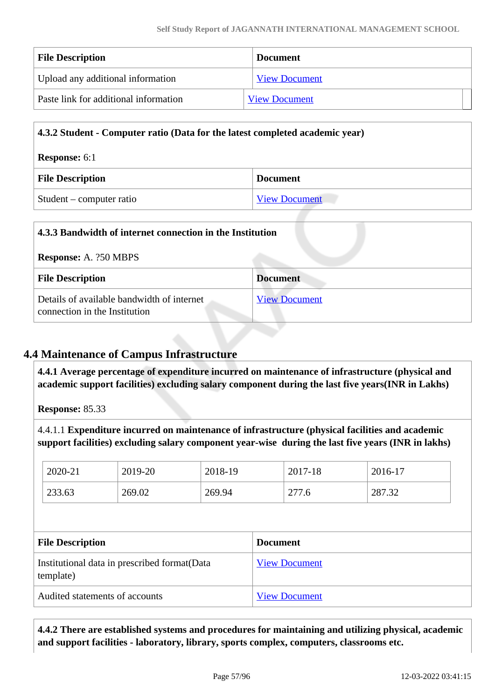| <b>File Description</b>               | <b>Document</b>      |  |
|---------------------------------------|----------------------|--|
| Upload any additional information     | <b>View Document</b> |  |
| Paste link for additional information | <b>View Document</b> |  |

| 4.3.2 Student - Computer ratio (Data for the latest completed academic year) |                      |  |
|------------------------------------------------------------------------------|----------------------|--|
| <b>Response:</b> 6:1                                                         |                      |  |
| <b>File Description</b>                                                      | <b>Document</b>      |  |
| Student – computer ratio                                                     | <b>View Document</b> |  |

| 4.3.3 Bandwidth of internet connection in the Institution                   |                      |  |
|-----------------------------------------------------------------------------|----------------------|--|
| <b>Response:</b> A. ?50 MBPS                                                |                      |  |
| <b>File Description</b>                                                     | <b>Document</b>      |  |
| Details of available bandwidth of internet<br>connection in the Institution | <b>View Document</b> |  |

# **4.4 Maintenance of Campus Infrastructure**

 **4.4.1 Average percentage of expenditure incurred on maintenance of infrastructure (physical and academic support facilities) excluding salary component during the last five years(INR in Lakhs)**

**Response:** 85.33

4.4.1.1 **Expenditure incurred on maintenance of infrastructure (physical facilities and academic support facilities) excluding salary component year-wise during the last five years (INR in lakhs)**

| 2020-21                 | 2019-20                                       | 2018-19 |                 | 2017-18              | 2016-17 |
|-------------------------|-----------------------------------------------|---------|-----------------|----------------------|---------|
| 233.63                  | 269.02                                        | 269.94  |                 | 277.6                | 287.32  |
|                         |                                               |         |                 |                      |         |
|                         |                                               |         |                 |                      |         |
| <b>File Description</b> |                                               |         | <b>Document</b> |                      |         |
| template)               | Institutional data in prescribed format (Data |         |                 | <b>View Document</b> |         |

 **4.4.2 There are established systems and procedures for maintaining and utilizing physical, academic and support facilities - laboratory, library, sports complex, computers, classrooms etc.**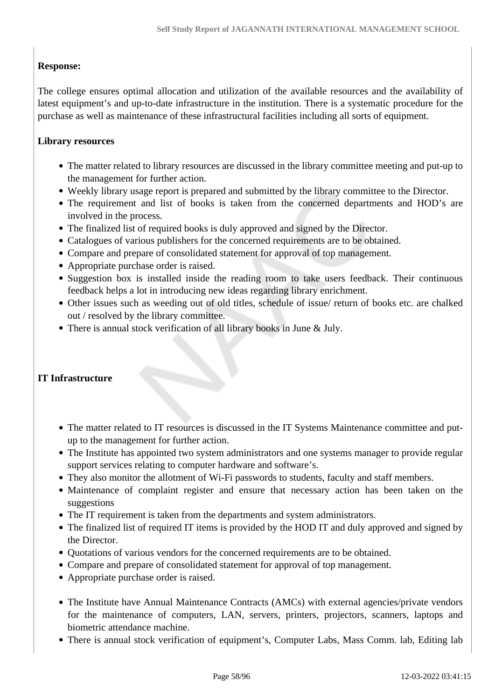# **Response:**

The college ensures optimal allocation and utilization of the available resources and the availability of latest equipment's and up-to-date infrastructure in the institution. There is a systematic procedure for the purchase as well as maintenance of these infrastructural facilities including all sorts of equipment.

### **Library resources**

- The matter related to library resources are discussed in the library committee meeting and put-up to the management for further action.
- Weekly library usage report is prepared and submitted by the library committee to the Director.
- The requirement and list of books is taken from the concerned departments and HOD's are involved in the process.
- The finalized list of required books is duly approved and signed by the Director.
- Catalogues of various publishers for the concerned requirements are to be obtained.
- Compare and prepare of consolidated statement for approval of top management.
- Appropriate purchase order is raised.
- Suggestion box is installed inside the reading room to take users feedback. Their continuous feedback helps a lot in introducing new ideas regarding library enrichment.
- Other issues such as weeding out of old titles, schedule of issue/ return of books etc. are chalked out / resolved by the library committee.
- There is annual stock verification of all library books in June & July.

# **IT Infrastructure**

- The matter related to IT resources is discussed in the IT Systems Maintenance committee and putup to the management for further action.
- The Institute has appointed two system administrators and one systems manager to provide regular support services relating to computer hardware and software's.
- They also monitor the allotment of Wi-Fi passwords to students, faculty and staff members.
- Maintenance of complaint register and ensure that necessary action has been taken on the suggestions
- The IT requirement is taken from the departments and system administrators.
- The finalized list of required IT items is provided by the HOD IT and duly approved and signed by the Director.
- Quotations of various vendors for the concerned requirements are to be obtained.
- Compare and prepare of consolidated statement for approval of top management.
- Appropriate purchase order is raised.
- The Institute have Annual Maintenance Contracts (AMCs) with external agencies/private vendors for the maintenance of computers, LAN, servers, printers, projectors, scanners, laptops and biometric attendance machine.
- There is annual stock verification of equipment's, Computer Labs, Mass Comm. lab, Editing lab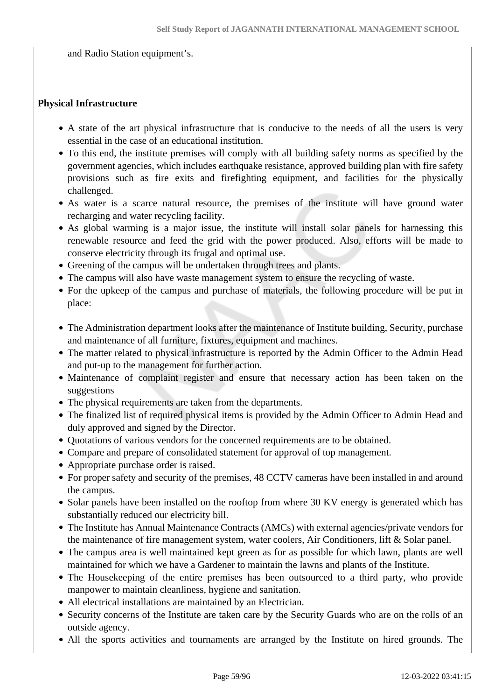and Radio Station equipment's.

#### **Physical Infrastructure**

- A state of the art physical infrastructure that is conducive to the needs of all the users is very essential in the case of an educational institution.
- To this end, the institute premises will comply with all building safety norms as specified by the government agencies, which includes earthquake resistance, approved building plan with fire safety provisions such as fire exits and firefighting equipment, and facilities for the physically challenged.
- As water is a scarce natural resource, the premises of the institute will have ground water recharging and water recycling facility.
- As global warming is a major issue, the institute will install solar panels for harnessing this renewable resource and feed the grid with the power produced. Also, efforts will be made to conserve electricity through its frugal and optimal use.
- Greening of the campus will be undertaken through trees and plants.
- The campus will also have waste management system to ensure the recycling of waste.
- For the upkeep of the campus and purchase of materials, the following procedure will be put in place:
- The Administration department looks after the maintenance of Institute building, Security, purchase and maintenance of all furniture, fixtures, equipment and machines.
- The matter related to physical infrastructure is reported by the Admin Officer to the Admin Head and put-up to the management for further action.
- Maintenance of complaint register and ensure that necessary action has been taken on the suggestions
- The physical requirements are taken from the departments.
- The finalized list of required physical items is provided by the Admin Officer to Admin Head and duly approved and signed by the Director.
- Quotations of various vendors for the concerned requirements are to be obtained.
- Compare and prepare of consolidated statement for approval of top management.
- Appropriate purchase order is raised.
- For proper safety and security of the premises, 48 CCTV cameras have been installed in and around the campus.
- Solar panels have been installed on the rooftop from where 30 KV energy is generated which has substantially reduced our electricity bill.
- The Institute has Annual Maintenance Contracts (AMCs) with external agencies/private vendors for the maintenance of fire management system, water coolers, Air Conditioners, lift & Solar panel.
- The campus area is well maintained kept green as for as possible for which lawn, plants are well maintained for which we have a Gardener to maintain the lawns and plants of the Institute.
- The Housekeeping of the entire premises has been outsourced to a third party, who provide manpower to maintain cleanliness, hygiene and sanitation.
- All electrical installations are maintained by an Electrician.
- Security concerns of the Institute are taken care by the Security Guards who are on the rolls of an outside agency.
- All the sports activities and tournaments are arranged by the Institute on hired grounds. The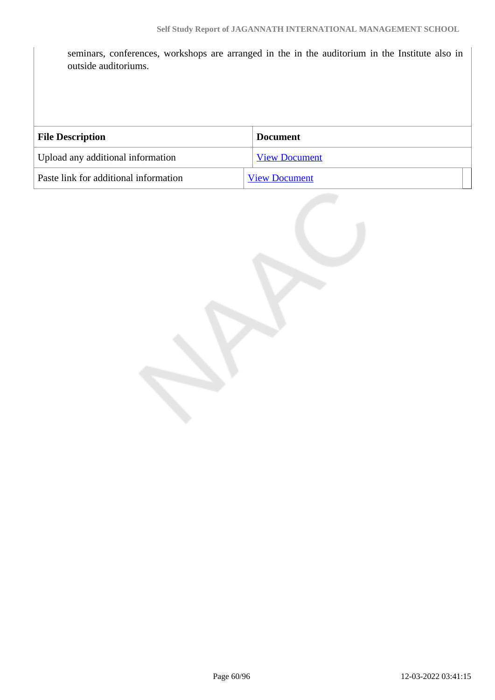seminars, conferences, workshops are arranged in the in the auditorium in the Institute also in outside auditoriums.

| <b>File Description</b>               | <b>Document</b>      |
|---------------------------------------|----------------------|
| Upload any additional information     | <b>View Document</b> |
| Paste link for additional information | <b>View Document</b> |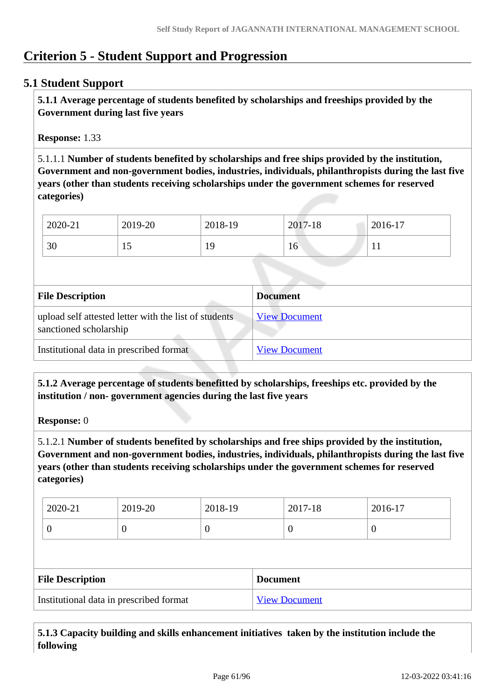# **Criterion 5 - Student Support and Progression**

# **5.1 Student Support**

 **5.1.1 Average percentage of students benefited by scholarships and freeships provided by the Government during last five years** 

**Response:** 1.33

5.1.1.1 **Number of students benefited by scholarships and free ships provided by the institution, Government and non-government bodies, industries, individuals, philanthropists during the last five years (other than students receiving scholarships under the government schemes for reserved categories)** 

| 2020-21 | 2019-20 | 2018-19 | 2017-18         | 2016-17   |
|---------|---------|---------|-----------------|-----------|
| 30      | ⊥ັ      | 19      | 16 <sup>7</sup> | <b>TT</b> |

| <b>File Description</b>                                                         | <b>Document</b>      |
|---------------------------------------------------------------------------------|----------------------|
| upload self attested letter with the list of students<br>sanctioned scholarship | <b>View Document</b> |
| Institutional data in prescribed format                                         | <b>View Document</b> |

 **5.1.2 Average percentage of students benefitted by scholarships, freeships etc. provided by the institution / non- government agencies during the last five years**

**Response:** 0

5.1.2.1 **Number of students benefited by scholarships and free ships provided by the institution, Government and non-government bodies, industries, individuals, philanthropists during the last five years (other than students receiving scholarships under the government schemes for reserved categories)** 

| 2020-21 | 2019-20 | 2018-19 | 2017-18 | 2016-17 |
|---------|---------|---------|---------|---------|
|         | ◡       | ິ       |         | ◡       |

| <b>File Description</b>                 | <b>Document</b>      |
|-----------------------------------------|----------------------|
| Institutional data in prescribed format | <b>View Document</b> |

 **5.1.3 Capacity building and skills enhancement initiatives taken by the institution include the following**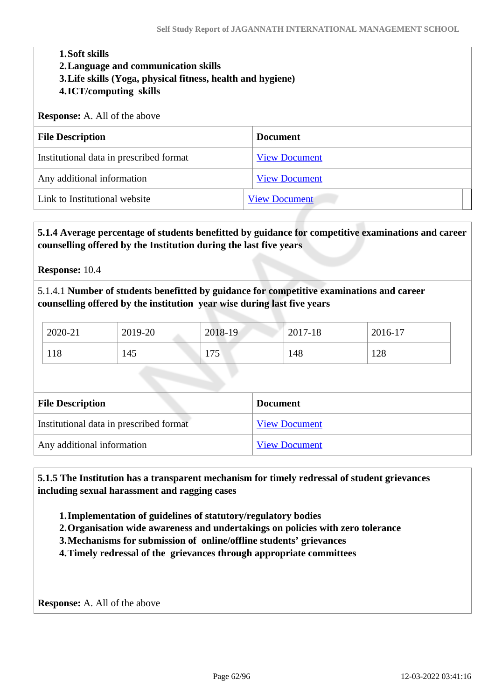#### **1.Soft skills**

#### **2.Language and communication skills**

- **3.Life skills (Yoga, physical fitness, health and hygiene)**
- **4.ICT/computing skills**

#### **Response:** A. All of the above

| <b>File Description</b>                 | <b>Document</b>      |
|-----------------------------------------|----------------------|
| Institutional data in prescribed format | <b>View Document</b> |
| Any additional information              | <b>View Document</b> |
| Link to Institutional website           | <b>View Document</b> |

### **5.1.4 Average percentage of students benefitted by guidance for competitive examinations and career counselling offered by the Institution during the last five years**

**Response:** 10.4

5.1.4.1 **Number of students benefitted by guidance for competitive examinations and career counselling offered by the institution year wise during last five years**

| 2020-21 | 2019-20 | 2018-19     | 2017-18 | 2016-17 |
|---------|---------|-------------|---------|---------|
| 118     | 145     | 75<br>1 I J | 148     | 128     |

| <b>File Description</b>                 | <b>Document</b>      |
|-----------------------------------------|----------------------|
| Institutional data in prescribed format | <b>View Document</b> |
| Any additional information              | <b>View Document</b> |

 **5.1.5 The Institution has a transparent mechanism for timely redressal of student grievances including sexual harassment and ragging cases**

**1.Implementation of guidelines of statutory/regulatory bodies**

**2.Organisation wide awareness and undertakings on policies with zero tolerance**

**3.Mechanisms for submission of online/offline students' grievances**

**4.Timely redressal of the grievances through appropriate committees**

**Response:** A. All of the above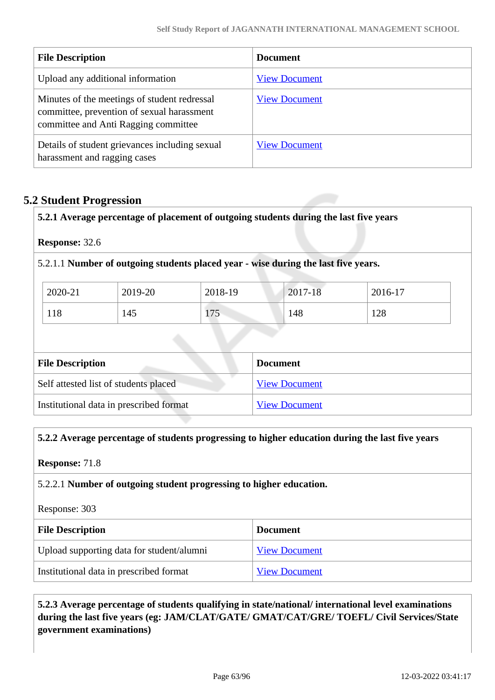| <b>File Description</b>                                                                                                            | <b>Document</b>      |
|------------------------------------------------------------------------------------------------------------------------------------|----------------------|
| Upload any additional information                                                                                                  | <b>View Document</b> |
| Minutes of the meetings of student redressal<br>committee, prevention of sexual harassment<br>committee and Anti Ragging committee | <b>View Document</b> |
| Details of student grievances including sexual<br>harassment and ragging cases                                                     | <b>View Document</b> |

# **5.2 Student Progression**

**5.2.1 Average percentage of placement of outgoing students during the last five years**

**Response:** 32.6

5.2.1.1 **Number of outgoing students placed year - wise during the last five years.**

| 2020-21 | 2019-20 | 2018-19 | 2017-18 | 2016-17 |
|---------|---------|---------|---------|---------|
| 118     | 145     | 175     | 148     | 128     |

| <b>File Description</b>                 | <b>Document</b>      |
|-----------------------------------------|----------------------|
| Self attested list of students placed   | <b>View Document</b> |
| Institutional data in prescribed format | <b>View Document</b> |

### **5.2.2 Average percentage of students progressing to higher education during the last five years**

**Response:** 71.8

### 5.2.2.1 **Number of outgoing student progressing to higher education.**

Response: 303

| <b>File Description</b>                   | <b>Document</b>      |
|-------------------------------------------|----------------------|
| Upload supporting data for student/alumni | <b>View Document</b> |
| Institutional data in prescribed format   | <b>View Document</b> |

 **5.2.3 Average percentage of students qualifying in state/national/ international level examinations during the last five years (eg: JAM/CLAT/GATE/ GMAT/CAT/GRE/ TOEFL/ Civil Services/State government examinations)**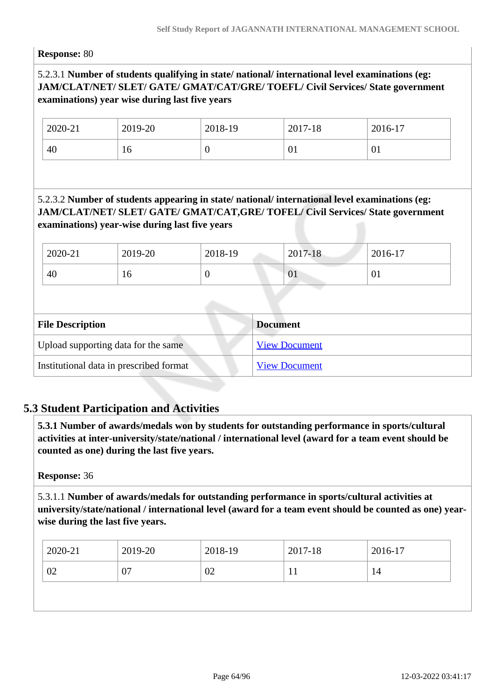#### **Response:** 80

# 5.2.3.1 **Number of students qualifying in state/ national/ international level examinations (eg: JAM/CLAT/NET/ SLET/ GATE/ GMAT/CAT/GRE/ TOEFL/ Civil Services/ State government examinations) year wise during last five years**

| 2020-21 | 2019-20 | 2018-19 | 2017-18 | 2016-17   |
|---------|---------|---------|---------|-----------|
| 40      | 16      | ◡       | UΙ      | <b>VI</b> |

# 5.2.3.2 **Number of students appearing in state/ national/ international level examinations (eg: JAM/CLAT/NET/ SLET/ GATE/ GMAT/CAT,GRE/ TOFEL/ Civil Services/ State government examinations) year-wise during last five years**

| 2020-21 | 2019-20 | 2018-19 | 2017-18 | 2016-17      |
|---------|---------|---------|---------|--------------|
| 40      | 10      | ν       | 01      | $\degree$ 01 |

| <b>File Description</b>                 | <b>Document</b>      |
|-----------------------------------------|----------------------|
| Upload supporting data for the same     | <b>View Document</b> |
| Institutional data in prescribed format | <b>View Document</b> |

# **5.3 Student Participation and Activities**

 **5.3.1 Number of awards/medals won by students for outstanding performance in sports/cultural activities at inter-university/state/national / international level (award for a team event should be counted as one) during the last five years.**

#### **Response:** 36

5.3.1.1 **Number of awards/medals for outstanding performance in sports/cultural activities at university/state/national / international level (award for a team event should be counted as one) yearwise during the last five years.**

| 2020-21 | 2019-20  | 2018-19 | 2017-18      | 2016-17 |
|---------|----------|---------|--------------|---------|
| 02      | ∩−<br>v, | 02      | $\mathbf{r}$ | 14      |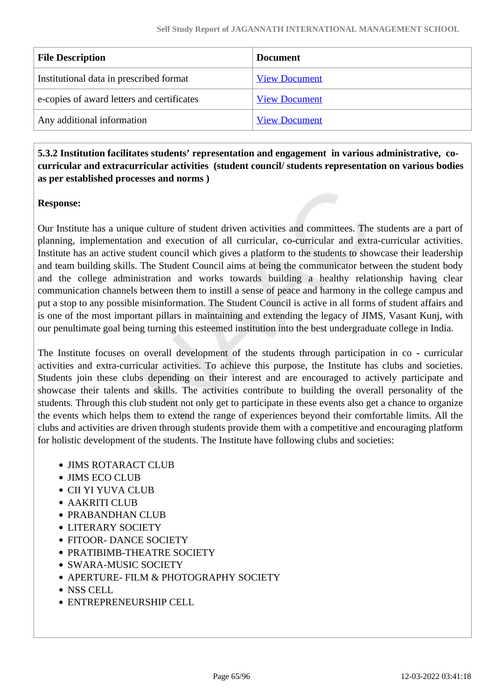| <b>View Document</b> |
|----------------------|
| <b>View Document</b> |
| <b>View Document</b> |
|                      |

 **5.3.2 Institution facilitates students' representation and engagement in various administrative, cocurricular and extracurricular activities (student council/ students representation on various bodies as per established processes and norms )**

### **Response:**

Our Institute has a unique culture of student driven activities and committees. The students are a part of planning, implementation and execution of all curricular, co-curricular and extra-curricular activities. Institute has an active student council which gives a platform to the students to showcase their leadership and team building skills. The Student Council aims at being the communicator between the student body and the college administration and works towards building a healthy relationship having clear communication channels between them to instill a sense of peace and harmony in the college campus and put a stop to any possible misinformation. The Student Council is active in all forms of student affairs and is one of the most important pillars in maintaining and extending the legacy of JIMS, Vasant Kunj, with our penultimate goal being turning this esteemed institution into the best undergraduate college in India.

The Institute focuses on overall development of the students through participation in co - curricular activities and extra-curricular activities. To achieve this purpose, the Institute has clubs and societies. Students join these clubs depending on their interest and are encouraged to actively participate and showcase their talents and skills. The activities contribute to building the overall personality of the students. Through this club student not only get to participate in these events also get a chance to organize the events which helps them to extend the range of experiences beyond their comfortable limits. All the clubs and activities are driven through students provide them with a competitive and encouraging platform for holistic development of the students. The Institute have following clubs and societies:

- JIMS ROTARACT CLUB
- JIMS ECO CLUB
- CII YI YUVA CLUB
- AAKRITI CLUB
- PRABANDHAN CLUB
- LITERARY SOCIETY
- FITOOR- DANCE SOCIETY
- PRATIBIMB-THEATRE SOCIETY
- SWARA-MUSIC SOCIETY
- APERTURE- FILM & PHOTOGRAPHY SOCIETY
- NSS CELL
- ENTREPRENEURSHIP CELL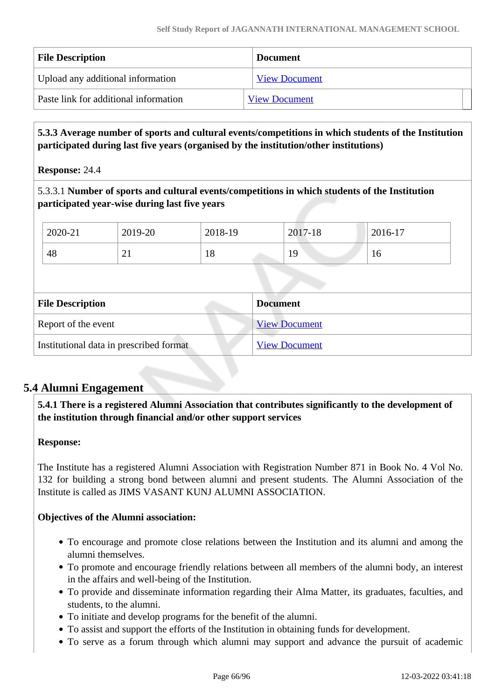| <b>File Description</b>               | <b>Document</b>      |
|---------------------------------------|----------------------|
| Upload any additional information     | <b>View Document</b> |
| Paste link for additional information | <b>View Document</b> |

 **5.3.3 Average number of sports and cultural events/competitions in which students of the Institution participated during last five years (organised by the institution/other institutions)**

**Response:** 24.4

5.3.3.1 **Number of sports and cultural events/competitions in which students of the Institution participated year-wise during last five years**

| 2020-21 | 2019-20  | 2018-19       | 2017-18  | 2016-17 |
|---------|----------|---------------|----------|---------|
| 48      | $\sim$ 1 | $\circ$<br>10 | 10<br>エラ | 10      |

| <b>File Description</b>                 | <b>Document</b>      |
|-----------------------------------------|----------------------|
| Report of the event                     | <b>View Document</b> |
| Institutional data in prescribed format | <b>View Document</b> |

# **5.4 Alumni Engagement**

 **5.4.1 There is a registered Alumni Association that contributes significantly to the development of the institution through financial and/or other support services**

# **Response:**

The Institute has a registered Alumni Association with Registration Number 871 in Book No. 4 Vol No. 132 for building a strong bond between alumni and present students. The Alumni Association of the Institute is called as JIMS VASANT KUNJ ALUMNI ASSOCIATION.

# **Objectives of the Alumni association:**

- To encourage and promote close relations between the Institution and its alumni and among the alumni themselves.
- To promote and encourage friendly relations between all members of the alumni body, an interest in the affairs and well-being of the Institution.
- To provide and disseminate information regarding their Alma Matter, its graduates, faculties, and students, to the alumni.
- To initiate and develop programs for the benefit of the alumni.
- To assist and support the efforts of the Institution in obtaining funds for development.
- To serve as a forum through which alumni may support and advance the pursuit of academic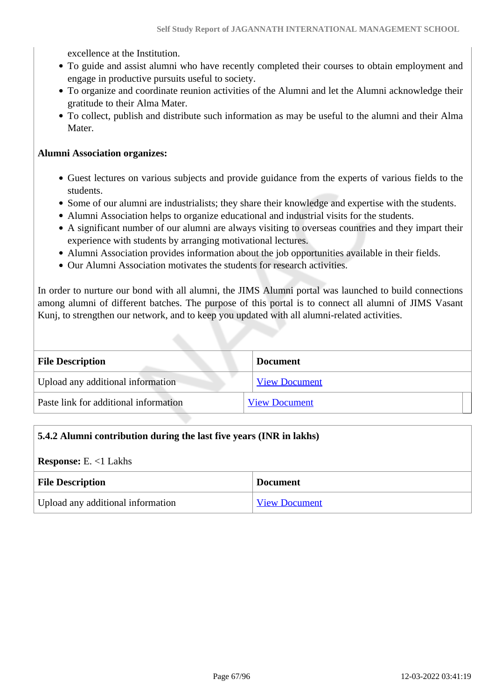excellence at the Institution.

- To guide and assist alumni who have recently completed their courses to obtain employment and engage in productive pursuits useful to society.
- To organize and coordinate reunion activities of the Alumni and let the Alumni acknowledge their gratitude to their Alma Mater.
- To collect, publish and distribute such information as may be useful to the alumni and their Alma Mater.

#### **Alumni Association organizes:**

- Guest lectures on various subjects and provide guidance from the experts of various fields to the students.
- Some of our alumni are industrialists; they share their knowledge and expertise with the students.
- Alumni Association helps to organize educational and industrial visits for the students.
- A significant number of our alumni are always visiting to overseas countries and they impart their experience with students by arranging motivational lectures.
- Alumni Association provides information about the job opportunities available in their fields.
- Our Alumni Association motivates the students for research activities.

In order to nurture our bond with all alumni, the JIMS Alumni portal was launched to build connections among alumni of different batches. The purpose of this portal is to connect all alumni of JIMS Vasant Kunj, to strengthen our network, and to keep you updated with all alumni-related activities.

| <b>File Description</b>               | <b>Document</b>      |
|---------------------------------------|----------------------|
| Upload any additional information     | <b>View Document</b> |
| Paste link for additional information | <b>View Document</b> |

### **5.4.2 Alumni contribution during the last five years (INR in lakhs)**

**Response:** E. <1 Lakhs

| <b>File Description</b>           | <b>Document</b>      |
|-----------------------------------|----------------------|
| Upload any additional information | <b>View Document</b> |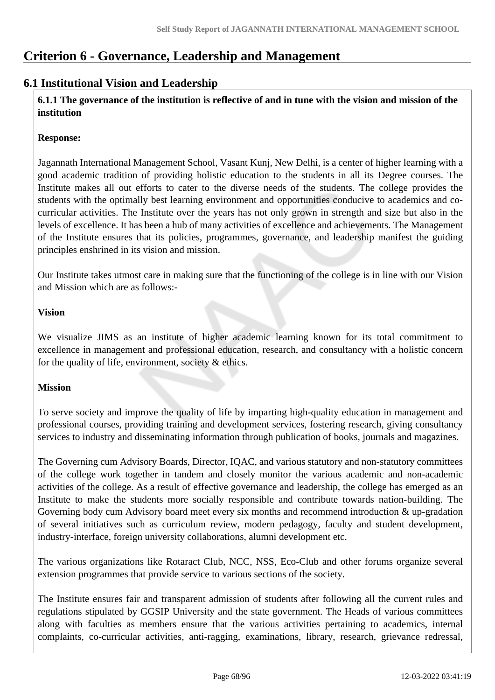# **Criterion 6 - Governance, Leadership and Management**

# **6.1 Institutional Vision and Leadership**

 **6.1.1 The governance of the institution is reflective of and in tune with the vision and mission of the institution**

# **Response:**

Jagannath International Management School, Vasant Kunj, New Delhi, is a center of higher learning with a good academic tradition of providing holistic education to the students in all its Degree courses. The Institute makes all out efforts to cater to the diverse needs of the students. The college provides the students with the optimally best learning environment and opportunities conducive to academics and cocurricular activities. The Institute over the years has not only grown in strength and size but also in the levels of excellence. It has been a hub of many activities of excellence and achievements. The Management of the Institute ensures that its policies, programmes, governance, and leadership manifest the guiding principles enshrined in its vision and mission.

Our Institute takes utmost care in making sure that the functioning of the college is in line with our Vision and Mission which are as follows:-

# **Vision**

We visualize JIMS as an institute of higher academic learning known for its total commitment to excellence in management and professional education, research, and consultancy with a holistic concern for the quality of life, environment, society & ethics.

# **Mission**

To serve society and improve the quality of life by imparting high-quality education in management and professional courses, providing training and development services, fostering research, giving consultancy services to industry and disseminating information through publication of books, journals and magazines.

The Governing cum Advisory Boards, Director, IQAC, and various statutory and non-statutory committees of the college work together in tandem and closely monitor the various academic and non-academic activities of the college. As a result of effective governance and leadership, the college has emerged as an Institute to make the students more socially responsible and contribute towards nation-building. The Governing body cum Advisory board meet every six months and recommend introduction & up-gradation of several initiatives such as curriculum review, modern pedagogy, faculty and student development, industry-interface, foreign university collaborations, alumni development etc.

The various organizations like Rotaract Club, NCC, NSS, Eco-Club and other forums organize several extension programmes that provide service to various sections of the society.

The Institute ensures fair and transparent admission of students after following all the current rules and regulations stipulated by GGSIP University and the state government. The Heads of various committees along with faculties as members ensure that the various activities pertaining to academics, internal complaints, co-curricular activities, anti-ragging, examinations, library, research, grievance redressal,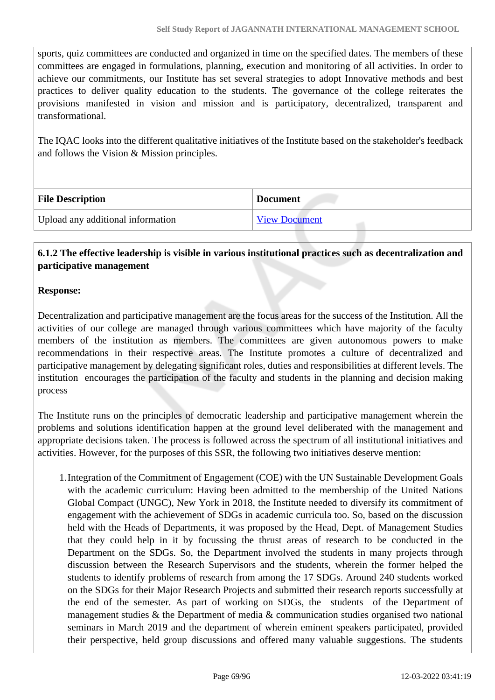sports, quiz committees are conducted and organized in time on the specified dates. The members of these committees are engaged in formulations, planning, execution and monitoring of all activities. In order to achieve our commitments, our Institute has set several strategies to adopt Innovative methods and best practices to deliver quality education to the students. The governance of the college reiterates the provisions manifested in vision and mission and is participatory, decentralized, transparent and transformational.

The IQAC looks into the different qualitative initiatives of the Institute based on the stakeholder's feedback and follows the Vision & Mission principles.

| <b>File Description</b>           | <b>Document</b>      |
|-----------------------------------|----------------------|
| Upload any additional information | <b>View Document</b> |

### **6.1.2 The effective leadership is visible in various institutional practices such as decentralization and participative management**

### **Response:**

Decentralization and participative management are the focus areas for the success of the Institution. All the activities of our college are managed through various committees which have majority of the faculty members of the institution as members. The committees are given autonomous powers to make recommendations in their respective areas. The Institute promotes a culture of decentralized and participative management by delegating significant roles, duties and responsibilities at different levels. The institution encourages the participation of the faculty and students in the planning and decision making process

The Institute runs on the principles of democratic leadership and participative management wherein the problems and solutions identification happen at the ground level deliberated with the management and appropriate decisions taken. The process is followed across the spectrum of all institutional initiatives and activities. However, for the purposes of this SSR, the following two initiatives deserve mention:

1.Integration of the Commitment of Engagement (COE) with the UN Sustainable Development Goals with the academic curriculum: Having been admitted to the membership of the United Nations Global Compact (UNGC), New York in 2018, the Institute needed to diversify its commitment of engagement with the achievement of SDGs in academic curricula too. So, based on the discussion held with the Heads of Departments, it was proposed by the Head, Dept. of Management Studies that they could help in it by focussing the thrust areas of research to be conducted in the Department on the SDGs. So, the Department involved the students in many projects through discussion between the Research Supervisors and the students, wherein the former helped the students to identify problems of research from among the 17 SDGs. Around 240 students worked on the SDGs for their Major Research Projects and submitted their research reports successfully at the end of the semester. As part of working on SDGs, the students of the Department of management studies & the Department of media & communication studies organised two national seminars in March 2019 and the department of wherein eminent speakers participated, provided their perspective, held group discussions and offered many valuable suggestions. The students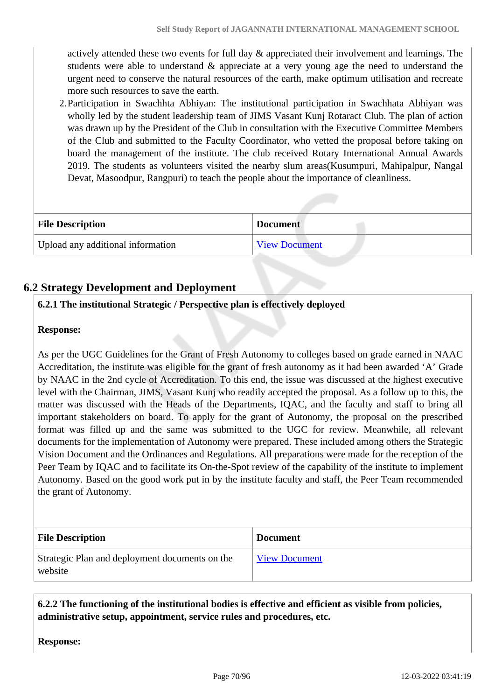actively attended these two events for full day & appreciated their involvement and learnings. The students were able to understand & appreciate at a very young age the need to understand the urgent need to conserve the natural resources of the earth, make optimum utilisation and recreate more such resources to save the earth.

2.Participation in Swachhta Abhiyan: The institutional participation in Swachhata Abhiyan was wholly led by the student leadership team of JIMS Vasant Kunj Rotaract Club. The plan of action was drawn up by the President of the Club in consultation with the Executive Committee Members of the Club and submitted to the Faculty Coordinator, who vetted the proposal before taking on board the management of the institute. The club received Rotary International Annual Awards 2019. The students as volunteers visited the nearby slum areas(Kusumpuri, Mahipalpur, Nangal Devat, Masoodpur, Rangpuri) to teach the people about the importance of cleanliness.

| <b>File Description</b>           | <b>Document</b>      |
|-----------------------------------|----------------------|
| Upload any additional information | <b>View Document</b> |

# **6.2 Strategy Development and Deployment**

# **6.2.1 The institutional Strategic / Perspective plan is effectively deployed**

#### **Response:**

As per the UGC Guidelines for the Grant of Fresh Autonomy to colleges based on grade earned in NAAC Accreditation, the institute was eligible for the grant of fresh autonomy as it had been awarded 'A' Grade by NAAC in the 2nd cycle of Accreditation. To this end, the issue was discussed at the highest executive level with the Chairman, JIMS, Vasant Kunj who readily accepted the proposal. As a follow up to this, the matter was discussed with the Heads of the Departments, IQAC, and the faculty and staff to bring all important stakeholders on board. To apply for the grant of Autonomy, the proposal on the prescribed format was filled up and the same was submitted to the UGC for review. Meanwhile, all relevant documents for the implementation of Autonomy were prepared. These included among others the Strategic Vision Document and the Ordinances and Regulations. All preparations were made for the reception of the Peer Team by IQAC and to facilitate its On-the-Spot review of the capability of the institute to implement Autonomy. Based on the good work put in by the institute faculty and staff, the Peer Team recommended the grant of Autonomy.

| <b>File Description</b>                                   | <b>Document</b>      |
|-----------------------------------------------------------|----------------------|
| Strategic Plan and deployment documents on the<br>website | <b>View Document</b> |

 **6.2.2 The functioning of the institutional bodies is effective and efficient as visible from policies, administrative setup, appointment, service rules and procedures, etc.**

**Response:**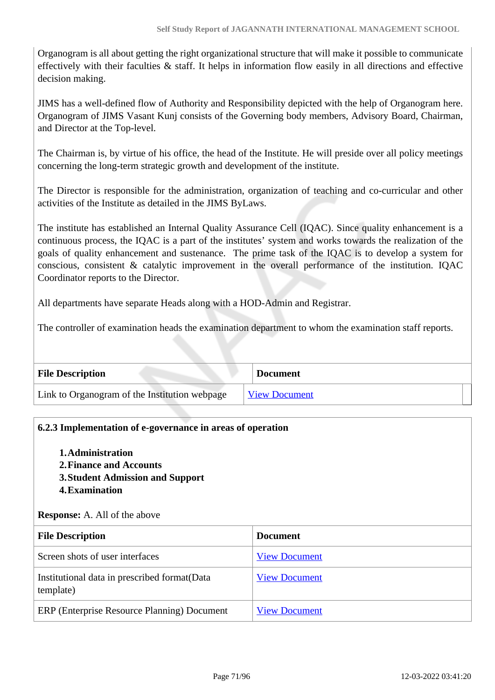Organogram is all about getting the right organizational structure that will make it possible to communicate effectively with their faculties & staff. It helps in information flow easily in all directions and effective decision making.

JIMS has a well-defined flow of Authority and Responsibility depicted with the help of Organogram here. Organogram of JIMS Vasant Kunj consists of the Governing body members, Advisory Board, Chairman, and Director at the Top-level.

The Chairman is, by virtue of his office, the head of the Institute. He will preside over all policy meetings concerning the long-term strategic growth and development of the institute.

The Director is responsible for the administration, organization of teaching and co-curricular and other activities of the Institute as detailed in the JIMS ByLaws.

The institute has established an Internal Quality Assurance Cell (IQAC). Since quality enhancement is a continuous process, the IQAC is a part of the institutes' system and works towards the realization of the goals of quality enhancement and sustenance. The prime task of the IQAC is to develop a system for conscious, consistent & catalytic improvement in the overall performance of the institution. IQAC Coordinator reports to the Director.

All departments have separate Heads along with a HOD-Admin and Registrar.

The controller of examination heads the examination department to whom the examination staff reports.

| <b>File Description</b>                       | <b>Document</b>      |  |
|-----------------------------------------------|----------------------|--|
| Link to Organogram of the Institution webpage | <b>View Document</b> |  |

### **6.2.3 Implementation of e-governance in areas of operation**

- **1.Administration**
- **2.Finance and Accounts**
- **3.Student Admission and Support**
- **4.Examination**

**Response:** A. All of the above

| <b>File Description</b>                                    | <b>Document</b>      |
|------------------------------------------------------------|----------------------|
| Screen shots of user interfaces                            | <b>View Document</b> |
| Institutional data in prescribed format (Data<br>template) | <b>View Document</b> |
| ERP (Enterprise Resource Planning) Document                | <b>View Document</b> |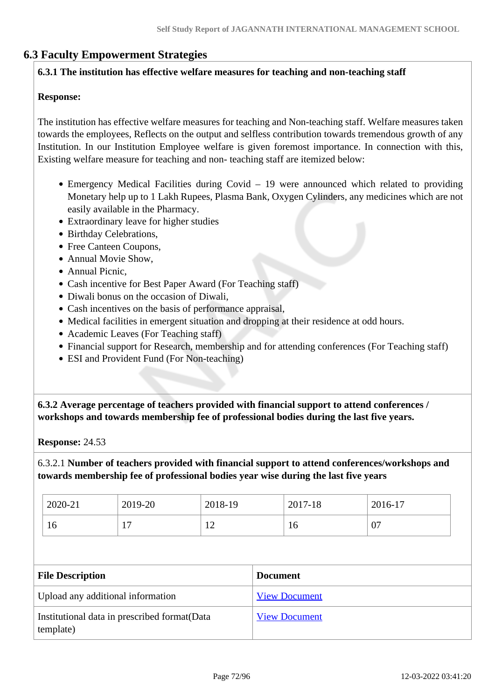# **6.3 Faculty Empowerment Strategies**

### **6.3.1 The institution has effective welfare measures for teaching and non-teaching staff**

### **Response:**

The institution has effective welfare measures for teaching and Non-teaching staff. Welfare measures taken towards the employees, Reflects on the output and selfless contribution towards tremendous growth of any Institution. In our Institution Employee welfare is given foremost importance. In connection with this, Existing welfare measure for teaching and non- teaching staff are itemized below:

- Emergency Medical Facilities during Covid 19 were announced which related to providing Monetary help up to 1 Lakh Rupees, Plasma Bank, Oxygen Cylinders, any medicines which are not easily available in the Pharmacy.
- Extraordinary leave for higher studies
- Birthday Celebrations,
- Free Canteen Coupons,
- Annual Movie Show,
- Annual Picnic,
- Cash incentive for Best Paper Award (For Teaching staff)
- Diwali bonus on the occasion of Diwali.
- Cash incentives on the basis of performance appraisal,
- Medical facilities in emergent situation and dropping at their residence at odd hours.
- Academic Leaves (For Teaching staff)
- Financial support for Research, membership and for attending conferences (For Teaching staff)
- ESI and Provident Fund (For Non-teaching)

 **6.3.2 Average percentage of teachers provided with financial support to attend conferences / workshops and towards membership fee of professional bodies during the last five years.**

**Response:** 24.53

6.3.2.1 **Number of teachers provided with financial support to attend conferences/workshops and towards membership fee of professional bodies year wise during the last five years**

| 2020-21 | 2019-20 | 2018-19          | 2017-18 | $2016-17$ |
|---------|---------|------------------|---------|-----------|
| 10      | -<br>л. | $\sqrt{2}$<br>∸∸ | 10      | 07        |

| <b>File Description</b>                                    | <b>Document</b>      |
|------------------------------------------------------------|----------------------|
| Upload any additional information                          | <b>View Document</b> |
| Institutional data in prescribed format (Data<br>template) | <b>View Document</b> |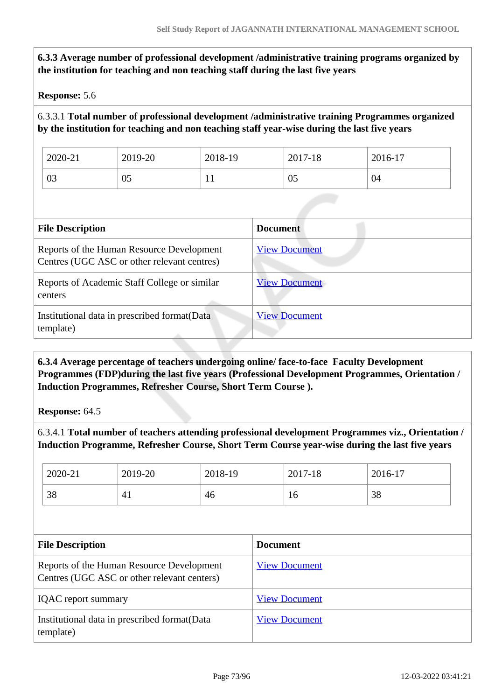| <b>Response: 5.6</b>    |                                                                                          |         |                                                                                             |                                                                                                |
|-------------------------|------------------------------------------------------------------------------------------|---------|---------------------------------------------------------------------------------------------|------------------------------------------------------------------------------------------------|
|                         |                                                                                          |         | by the institution for teaching and non teaching staff year-wise during the last five years | 6.3.3.1 Total number of professional development /administrative training Programmes organized |
| 2020-21                 | 2019-20                                                                                  | 2018-19 | 2017-18                                                                                     | 2016-17                                                                                        |
| 03                      | 05                                                                                       | 11      | 05                                                                                          | 04                                                                                             |
| <b>File Description</b> |                                                                                          |         | <b>Document</b>                                                                             |                                                                                                |
|                         | Reports of the Human Resource Development<br>Centres (UGC ASC or other relevant centres) |         | <b>View Document</b>                                                                        |                                                                                                |
| centers                 | Reports of Academic Staff College or similar                                             |         | <b>View Document</b>                                                                        |                                                                                                |
| template)               | Institutional data in prescribed format (Data                                            |         | <b>View Document</b>                                                                        |                                                                                                |

 **6.3.4 Average percentage of teachers undergoing online/ face-to-face Faculty Development Programmes (FDP)during the last five years (Professional Development Programmes, Orientation / Induction Programmes, Refresher Course, Short Term Course ).**

**Response:** 64.5

6.3.4.1 **Total number of teachers attending professional development Programmes viz., Orientation / Induction Programme, Refresher Course, Short Term Course year-wise during the last five years**

| 2020-21 | 2019-20 | 2018-19 | 2017-18 | 2016-17 |
|---------|---------|---------|---------|---------|
| 38      | 41      | 46      | 16      | 38      |

| <b>File Description</b>                                                                  | <b>Document</b>      |
|------------------------------------------------------------------------------------------|----------------------|
| Reports of the Human Resource Development<br>Centres (UGC ASC or other relevant centers) | <b>View Document</b> |
| <b>IQAC</b> report summary                                                               | <b>View Document</b> |
| Institutional data in prescribed format (Data<br>template)                               | <b>View Document</b> |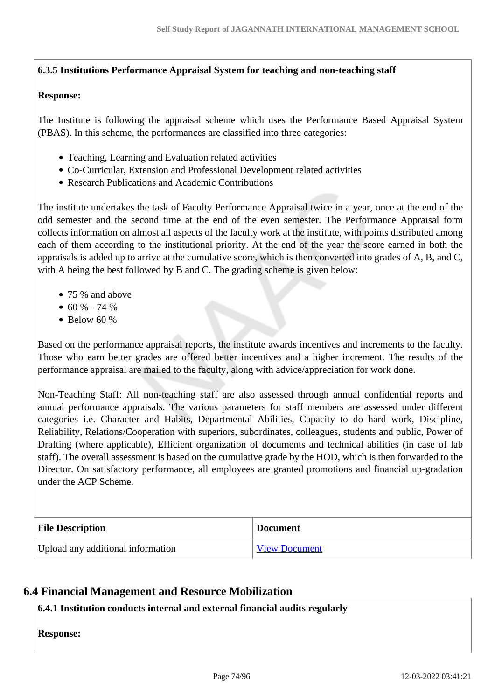## **6.3.5 Institutions Performance Appraisal System for teaching and non-teaching staff**

#### **Response:**

The Institute is following the appraisal scheme which uses the Performance Based Appraisal System (PBAS). In this scheme, the performances are classified into three categories:

- Teaching, Learning and Evaluation related activities
- Co-Curricular, Extension and Professional Development related activities
- Research Publications and Academic Contributions

The institute undertakes the task of Faculty Performance Appraisal twice in a year, once at the end of the odd semester and the second time at the end of the even semester. The Performance Appraisal form collects information on almost all aspects of the faculty work at the institute, with points distributed among each of them according to the institutional priority. At the end of the year the score earned in both the appraisals is added up to arrive at the cumulative score, which is then converted into grades of A, B, and C, with A being the best followed by B and C. The grading scheme is given below:

- 75 % and above
- $\bullet$  60 % 74 %
- $\bullet$  Below 60 %

Based on the performance appraisal reports, the institute awards incentives and increments to the faculty. Those who earn better grades are offered better incentives and a higher increment. The results of the performance appraisal are mailed to the faculty, along with advice/appreciation for work done.

Non-Teaching Staff: All non-teaching staff are also assessed through annual confidential reports and annual performance appraisals. The various parameters for staff members are assessed under different categories i.e. Character and Habits, Departmental Abilities, Capacity to do hard work, Discipline, Reliability, Relations/Cooperation with superiors, subordinates, colleagues, students and public, Power of Drafting (where applicable), Efficient organization of documents and technical abilities (in case of lab staff). The overall assessment is based on the cumulative grade by the HOD, which is then forwarded to the Director. On satisfactory performance, all employees are granted promotions and financial up-gradation under the ACP Scheme.

| <b>File Description</b>           | <b>Document</b>      |
|-----------------------------------|----------------------|
| Upload any additional information | <b>View Document</b> |

## **6.4 Financial Management and Resource Mobilization**

#### **6.4.1 Institution conducts internal and external financial audits regularly**

**Response:**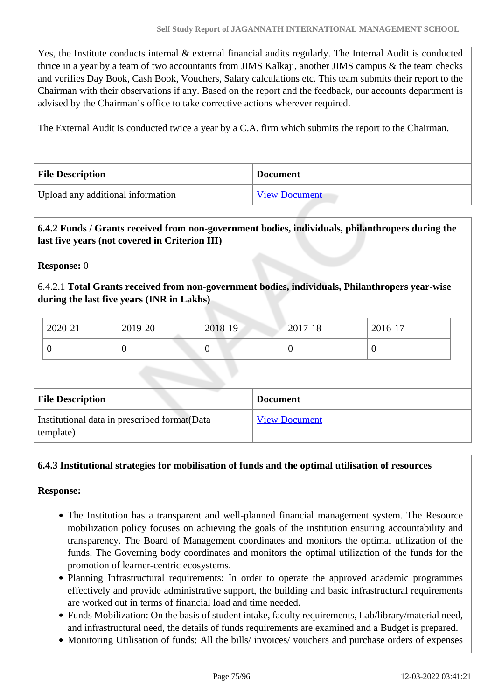Yes, the Institute conducts internal & external financial audits regularly. The Internal Audit is conducted thrice in a year by a team of two accountants from JIMS Kalkaji, another JIMS campus & the team checks and verifies Day Book, Cash Book, Vouchers, Salary calculations etc. This team submits their report to the Chairman with their observations if any. Based on the report and the feedback, our accounts department is advised by the Chairman's office to take corrective actions wherever required.

The External Audit is conducted twice a year by a C.A. firm which submits the report to the Chairman.

| <b>File Description</b>           | <b>Document</b>      |
|-----------------------------------|----------------------|
| Upload any additional information | <b>View Document</b> |

## **6.4.2 Funds / Grants received from non-government bodies, individuals, philanthropers during the last five years (not covered in Criterion III)**

**Response:** 0

6.4.2.1 **Total Grants received from non-government bodies, individuals, Philanthropers year-wise during the last five years (INR in Lakhs)**

| 2020-21 | 2019-20 | 2018-19 | 2017-18 | 2016-17 |
|---------|---------|---------|---------|---------|
|         | ν       |         |         |         |

| <b>File Description</b>                                    | <b>Document</b>      |
|------------------------------------------------------------|----------------------|
| Institutional data in prescribed format (Data<br>template) | <b>View Document</b> |

#### **6.4.3 Institutional strategies for mobilisation of funds and the optimal utilisation of resources**

#### **Response:**

- The Institution has a transparent and well-planned financial management system. The Resource mobilization policy focuses on achieving the goals of the institution ensuring accountability and transparency. The Board of Management coordinates and monitors the optimal utilization of the funds. The Governing body coordinates and monitors the optimal utilization of the funds for the promotion of learner-centric ecosystems.
- Planning Infrastructural requirements: In order to operate the approved academic programmes effectively and provide administrative support, the building and basic infrastructural requirements are worked out in terms of financial load and time needed.
- Funds Mobilization: On the basis of student intake, faculty requirements, Lab/library/material need, and infrastructural need, the details of funds requirements are examined and a Budget is prepared.
- Monitoring Utilisation of funds: All the bills/ invoices/ vouchers and purchase orders of expenses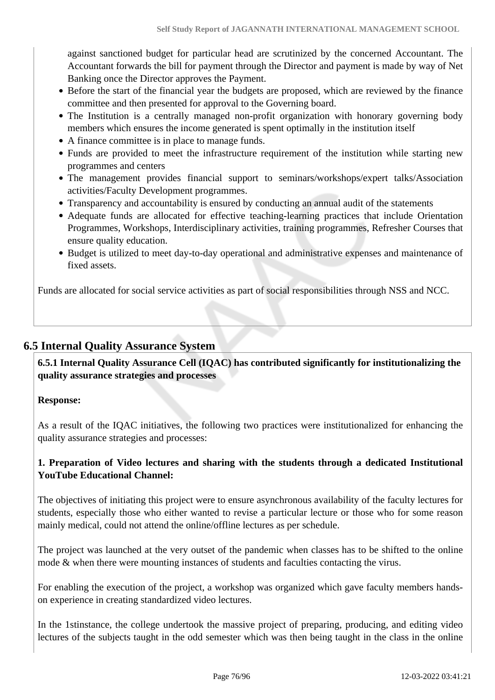against sanctioned budget for particular head are scrutinized by the concerned Accountant. The Accountant forwards the bill for payment through the Director and payment is made by way of Net Banking once the Director approves the Payment.

- Before the start of the financial year the budgets are proposed, which are reviewed by the finance committee and then presented for approval to the Governing board.
- The Institution is a centrally managed non-profit organization with honorary governing body members which ensures the income generated is spent optimally in the institution itself
- A finance committee is in place to manage funds.
- Funds are provided to meet the infrastructure requirement of the institution while starting new programmes and centers
- The management provides financial support to seminars/workshops/expert talks/Association activities/Faculty Development programmes.
- Transparency and accountability is ensured by conducting an annual audit of the statements
- Adequate funds are allocated for effective teaching-learning practices that include Orientation Programmes, Workshops, Interdisciplinary activities, training programmes, Refresher Courses that ensure quality education.
- Budget is utilized to meet day-to-day operational and administrative expenses and maintenance of fixed assets.

Funds are allocated for social service activities as part of social responsibilities through NSS and NCC.

## **6.5 Internal Quality Assurance System**

 **6.5.1 Internal Quality Assurance Cell (IQAC) has contributed significantly for institutionalizing the quality assurance strategies and processes**

#### **Response:**

As a result of the IQAC initiatives, the following two practices were institutionalized for enhancing the quality assurance strategies and processes:

## **1. Preparation of Video lectures and sharing with the students through a dedicated Institutional YouTube Educational Channel:**

The objectives of initiating this project were to ensure asynchronous availability of the faculty lectures for students, especially those who either wanted to revise a particular lecture or those who for some reason mainly medical, could not attend the online/offline lectures as per schedule.

The project was launched at the very outset of the pandemic when classes has to be shifted to the online mode & when there were mounting instances of students and faculties contacting the virus.

For enabling the execution of the project, a workshop was organized which gave faculty members handson experience in creating standardized video lectures.

In the 1stinstance, the college undertook the massive project of preparing, producing, and editing video lectures of the subjects taught in the odd semester which was then being taught in the class in the online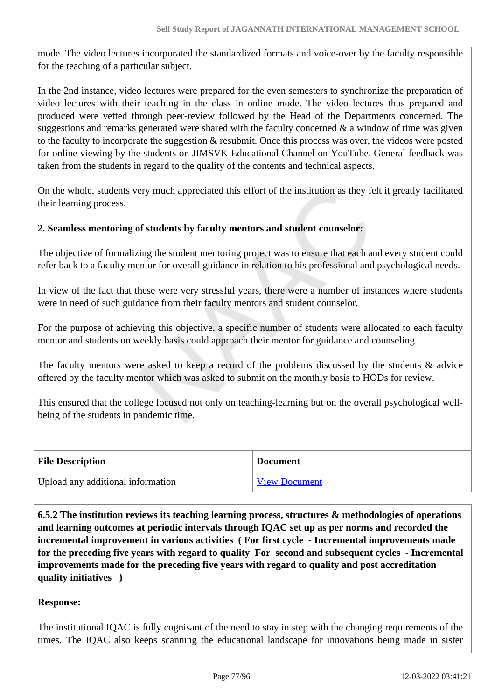mode. The video lectures incorporated the standardized formats and voice-over by the faculty responsible for the teaching of a particular subject.

In the 2nd instance, video lectures were prepared for the even semesters to synchronize the preparation of video lectures with their teaching in the class in online mode. The video lectures thus prepared and produced were vetted through peer-review followed by the Head of the Departments concerned. The suggestions and remarks generated were shared with the faculty concerned  $\&$  a window of time was given to the faculty to incorporate the suggestion & resubmit. Once this process was over, the videos were posted for online viewing by the students on JIMSVK Educational Channel on YouTube. General feedback was taken from the students in regard to the quality of the contents and technical aspects.

On the whole, students very much appreciated this effort of the institution as they felt it greatly facilitated their learning process.

#### **2. Seamless mentoring of students by faculty mentors and student counselor:**

The objective of formalizing the student mentoring project was to ensure that each and every student could refer back to a faculty mentor for overall guidance in relation to his professional and psychological needs.

In view of the fact that these were very stressful years, there were a number of instances where students were in need of such guidance from their faculty mentors and student counselor.

For the purpose of achieving this objective, a specific number of students were allocated to each faculty mentor and students on weekly basis could approach their mentor for guidance and counseling.

The faculty mentors were asked to keep a record of the problems discussed by the students  $\&$  advice offered by the faculty mentor which was asked to submit on the monthly basis to HODs for review.

This ensured that the college focused not only on teaching-learning but on the overall psychological wellbeing of the students in pandemic time.

| <b>File Description</b>           | <b>Document</b>      |
|-----------------------------------|----------------------|
| Upload any additional information | <b>View Document</b> |

 **6.5.2 The institution reviews its teaching learning process, structures & methodologies of operations and learning outcomes at periodic intervals through IQAC set up as per norms and recorded the incremental improvement in various activities ( For first cycle - Incremental improvements made for the preceding five years with regard to quality For second and subsequent cycles - Incremental improvements made for the preceding five years with regard to quality and post accreditation quality initiatives )** 

#### **Response:**

The institutional IQAC is fully cognisant of the need to stay in step with the changing requirements of the times. The IQAC also keeps scanning the educational landscape for innovations being made in sister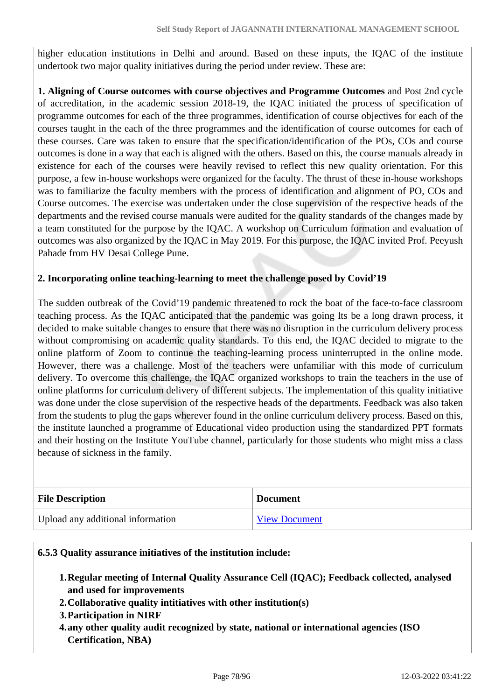higher education institutions in Delhi and around. Based on these inputs, the IQAC of the institute undertook two major quality initiatives during the period under review. These are:

**1. Aligning of Course outcomes with course objectives and Programme Outcomes** and Post 2nd cycle of accreditation, in the academic session 2018-19, the IQAC initiated the process of specification of programme outcomes for each of the three programmes, identification of course objectives for each of the courses taught in the each of the three programmes and the identification of course outcomes for each of these courses. Care was taken to ensure that the specification/identification of the POs, COs and course outcomes is done in a way that each is aligned with the others. Based on this, the course manuals already in existence for each of the courses were heavily revised to reflect this new quality orientation. For this purpose, a few in-house workshops were organized for the faculty. The thrust of these in-house workshops was to familiarize the faculty members with the process of identification and alignment of PO, COs and Course outcomes. The exercise was undertaken under the close supervision of the respective heads of the departments and the revised course manuals were audited for the quality standards of the changes made by a team constituted for the purpose by the IQAC. A workshop on Curriculum formation and evaluation of outcomes was also organized by the IQAC in May 2019. For this purpose, the IQAC invited Prof. Peeyush Pahade from HV Desai College Pune.

#### **2. Incorporating online teaching-learning to meet the challenge posed by Covid'19**

The sudden outbreak of the Covid'19 pandemic threatened to rock the boat of the face-to-face classroom teaching process. As the IQAC anticipated that the pandemic was going lts be a long drawn process, it decided to make suitable changes to ensure that there was no disruption in the curriculum delivery process without compromising on academic quality standards. To this end, the IQAC decided to migrate to the online platform of Zoom to continue the teaching-learning process uninterrupted in the online mode. However, there was a challenge. Most of the teachers were unfamiliar with this mode of curriculum delivery. To overcome this challenge, the IQAC organized workshops to train the teachers in the use of online platforms for curriculum delivery of different subjects. The implementation of this quality initiative was done under the close supervision of the respective heads of the departments. Feedback was also taken from the students to plug the gaps wherever found in the online curriculum delivery process. Based on this, the institute launched a programme of Educational video production using the standardized PPT formats and their hosting on the Institute YouTube channel, particularly for those students who might miss a class because of sickness in the family.

| <b>File Description</b>           | <b>Document</b>      |
|-----------------------------------|----------------------|
| Upload any additional information | <b>View Document</b> |

#### **6.5.3 Quality assurance initiatives of the institution include:**

- **1.Regular meeting of Internal Quality Assurance Cell (IQAC); Feedback collected, analysed and used for improvements**
- **2.Collaborative quality intitiatives with other institution(s)**
- **3.Participation in NIRF**
- **4.any other quality audit recognized by state, national or international agencies (ISO Certification, NBA)**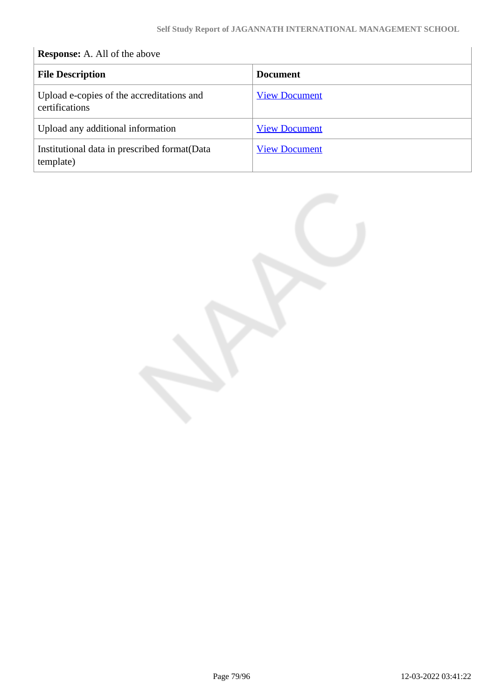## **Response:** A. All of the above **File Description Document** Upload e-copies of the accreditations and certifications [View Document](https://assessmentonline.naac.gov.in/storage/app/hei/SSR/105240/6.5.3_1647067184_7768.pdf) Upload any additional information [View Document](https://assessmentonline.naac.gov.in/storage/app/hei/SSR/105240/6.5.3_1647067176_7768.pdf) Institutional data in prescribed format(Data template) [View Document](https://assessmentonline.naac.gov.in/storage/app/hei/SSR/105240/6.5.3_1647074585_7768.xlsx)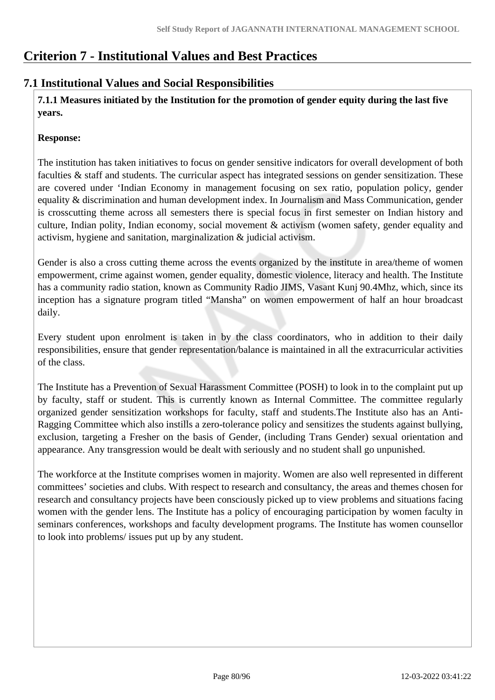# **Criterion 7 - Institutional Values and Best Practices**

## **7.1 Institutional Values and Social Responsibilities**

 **7.1.1 Measures initiated by the Institution for the promotion of gender equity during the last five years.**

#### **Response:**

The institution has taken initiatives to focus on gender sensitive indicators for overall development of both faculties & staff and students. The curricular aspect has integrated sessions on gender sensitization. These are covered under 'Indian Economy in management focusing on sex ratio, population policy, gender equality & discrimination and human development index. In Journalism and Mass Communication, gender is crosscutting theme across all semesters there is special focus in first semester on Indian history and culture, Indian polity, Indian economy, social movement & activism (women safety, gender equality and activism, hygiene and sanitation, marginalization & judicial activism.

Gender is also a cross cutting theme across the events organized by the institute in area/theme of women empowerment, crime against women, gender equality, domestic violence, literacy and health. The Institute has a community radio station, known as Community Radio JIMS, Vasant Kunj 90.4Mhz, which, since its inception has a signature program titled "Mansha" on women empowerment of half an hour broadcast daily.

Every student upon enrolment is taken in by the class coordinators, who in addition to their daily responsibilities, ensure that gender representation/balance is maintained in all the extracurricular activities of the class.

The Institute has a Prevention of Sexual Harassment Committee (POSH) to look in to the complaint put up by faculty, staff or student. This is currently known as Internal Committee. The committee regularly organized gender sensitization workshops for faculty, staff and students.The Institute also has an Anti-Ragging Committee which also instills a zero-tolerance policy and sensitizes the students against bullying, exclusion, targeting a Fresher on the basis of Gender, (including Trans Gender) sexual orientation and appearance. Any transgression would be dealt with seriously and no student shall go unpunished.

The workforce at the Institute comprises women in majority. Women are also well represented in different committees' societies and clubs. With respect to research and consultancy, the areas and themes chosen for research and consultancy projects have been consciously picked up to view problems and situations facing women with the gender lens. The Institute has a policy of encouraging participation by women faculty in seminars conferences, workshops and faculty development programs. The Institute has women counsellor to look into problems/ issues put up by any student.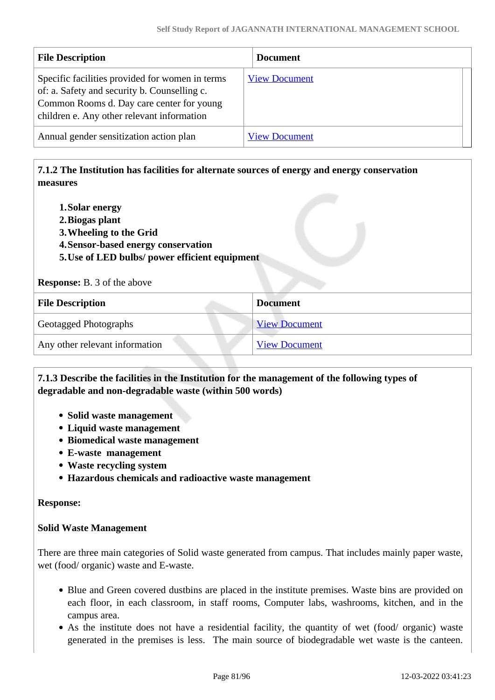| <b>File Description</b>                                                                                                                                                                    | <b>Document</b>      |
|--------------------------------------------------------------------------------------------------------------------------------------------------------------------------------------------|----------------------|
| Specific facilities provided for women in terms<br>of: a. Safety and security b. Counselling c.<br>Common Rooms d. Day care center for young<br>children e. Any other relevant information | <b>View Document</b> |
| Annual gender sensitization action plan                                                                                                                                                    | <b>View Document</b> |

## **7.1.2 The Institution has facilities for alternate sources of energy and energy conservation measures**

- **1.Solar energy**
- **2.Biogas plant**
- **3.Wheeling to the Grid**
- **4.Sensor-based energy conservation**
- **5.Use of LED bulbs/ power efficient equipment**

**Response:** B. 3 of the above

| <b>File Description</b>        | <b>Document</b>      |
|--------------------------------|----------------------|
| <b>Geotagged Photographs</b>   | <b>View Document</b> |
| Any other relevant information | <b>View Document</b> |

#### **7.1.3 Describe the facilities in the Institution for the management of the following types of degradable and non-degradable waste (within 500 words)**

- **Solid waste management**
- **Liquid waste management**
- **Biomedical waste management**
- **E-waste management**
- **Waste recycling system**
- **Hazardous chemicals and radioactive waste management**

#### **Response:**

#### **Solid Waste Management**

There are three main categories of Solid waste generated from campus. That includes mainly paper waste, wet (food/ organic) waste and E-waste.

- Blue and Green covered dustbins are placed in the institute premises. Waste bins are provided on each floor, in each classroom, in staff rooms, Computer labs, washrooms, kitchen, and in the campus area.
- As the institute does not have a residential facility, the quantity of wet (food/ organic) waste generated in the premises is less. The main source of biodegradable wet waste is the canteen.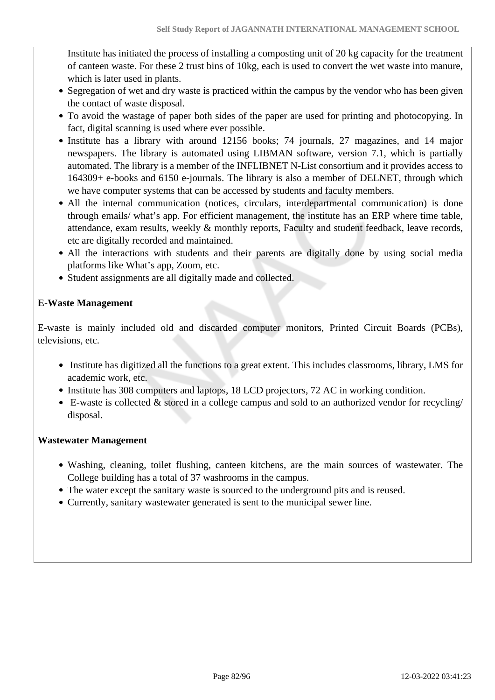Institute has initiated the process of installing a composting unit of 20 kg capacity for the treatment of canteen waste. For these 2 trust bins of 10kg, each is used to convert the wet waste into manure, which is later used in plants.

- Segregation of wet and dry waste is practiced within the campus by the vendor who has been given the contact of waste disposal.
- To avoid the wastage of paper both sides of the paper are used for printing and photocopying. In fact, digital scanning is used where ever possible.
- Institute has a library with around 12156 books; 74 journals, 27 magazines, and 14 major newspapers. The library is automated using LIBMAN software, version 7.1, which is partially automated. The library is a member of the INFLIBNET N-List consortium and it provides access to 164309+ e-books and 6150 e-journals. The library is also a member of DELNET, through which we have computer systems that can be accessed by students and faculty members.
- All the internal communication (notices, circulars, interdepartmental communication) is done through emails/ what's app. For efficient management, the institute has an ERP where time table, attendance, exam results, weekly & monthly reports, Faculty and student feedback, leave records, etc are digitally recorded and maintained.
- All the interactions with students and their parents are digitally done by using social media platforms like What's app, Zoom, etc.
- Student assignments are all digitally made and collected.

## **E-Waste Management**

E-waste is mainly included old and discarded computer monitors, Printed Circuit Boards (PCBs), televisions, etc.

- Institute has digitized all the functions to a great extent. This includes classrooms, library, LMS for academic work, etc.
- Institute has 308 computers and laptops, 18 LCD projectors, 72 AC in working condition.
- $\bullet$  E-waste is collected  $\&$  stored in a college campus and sold to an authorized vendor for recycling/ disposal.

#### **Wastewater Management**

- Washing, cleaning, toilet flushing, canteen kitchens, are the main sources of wastewater. The College building has a total of 37 washrooms in the campus.
- The water except the sanitary waste is sourced to the underground pits and is reused.
- Currently, sanitary wastewater generated is sent to the municipal sewer line.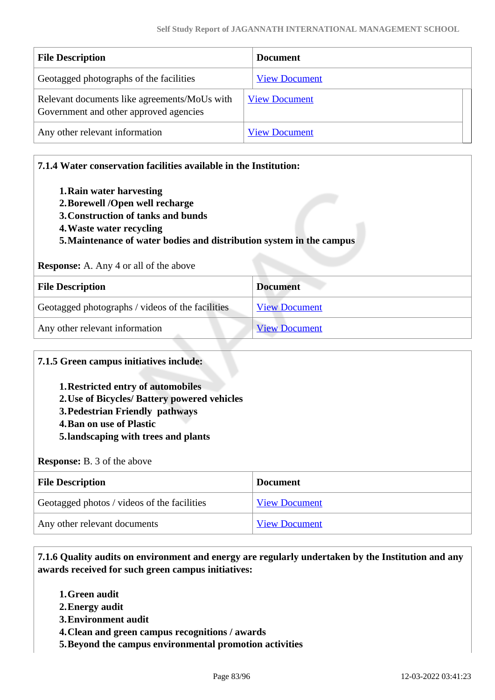| <b>File Description</b>                                                                | <b>Document</b>      |
|----------------------------------------------------------------------------------------|----------------------|
| Geotagged photographs of the facilities                                                | <b>View Document</b> |
| Relevant documents like agreements/MoUs with<br>Government and other approved agencies | <b>View Document</b> |
| Any other relevant information                                                         | <b>View Document</b> |

#### **7.1.4 Water conservation facilities available in the Institution:**

- **1.Rain water harvesting**
- **2.Borewell /Open well recharge**
- **3.Construction of tanks and bunds**
- **4.Waste water recycling**

#### **5.Maintenance of water bodies and distribution system in the campus**

#### **Response:** A. Any 4 or all of the above

| <b>File Description</b>                          | <b>Document</b>      |
|--------------------------------------------------|----------------------|
| Geotagged photographs / videos of the facilities | <b>View Document</b> |
| Any other relevant information                   | <b>View Document</b> |

#### **7.1.5 Green campus initiatives include:**

- **1.Restricted entry of automobiles**
- **2.Use of Bicycles/ Battery powered vehicles**
- **3.Pedestrian Friendly pathways**
- **4.Ban on use of Plastic**
- **5.landscaping with trees and plants**

#### **Response:** B. 3 of the above

| <b>File Description</b>                     | Document             |
|---------------------------------------------|----------------------|
| Geotagged photos / videos of the facilities | <b>View Document</b> |
| Any other relevant documents                | <b>View Document</b> |

 **7.1.6 Quality audits on environment and energy are regularly undertaken by the Institution and any awards received for such green campus initiatives:**

- **1.Green audit**
- **2.Energy audit**
- **3.Environment audit**
- **4.Clean and green campus recognitions / awards**
- **5.Beyond the campus environmental promotion activities**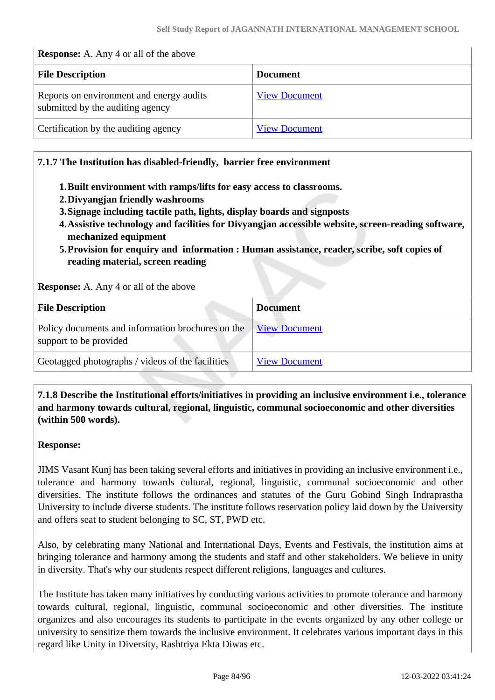#### **Response:** A. Any 4 or all of the above

| <b>File Description</b>                                                      | <b>Document</b>      |
|------------------------------------------------------------------------------|----------------------|
| Reports on environment and energy audits<br>submitted by the auditing agency | <b>View Document</b> |
| Certification by the auditing agency                                         | <b>View Document</b> |

#### **7.1.7 The Institution has disabled-friendly, barrier free environment**

- **1.Built environment with ramps/lifts for easy access to classrooms.**
- **2.Divyangjan friendly washrooms**
- **3.Signage including tactile path, lights, display boards and signposts**
- **4.Assistive technology and facilities for Divyangjan accessible website, screen-reading software, mechanized equipment**
- **5.Provision for enquiry and information : Human assistance, reader, scribe, soft copies of reading material, screen reading**

**Response:** A. Any 4 or all of the above

| <b>File Description</b>                                                     | <b>Document</b>      |
|-----------------------------------------------------------------------------|----------------------|
| Policy documents and information brochures on the<br>support to be provided | <b>View Document</b> |
| Geotagged photographs / videos of the facilities                            | <b>View Document</b> |

 **7.1.8 Describe the Institutional efforts/initiatives in providing an inclusive environment i.e., tolerance and harmony towards cultural, regional, linguistic, communal socioeconomic and other diversities (within 500 words).**

#### **Response:**

JIMS Vasant Kunj has been taking several efforts and initiatives in providing an inclusive environment i.e., tolerance and harmony towards cultural, regional, linguistic, communal socioeconomic and other diversities. The institute follows the ordinances and statutes of the Guru Gobind Singh Indraprastha University to include diverse students. The institute follows reservation policy laid down by the University and offers seat to student belonging to SC, ST, PWD etc.

Also, by celebrating many National and International Days, Events and Festivals, the institution aims at bringing tolerance and harmony among the students and staff and other stakeholders. We believe in unity in diversity. That's why our students respect different religions, languages and cultures.

The Institute has taken many initiatives by conducting various activities to promote tolerance and harmony towards cultural, regional, linguistic, communal socioeconomic and other diversities. The institute organizes and also encourages its students to participate in the events organized by any other college or university to sensitize them towards the inclusive environment. It celebrates various important days in this regard like Unity in Diversity, Rashtriya Ekta Diwas etc.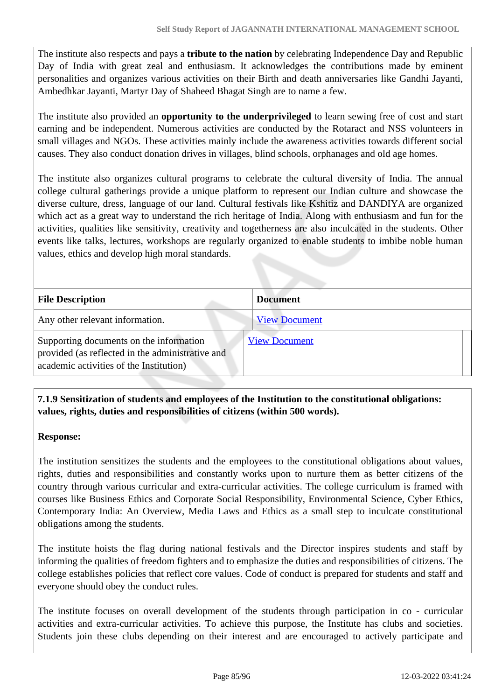The institute also respects and pays a **tribute to the nation** by celebrating Independence Day and Republic Day of India with great zeal and enthusiasm. It acknowledges the contributions made by eminent personalities and organizes various activities on their Birth and death anniversaries like Gandhi Jayanti, Ambedhkar Jayanti, Martyr Day of Shaheed Bhagat Singh are to name a few.

The institute also provided an **opportunity to the underprivileged** to learn sewing free of cost and start earning and be independent. Numerous activities are conducted by the Rotaract and NSS volunteers in small villages and NGOs. These activities mainly include the awareness activities towards different social causes. They also conduct donation drives in villages, blind schools, orphanages and old age homes.

The institute also organizes cultural programs to celebrate the cultural diversity of India. The annual college cultural gatherings provide a unique platform to represent our Indian culture and showcase the diverse culture, dress, language of our land. Cultural festivals like Kshitiz and DANDIYA are organized which act as a great way to understand the rich heritage of India. Along with enthusiasm and fun for the activities, qualities like sensitivity, creativity and togetherness are also inculcated in the students. Other events like talks, lectures, workshops are regularly organized to enable students to imbibe noble human values, ethics and develop high moral standards.

| <b>File Description</b>                                                                                                                | <b>Document</b>      |
|----------------------------------------------------------------------------------------------------------------------------------------|----------------------|
| Any other relevant information.                                                                                                        | <b>View Document</b> |
| Supporting documents on the information<br>provided (as reflected in the administrative and<br>academic activities of the Institution) | <b>View Document</b> |

 **7.1.9 Sensitization of students and employees of the Institution to the constitutional obligations: values, rights, duties and responsibilities of citizens (within 500 words).**

#### **Response:**

The institution sensitizes the students and the employees to the constitutional obligations about values, rights, duties and responsibilities and constantly works upon to nurture them as better citizens of the country through various curricular and extra-curricular activities. The college curriculum is framed with courses like Business Ethics and Corporate Social Responsibility, Environmental Science, Cyber Ethics, Contemporary India: An Overview, Media Laws and Ethics as a small step to inculcate constitutional obligations among the students.

The institute hoists the flag during national festivals and the Director inspires students and staff by informing the qualities of freedom fighters and to emphasize the duties and responsibilities of citizens. The college establishes policies that reflect core values. Code of conduct is prepared for students and staff and everyone should obey the conduct rules.

The institute focuses on overall development of the students through participation in co - curricular activities and extra-curricular activities. To achieve this purpose, the Institute has clubs and societies. Students join these clubs depending on their interest and are encouraged to actively participate and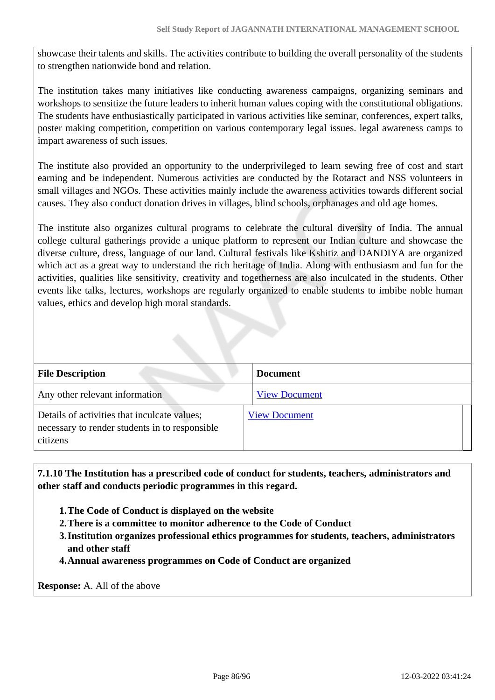showcase their talents and skills. The activities contribute to building the overall personality of the students to strengthen nationwide bond and relation.

The institution takes many initiatives like conducting awareness campaigns, organizing seminars and workshops to sensitize the future leaders to inherit human values coping with the constitutional obligations. The students have enthusiastically participated in various activities like seminar, conferences, expert talks, poster making competition, competition on various contemporary legal issues. legal awareness camps to impart awareness of such issues.

The institute also provided an opportunity to the underprivileged to learn sewing free of cost and start earning and be independent. Numerous activities are conducted by the Rotaract and NSS volunteers in small villages and NGOs. These activities mainly include the awareness activities towards different social causes. They also conduct donation drives in villages, blind schools, orphanages and old age homes.

The institute also organizes cultural programs to celebrate the cultural diversity of India. The annual college cultural gatherings provide a unique platform to represent our Indian culture and showcase the diverse culture, dress, language of our land. Cultural festivals like Kshitiz and DANDIYA are organized which act as a great way to understand the rich heritage of India. Along with enthusiasm and fun for the activities, qualities like sensitivity, creativity and togetherness are also inculcated in the students. Other events like talks, lectures, workshops are regularly organized to enable students to imbibe noble human values, ethics and develop high moral standards.

| <b>File Description</b>                                                                                    | <b>Document</b>      |
|------------------------------------------------------------------------------------------------------------|----------------------|
| Any other relevant information                                                                             | <b>View Document</b> |
| Details of activities that inculcate values;<br>necessary to render students in to responsible<br>citizens | <b>View Document</b> |

 **7.1.10 The Institution has a prescribed code of conduct for students, teachers, administrators and other staff and conducts periodic programmes in this regard.** 

- **1.The Code of Conduct is displayed on the website**
- **2.There is a committee to monitor adherence to the Code of Conduct**
- **3.Institution organizes professional ethics programmes for students, teachers, administrators and other staff**

**4.Annual awareness programmes on Code of Conduct are organized**

**Response:** A. All of the above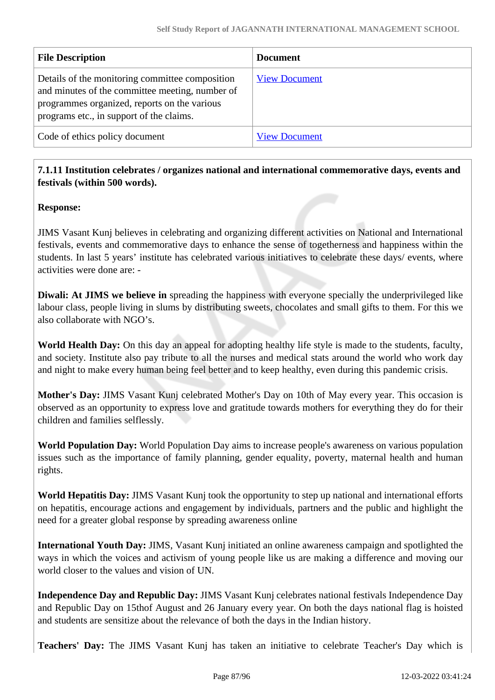| <b>File Description</b>                                                                                                                                                                        | <b>Document</b>      |
|------------------------------------------------------------------------------------------------------------------------------------------------------------------------------------------------|----------------------|
| Details of the monitoring committee composition<br>and minutes of the committee meeting, number of<br>programmes organized, reports on the various<br>programs etc., in support of the claims. | <b>View Document</b> |
| Code of ethics policy document                                                                                                                                                                 | <b>View Document</b> |

## **7.1.11 Institution celebrates / organizes national and international commemorative days, events and festivals (within 500 words).**

#### **Response:**

JIMS Vasant Kunj believes in celebrating and organizing different activities on National and International festivals, events and commemorative days to enhance the sense of togetherness and happiness within the students. In last 5 years' institute has celebrated various initiatives to celebrate these days/ events, where activities were done are: -

**Diwali: At JIMS we believe in** spreading the happiness with everyone specially the underprivileged like labour class, people living in slums by distributing sweets, chocolates and small gifts to them. For this we also collaborate with NGO's.

**World Health Day:** On this day an appeal for adopting healthy life style is made to the students, faculty, and society. Institute also pay tribute to all the nurses and medical stats around the world who work day and night to make every human being feel better and to keep healthy, even during this pandemic crisis.

**Mother's Day:** JIMS Vasant Kunj celebrated Mother's Day on 10th of May every year. This occasion is observed as an opportunity to express love and gratitude towards mothers for everything they do for their children and families selflessly.

**World Population Day:** World Population Day aims to increase people's awareness on various population issues such as the importance of family planning, gender equality, poverty, maternal health and human rights.

**World Hepatitis Day:** JIMS Vasant Kunj took the opportunity to step up national and international efforts on hepatitis, encourage actions and engagement by individuals, partners and the public and highlight the need for a greater global response by spreading awareness online

**International Youth Day:** JIMS, Vasant Kunj initiated an online awareness campaign and spotlighted the ways in which the voices and activism of young people like us are making a difference and moving our world closer to the values and vision of UN.

**Independence Day and Republic Day:** JIMS Vasant Kunj celebrates national festivals Independence Day and Republic Day on 15thof August and 26 January every year. On both the days national flag is hoisted and students are sensitize about the relevance of both the days in the Indian history.

**Teachers' Day:** The JIMS Vasant Kunj has taken an initiative to celebrate Teacher's Day which is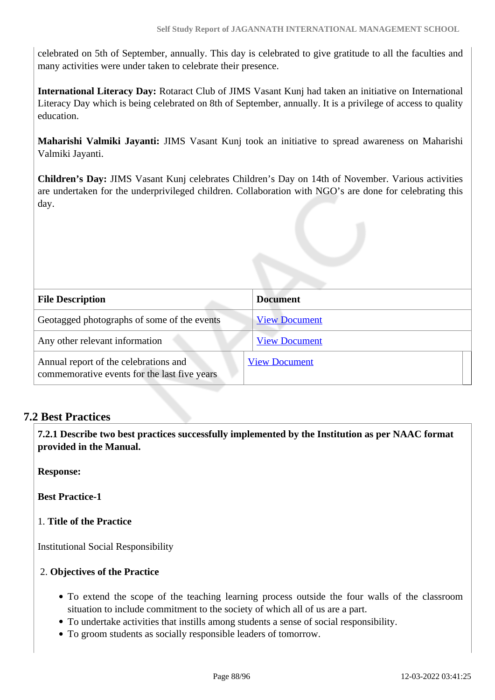celebrated on 5th of September, annually. This day is celebrated to give gratitude to all the faculties and many activities were under taken to celebrate their presence.

**International Literacy Day:** Rotaract Club of JIMS Vasant Kunj had taken an initiative on International Literacy Day which is being celebrated on 8th of September, annually. It is a privilege of access to quality education.

**Maharishi Valmiki Jayanti:** JIMS Vasant Kunj took an initiative to spread awareness on Maharishi Valmiki Jayanti.

**Children's Day:** JIMS Vasant Kunj celebrates Children's Day on 14th of November. Various activities are undertaken for the underprivileged children. Collaboration with NGO's are done for celebrating this day.

| <b>File Description</b>                                                               | <b>Document</b>      |
|---------------------------------------------------------------------------------------|----------------------|
| Geotagged photographs of some of the events                                           | <b>View Document</b> |
| Any other relevant information                                                        | <b>View Document</b> |
| Annual report of the celebrations and<br>commemorative events for the last five years | <b>View Document</b> |

## **7.2 Best Practices**

 **7.2.1 Describe two best practices successfully implemented by the Institution as per NAAC format provided in the Manual.**

**Response:** 

**Best Practice-1**

#### 1. **Title of the Practice**

Institutional Social Responsibility

#### 2. **Objectives of the Practice**

- To extend the scope of the teaching learning process outside the four walls of the classroom situation to include commitment to the society of which all of us are a part.
- To undertake activities that instills among students a sense of social responsibility.
- To groom students as socially responsible leaders of tomorrow.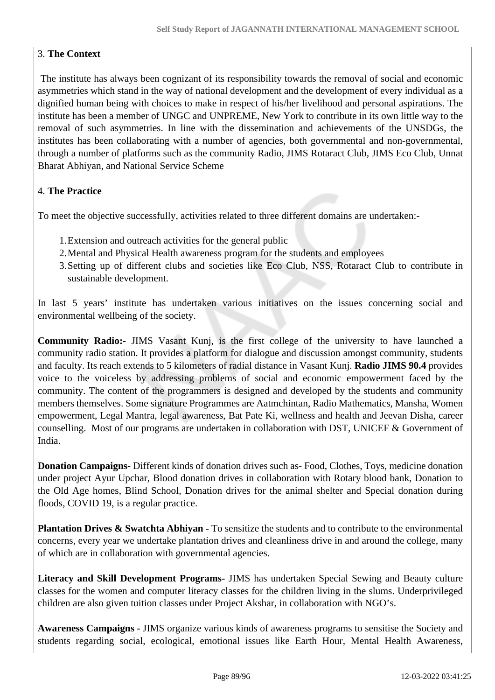## 3. **The Context**

 The institute has always been cognizant of its responsibility towards the removal of social and economic asymmetries which stand in the way of national development and the development of every individual as a dignified human being with choices to make in respect of his/her livelihood and personal aspirations. The institute has been a member of UNGC and UNPREME, New York to contribute in its own little way to the removal of such asymmetries. In line with the dissemination and achievements of the UNSDGs, the institutes has been collaborating with a number of agencies, both governmental and non-governmental, through a number of platforms such as the community Radio, JIMS Rotaract Club, JIMS Eco Club, Unnat Bharat Abhiyan, and National Service Scheme

## 4. **The Practice**

To meet the objective successfully, activities related to three different domains are undertaken:-

- 1.Extension and outreach activities for the general public
- 2.Mental and Physical Health awareness program for the students and employees
- 3.Setting up of different clubs and societies like Eco Club, NSS, Rotaract Club to contribute in sustainable development.

In last 5 years' institute has undertaken various initiatives on the issues concerning social and environmental wellbeing of the society.

**Community Radio:-** JIMS Vasant Kunj, is the first college of the university to have launched a community radio station. It provides a platform for dialogue and discussion amongst community, students and faculty. Its reach extends to 5 kilometers of radial distance in Vasant Kunj. **Radio JIMS 90.4** provides voice to the voiceless by addressing problems of social and economic empowerment faced by the community. The content of the programmers is designed and developed by the students and community members themselves. Some signature Programmes are Aatmchintan, Radio Mathematics, Mansha, Women empowerment, Legal Mantra, legal awareness, Bat Pate Ki, wellness and health and Jeevan Disha, career counselling. Most of our programs are undertaken in collaboration with DST, UNICEF & Government of India.

**Donation Campaigns-** Different kinds of donation drives such as- Food, Clothes, Toys, medicine donation under project Ayur Upchar, Blood donation drives in collaboration with Rotary blood bank, Donation to the Old Age homes, Blind School, Donation drives for the animal shelter and Special donation during floods, COVID 19, is a regular practice.

**Plantation Drives & Swatchta Abhiyan -** To sensitize the students and to contribute to the environmental concerns, every year we undertake plantation drives and cleanliness drive in and around the college, many of which are in collaboration with governmental agencies.

**Literacy and Skill Development Programs-** JIMS has undertaken Special Sewing and Beauty culture classes for the women and computer literacy classes for the children living in the slums. Underprivileged children are also given tuition classes under Project Akshar, in collaboration with NGO's.

**Awareness Campaigns -** JIMS organize various kinds of awareness programs to sensitise the Society and students regarding social, ecological, emotional issues like Earth Hour, Mental Health Awareness,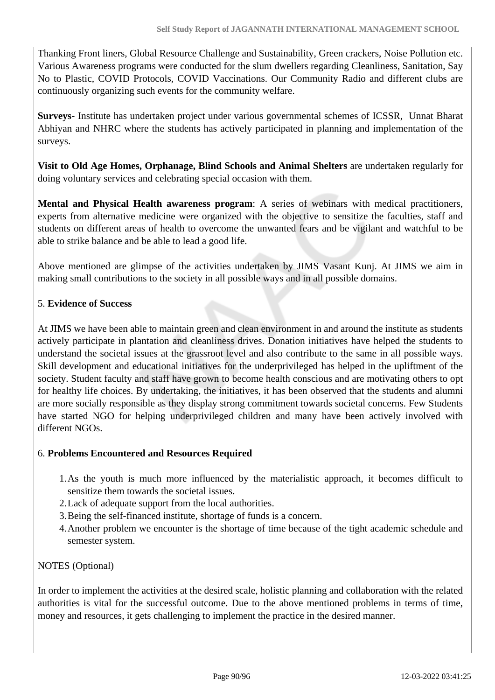Thanking Front liners, Global Resource Challenge and Sustainability, Green crackers, Noise Pollution etc. Various Awareness programs were conducted for the slum dwellers regarding Cleanliness, Sanitation, Say No to Plastic, COVID Protocols, COVID Vaccinations. Our Community Radio and different clubs are continuously organizing such events for the community welfare.

**Surveys-** Institute has undertaken project under various governmental schemes of ICSSR, Unnat Bharat Abhiyan and NHRC where the students has actively participated in planning and implementation of the surveys.

**Visit to Old Age Homes, Orphanage, Blind Schools and Animal Shelters** are undertaken regularly for doing voluntary services and celebrating special occasion with them.

**Mental and Physical Health awareness program**: A series of webinars with medical practitioners, experts from alternative medicine were organized with the objective to sensitize the faculties, staff and students on different areas of health to overcome the unwanted fears and be vigilant and watchful to be able to strike balance and be able to lead a good life.

Above mentioned are glimpse of the activities undertaken by JIMS Vasant Kunj. At JIMS we aim in making small contributions to the society in all possible ways and in all possible domains.

## 5. **Evidence of Success**

At JIMS we have been able to maintain green and clean environment in and around the institute as students actively participate in plantation and cleanliness drives. Donation initiatives have helped the students to understand the societal issues at the grassroot level and also contribute to the same in all possible ways. Skill development and educational initiatives for the underprivileged has helped in the upliftment of the society. Student faculty and staff have grown to become health conscious and are motivating others to opt for healthy life choices. By undertaking, the initiatives, it has been observed that the students and alumni are more socially responsible as they display strong commitment towards societal concerns. Few Students have started NGO for helping underprivileged children and many have been actively involved with different NGOs.

#### 6. **Problems Encountered and Resources Required**

- 1.As the youth is much more influenced by the materialistic approach, it becomes difficult to sensitize them towards the societal issues.
- 2.Lack of adequate support from the local authorities.
- 3.Being the self-financed institute, shortage of funds is a concern.
- 4.Another problem we encounter is the shortage of time because of the tight academic schedule and semester system.

## NOTES (Optional)

In order to implement the activities at the desired scale, holistic planning and collaboration with the related authorities is vital for the successful outcome. Due to the above mentioned problems in terms of time, money and resources, it gets challenging to implement the practice in the desired manner.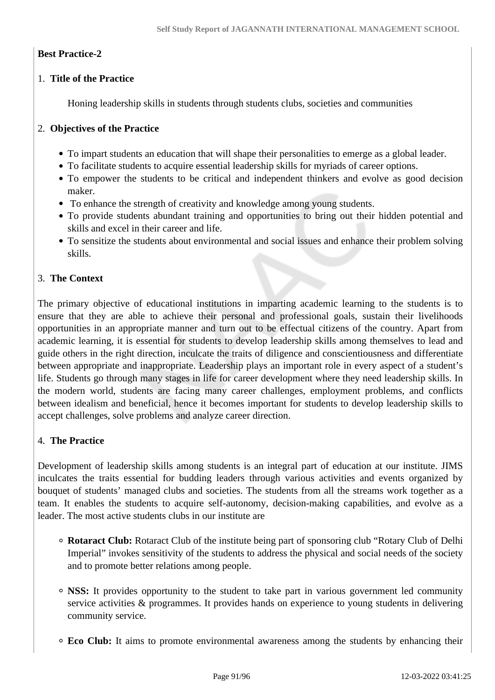## **Best Practice-2**

## 1. **Title of the Practice**

Honing leadership skills in students through students clubs, societies and communities

## 2. **Objectives of the Practice**

- To impart students an education that will shape their personalities to emerge as a global leader.
- To facilitate students to acquire essential leadership skills for myriads of career options.
- To empower the students to be critical and independent thinkers and evolve as good decision maker.
- To enhance the strength of creativity and knowledge among young students.
- To provide students abundant training and opportunities to bring out their hidden potential and skills and excel in their career and life.
- To sensitize the students about environmental and social issues and enhance their problem solving skills.

## 3. **The Context**

The primary objective of educational institutions in imparting academic learning to the students is to ensure that they are able to achieve their personal and professional goals, sustain their livelihoods opportunities in an appropriate manner and turn out to be effectual citizens of the country. Apart from academic learning, it is essential for students to develop leadership skills among themselves to lead and guide others in the right direction, inculcate the traits of diligence and conscientiousness and differentiate between appropriate and inappropriate. Leadership plays an important role in every aspect of a student's life. Students go through many stages in life for career development where they need leadership skills. In the modern world, students are facing many career challenges, employment problems, and conflicts between idealism and beneficial, hence it becomes important for students to develop leadership skills to accept challenges, solve problems and analyze career direction.

## 4. **The Practice**

Development of leadership skills among students is an integral part of education at our institute. JIMS inculcates the traits essential for budding leaders through various activities and events organized by bouquet of students' managed clubs and societies. The students from all the streams work together as a team. It enables the students to acquire self-autonomy, decision-making capabilities, and evolve as a leader. The most active students clubs in our institute are

- **Rotaract Club:** Rotaract Club of the institute being part of sponsoring club "Rotary Club of Delhi Imperial" invokes sensitivity of the students to address the physical and social needs of the society and to promote better relations among people.
- **NSS:** It provides opportunity to the student to take part in various government led community service activities & programmes. It provides hands on experience to young students in delivering community service.
- **Eco Club:** It aims to promote environmental awareness among the students by enhancing their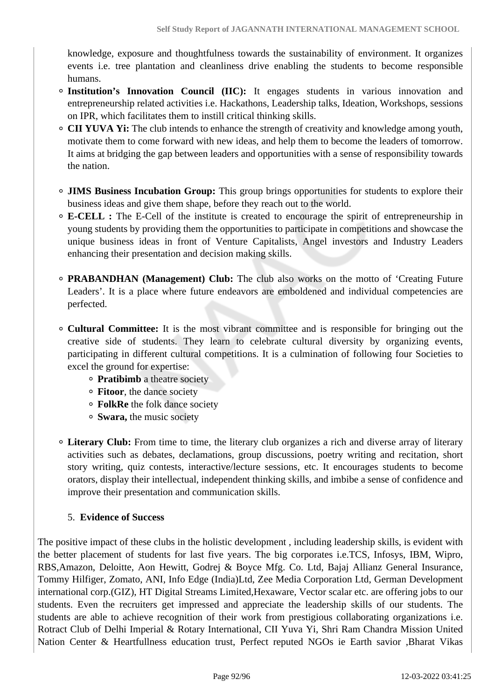knowledge, exposure and thoughtfulness towards the sustainability of environment. It organizes events i.e. tree plantation and cleanliness drive enabling the students to become responsible humans.

- **Institution's Innovation Council (IIC):** It engages students in various innovation and entrepreneurship related activities i.e. Hackathons, Leadership talks, Ideation, Workshops, sessions on IPR, which facilitates them to instill critical thinking skills.
- **CII YUVA Yi:** The club intends to enhance the strength of creativity and knowledge among youth, motivate them to come forward with new ideas, and help them to become the leaders of tomorrow. It aims at bridging the gap between leaders and opportunities with a sense of responsibility towards the nation.
- **JIMS Business Incubation Group:** This group brings opportunities for students to explore their business ideas and give them shape, before they reach out to the world.
- **E-CELL :** The E-Cell of the institute is created to encourage the spirit of entrepreneurship in young students by providing them the opportunities to participate in competitions and showcase the unique business ideas in front of Venture Capitalists, Angel investors and Industry Leaders enhancing their presentation and decision making skills.
- **PRABANDHAN (Management) Club:** The club also works on the motto of 'Creating Future Leaders'. It is a place where future endeavors are emboldened and individual competencies are perfected.
- **Cultural Committee:** It is the most vibrant committee and is responsible for bringing out the creative side of students. They learn to celebrate cultural diversity by organizing events, participating in different cultural competitions. It is a culmination of following four Societies to excel the ground for expertise:
	- **Pratibimb** a theatre society
	- **Fitoor**, the dance society
	- **FolkRe** the folk dance society
	- **Swara,** the music society
- **Literary Club:** From time to time, the literary club organizes a rich and diverse array of literary activities such as debates, declamations, group discussions, poetry writing and recitation, short story writing, quiz contests, interactive/lecture sessions, etc. It encourages students to become orators, display their intellectual, independent thinking skills, and imbibe a sense of confidence and improve their presentation and communication skills.

#### 5. **Evidence of Success**

The positive impact of these clubs in the holistic development , including leadership skills, is evident with the better placement of students for last five years. The big corporates i.e.TCS, Infosys, IBM, Wipro, RBS,Amazon, Deloitte, Aon Hewitt, Godrej & Boyce Mfg. Co. Ltd, Bajaj Allianz General Insurance, Tommy Hilfiger, Zomato, ANI, Info Edge (India)Ltd, Zee Media Corporation Ltd, German Development international corp.(GIZ), HT Digital Streams Limited,Hexaware, Vector scalar etc. are offering jobs to our students. Even the recruiters get impressed and appreciate the leadership skills of our students. The students are able to achieve recognition of their work from prestigious collaborating organizations i.e. Rotract Club of Delhi Imperial & Rotary International, CII Yuva Yi, Shri Ram Chandra Mission United Nation Center & Heartfullness education trust, Perfect reputed NGOs ie Earth savior ,Bharat Vikas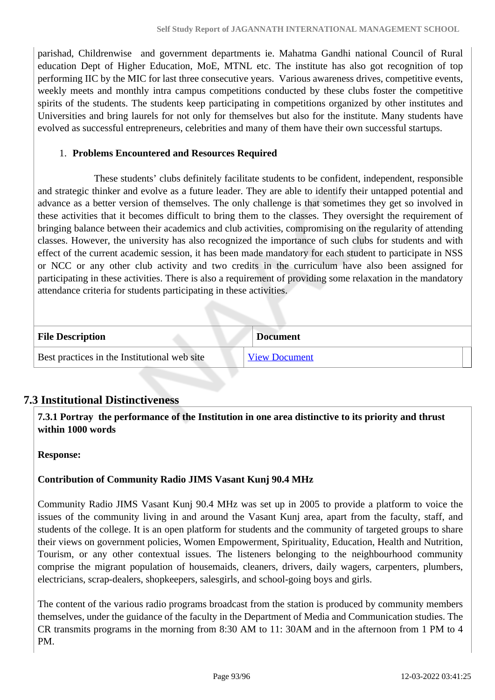parishad, Childrenwise and government departments ie. Mahatma Gandhi national Council of Rural education Dept of Higher Education, MoE, MTNL etc. The institute has also got recognition of top performing IIC by the MIC for last three consecutive years. Various awareness drives, competitive events, weekly meets and monthly intra campus competitions conducted by these clubs foster the competitive spirits of the students. The students keep participating in competitions organized by other institutes and Universities and bring laurels for not only for themselves but also for the institute. Many students have evolved as successful entrepreneurs, celebrities and many of them have their own successful startups.

#### 1. **Problems Encountered and Resources Required**

 These students' clubs definitely facilitate students to be confident, independent, responsible and strategic thinker and evolve as a future leader. They are able to identify their untapped potential and advance as a better version of themselves. The only challenge is that sometimes they get so involved in these activities that it becomes difficult to bring them to the classes. They oversight the requirement of bringing balance between their academics and club activities, compromising on the regularity of attending classes. However, the university has also recognized the importance of such clubs for students and with effect of the current academic session, it has been made mandatory for each student to participate in NSS or NCC or any other club activity and two credits in the curriculum have also been assigned for participating in these activities. There is also a requirement of providing some relaxation in the mandatory attendance criteria for students participating in these activities.

| <b>File Description</b>                      | <b>Document</b>      |
|----------------------------------------------|----------------------|
| Best practices in the Institutional web site | <b>View Document</b> |

## **7.3 Institutional Distinctiveness**

 **7.3.1 Portray the performance of the Institution in one area distinctive to its priority and thrust within 1000 words**

#### **Response:**

#### **Contribution of Community Radio JIMS Vasant Kunj 90.4 MHz**

Community Radio JIMS Vasant Kunj 90.4 MHz was set up in 2005 to provide a platform to voice the issues of the community living in and around the Vasant Kunj area, apart from the faculty, staff, and students of the college. It is an open platform for students and the community of targeted groups to share their views on government policies, Women Empowerment, Spirituality, Education, Health and Nutrition, Tourism, or any other contextual issues. The listeners belonging to the neighbourhood community comprise the migrant population of housemaids, cleaners, drivers, daily wagers, carpenters, plumbers, electricians, scrap-dealers, shopkeepers, salesgirls, and school-going boys and girls.

The content of the various radio programs broadcast from the station is produced by community members themselves, under the guidance of the faculty in the Department of Media and Communication studies. The CR transmits programs in the morning from 8:30 AM to 11: 30AM and in the afternoon from 1 PM to 4 PM.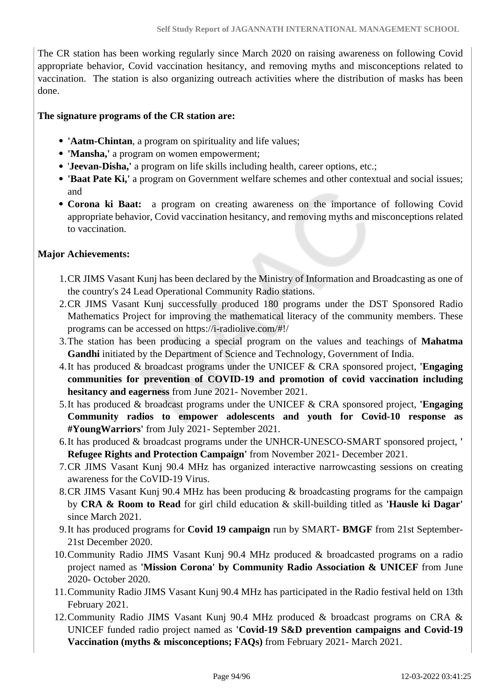The CR station has been working regularly since March 2020 on raising awareness on following Covid appropriate behavior, Covid vaccination hesitancy, and removing myths and misconceptions related to vaccination. The station is also organizing outreach activities where the distribution of masks has been done.

#### **The signature programs of the CR station are:**

- **'Aatm-Chintan**, a program on spirituality and life values;
- **'Mansha,'** a program on women empowerment;
- '**Jeevan-Disha,'** a program on life skills including health, career options, etc.;
- **'Baat Pate Ki,'** a program on Government welfare schemes and other contextual and social issues; and
- **Corona ki Baat:** a program on creating awareness on the importance of following Covid appropriate behavior, Covid vaccination hesitancy, and removing myths and misconceptions related to vaccination.

#### **Major Achievements:**

- 1.CR JIMS Vasant Kunj has been declared by the Ministry of Information and Broadcasting as one of the country's 24 Lead Operational Community Radio stations.
- 2.CR JIMS Vasant Kunj successfully produced 180 programs under the DST Sponsored Radio Mathematics Project for improving the mathematical literacy of the community members. These programs can be accessed on https://i-radiolive.com/#!/
- 3.The station has been producing a special program on the values and teachings of **Mahatma Gandhi** initiated by the Department of Science and Technology, Government of India.
- 4.It has produced & broadcast programs under the UNICEF & CRA sponsored project, **'Engaging communities for prevention of COVID-19 and promotion of covid vaccination including hesitancy and eagerness** from June 2021- November 2021.
- 5.It has produced & broadcast programs under the UNICEF & CRA sponsored project, **'Engaging Community radios to empower adolescents and youth for Covid-10 response as #YoungWarriors'** from July 2021- September 2021.
- 6.It has produced & broadcast programs under the UNHCR-UNESCO-SMART sponsored project, **' Refugee Rights and Protection Campaign'** from November 2021- December 2021.
- 7.CR JIMS Vasant Kunj 90.4 MHz has organized interactive narrowcasting sessions on creating awareness for the CoVID-19 Virus.
- 8.CR JIMS Vasant Kunj 90.4 MHz has been producing & broadcasting programs for the campaign by **CRA & Room to Read** for girl child education & skill-building titled as **'Hausle ki Dagar'** since March 2021.
- 9.It has produced programs for **Covid 19 campaign** run by SMART **BMGF** from 21st September-21st December 2020.
- 10.Community Radio JIMS Vasant Kunj 90.4 MHz produced & broadcasted programs on a radio project named as **'Mission Corona' by Community Radio Association & UNICEF** from June 2020- October 2020.
- 11.Community Radio JIMS Vasant Kunj 90.4 MHz has participated in the Radio festival held on 13th February 2021.
- 12.Community Radio JIMS Vasant Kunj 90.4 MHz produced & broadcast programs on CRA & UNICEF funded radio project named as **'Covid-19 S&D prevention campaigns and Covid-19 Vaccination (myths & misconceptions; FAQs)** from February 2021- March 2021.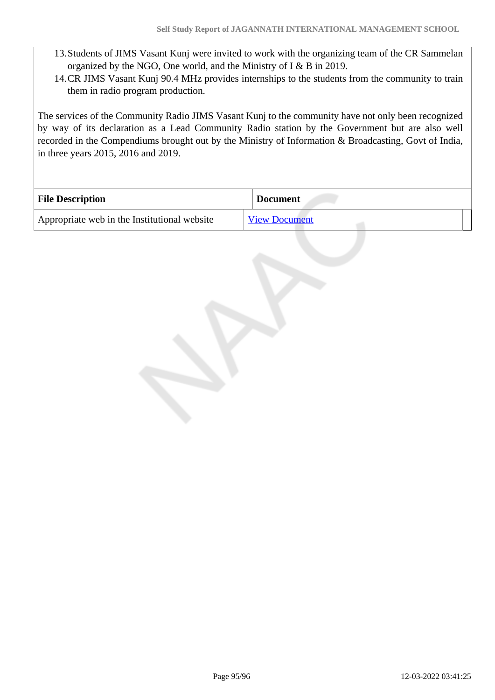- 13.Students of JIMS Vasant Kunj were invited to work with the organizing team of the CR Sammelan organized by the NGO, One world, and the Ministry of I & B in 2019.
- 14.CR JIMS Vasant Kunj 90.4 MHz provides internships to the students from the community to train them in radio program production.

The services of the Community Radio JIMS Vasant Kunj to the community have not only been recognized by way of its declaration as a Lead Community Radio station by the Government but are also well recorded in the Compendiums brought out by the Ministry of Information & Broadcasting, Govt of India, in three years 2015, 2016 and 2019.

| <b>File Description</b>                      | <b>Document</b>      |
|----------------------------------------------|----------------------|
| Appropriate web in the Institutional website | <b>View Document</b> |